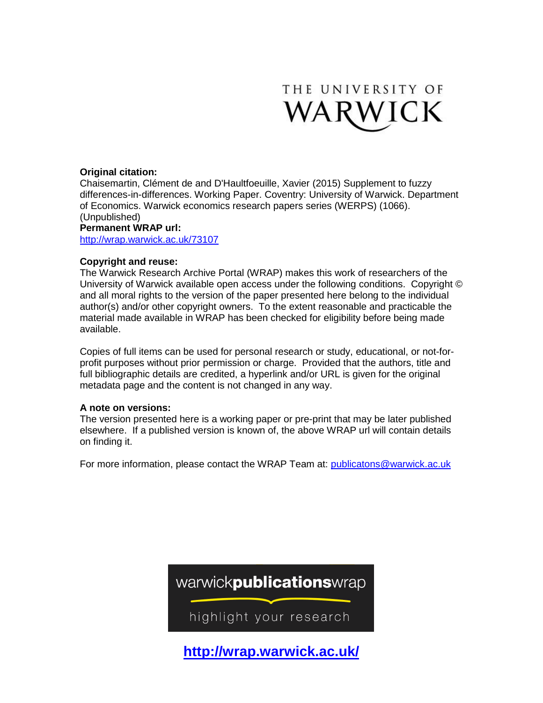

### **Original citation:**

Chaisemartin, Clément de and D'Haultfoeuille, Xavier (2015) Supplement to fuzzy differences-in-differences. Working Paper. Coventry: University of Warwick. Department of Economics. Warwick economics research papers series (WERPS) (1066). (Unpublished)

### **Permanent WRAP url:**

<http://wrap.warwick.ac.uk/73107>

### **Copyright and reuse:**

The Warwick Research Archive Portal (WRAP) makes this work of researchers of the University of Warwick available open access under the following conditions. Copyright © and all moral rights to the version of the paper presented here belong to the individual author(s) and/or other copyright owners. To the extent reasonable and practicable the material made available in WRAP has been checked for eligibility before being made available.

Copies of full items can be used for personal research or study, educational, or not-forprofit purposes without prior permission or charge. Provided that the authors, title and full bibliographic details are credited, a hyperlink and/or URL is given for the original metadata page and the content is not changed in any way.

### **A note on versions:**

The version presented here is a working paper or pre-print that may be later published elsewhere. If a published version is known of, the above WRAP url will contain details on finding it.

For more information, please contact the WRAP Team at: [publicatons@warwick.ac.uk](mailto:publicatons@warwick.ac.uk)



**[http://wrap.warwick.ac.uk/](http://go.warwick.ac.uk/)**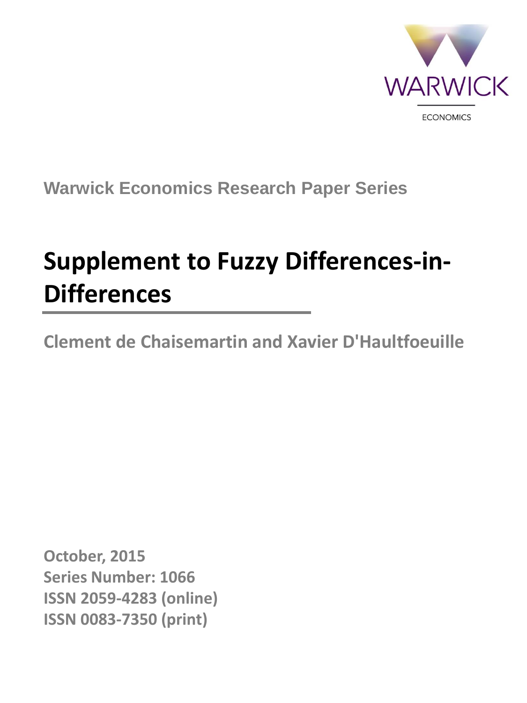

**Warwick Economics Research Paper Series**

# **Supplement to Fuzzy Differences-in-Differences**

**Clement de Chaisemartin and Xavier D'Haultfoeuille**

**October, 2015 Series Number: 1066 ISSN 2059-4283 (online) ISSN 0083-7350 (print)**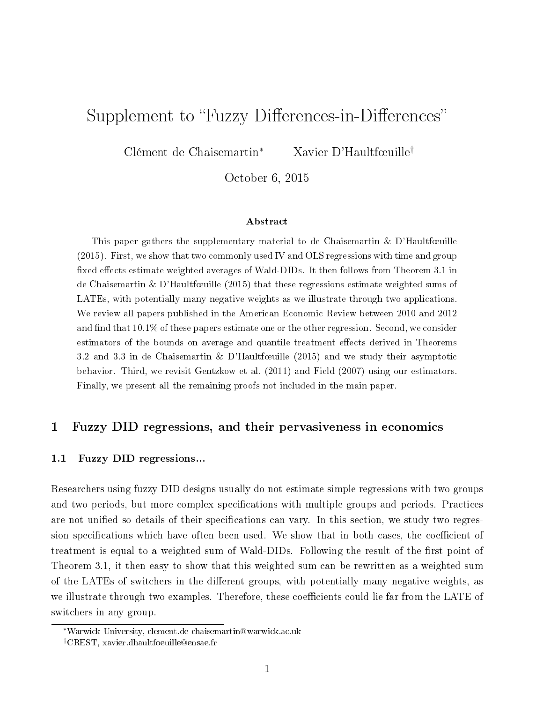# Supplement to "Fuzzy Differences-in-Differences"

Clément de Chaisemartin<sup>∗</sup> Xavier D'Haultfœuille<sup>†</sup>

October 6, 2015

#### Abstract

This paper gathers the supplementary material to de Chaisemartin & D'Haultfœuille (2015). First, we show that two commonly used IV and OLS regressions with time and group fixed effects estimate weighted averages of Wald-DIDs. It then follows from Theorem 3.1 in de Chaisemartin & D'Haultfœuille (2015) that these regressions estimate weighted sums of LATEs, with potentially many negative weights as we illustrate through two applications. We review all papers published in the American Economic Review between 2010 and 2012 and find that  $10.1\%$  of these papers estimate one or the other regression. Second, we consider estimators of the bounds on average and quantile treatment effects derived in Theorems 3.2 and 3.3 in de Chaisemartin & D'Haultfœuille (2015) and we study their asymptotic behavior. Third, we revisit Gentzkow et al. (2011) and Field (2007) using our estimators. Finally, we present all the remaining proofs not included in the main paper.

### 1 Fuzzy DID regressions, and their pervasiveness in economics

### 1.1 Fuzzy DID regressions...

Researchers using fuzzy DID designs usually do not estimate simple regressions with two groups and two periods, but more complex specifications with multiple groups and periods. Practices are not unified so details of their specifications can vary. In this section, we study two regression specifications which have often been used. We show that in both cases, the coefficient of treatment is equal to a weighted sum of Wald-DIDs. Following the result of the first point of Theorem 3.1, it then easy to show that this weighted sum can be rewritten as a weighted sum of the LATEs of switchers in the different groups, with potentially many negative weights, as we illustrate through two examples. Therefore, these coefficients could lie far from the LATE of switchers in any group.

<sup>∗</sup>Warwick University, clement.de-chaisemartin@warwick.ac.uk

<sup>†</sup>CREST, xavier.dhaultfoeuille@ensae.fr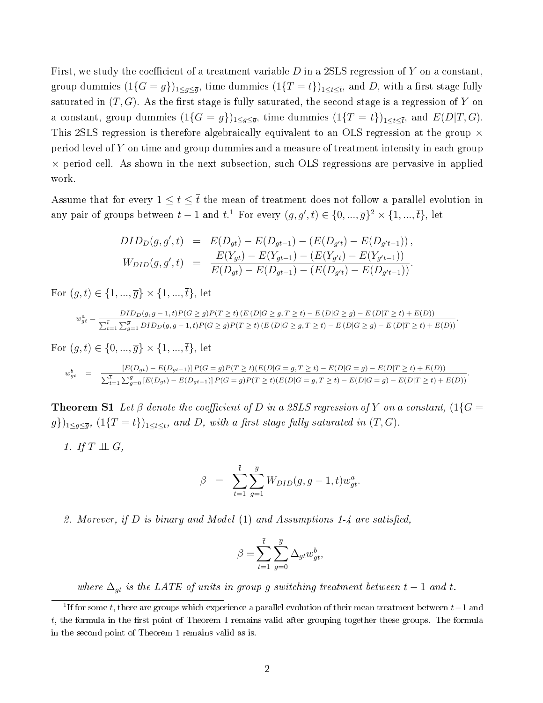First, we study the coefficient of a treatment variable  $D$  in a 2SLS regression of Y on a constant, group dummies  $(1\{G=g\})_{1\leq g\leq \overline{g}},$  time dummies  $(1\{T=t\})_{1\leq t\leq \overline{t}},$  and  $D,$  with a first stage fully saturated in  $(T, G)$ . As the first stage is fully saturated, the second stage is a regression of Y on a constant, group dummies  $(1\{G=g\})_{1\leq g\leq \overline{g}},$  time dummies  $(1\{T=t\})_{1\leq t\leq \overline{t}},$  and  $E(D|T,G)$ . This 2SLS regression is therefore algebraically equivalent to an OLS regression at the group  $\times$ period level of Y on time and group dummies and a measure of treatment intensity in each group  $\times$  period cell. As shown in the next subsection, such OLS regressions are pervasive in applied work.

Assume that for every  $1 \le t \le \overline{t}$  the mean of treatment does not follow a parallel evolution in any pair of groups between  $t-1$  and  $t$ .<sup>1</sup> For every  $(g, g', t) \in \{0, ..., \overline{g}\}^2 \times \{1, ..., \overline{t}\},$  let

$$
DID_D(g, g', t) = E(D_{gt}) - E(D_{gt-1}) - (E(D_{g't}) - E(D_{g't-1})),
$$
  
\n
$$
W_{DID}(g, g', t) = \frac{E(Y_{gt}) - E(Y_{gt-1}) - (E(Y_{g't}) - E(Y_{g't-1}))}{E(D_{gt}) - E(D_{gt-1}) - (E(D_{g't}) - E(D_{g't-1}))}.
$$

For  $(g, t) \in \{1, ..., \overline{g}\} \times \{1, ..., \overline{t}\},$  let

$$
w_{gt}^a = \frac{DID_D(g,g-1,t)P(G\ge g)P(T\ge t)\left(E\left(D|G\ge g,T\ge t\right)-E\left(D|G\ge g\right)-E\left(D|T\ge t\right)+E(D)\right)}{\sum_{t=1}^{\overline{t}}\sum_{g=1}^{\overline{g}}DID_D(g,g-1,t)P(G\ge g)P(T\ge t)\left(E\left(D|G\ge g,T\ge t\right)-E\left(D|G\ge g\right)-E\left(D|T\ge t\right)+E(D)\right)}.
$$

For  $(q, t) \in \{0, ..., \overline{q}\} \times \{1, ..., \overline{t}\},$  let

$$
w_{gt}^b = \frac{[E(D_{gt}) - E(D_{gt-1})]P(G = g)P(T \ge t)(E(D|G = g, T \ge t) - E(D|G = g) - E(D|T \ge t) + E(D))}{\sum_{t=1}^{\overline{t}} \sum_{g=0}^{\overline{g}} [E(D_{gt}) - E(D_{gt-1})]P(G = g)P(T \ge t)(E(D|G = g, T \ge t) - E(D|G = g) - E(D|T \ge t) + E(D))}.
$$

**Theorem S1** Let  $\beta$  denote the coefficient of D in a 2SLS regression of Y on a constant,  $(1\{G =$  $(g\})_{1\leq g\leq \overline{g}}, \ (1\{T=t\})_{1\leq t\leq \overline{t}}, \ and \ D, \ with \ a \ first \ stage \ fully \ saturated \ in \ (T,G).$ 

1. If  $T \perp \!\!\! \perp G$ ,

$$
\beta = \sum_{t=1}^{\overline{t}} \sum_{g=1}^{\overline{g}} W_{DID}(g, g-1, t) w_{gt}^a.
$$

2. Morever, if  $D$  is binary and Model  $(1)$  and Assumptions 1-4 are satisfied,

$$
\beta = \sum_{t=1}^{\overline{t}} \sum_{g=0}^{\overline{g}} \Delta_{gt} w_{gt}^b,
$$

where  $\Delta_{gt}$  is the LATE of units in group g switching treatment between  $t-1$  and t.

<sup>&</sup>lt;sup>1</sup>If for some t, there are groups which experience a parallel evolution of their mean treatment between  $t-1$  and  $t$ , the formula in the first point of Theorem 1 remains valid after grouping together these groups. The formula in the second point of Theorem 1 remains valid as is.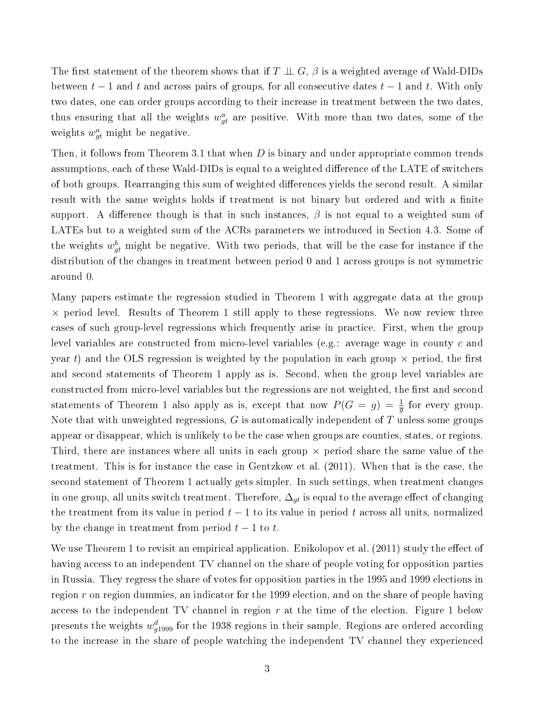The first statement of the theorem shows that if  $T \perp \!\!\! \perp G$ ,  $\beta$  is a weighted average of Wald-DIDs between  $t-1$  and t and across pairs of groups, for all consecutive dates  $t-1$  and t. With only two dates, one can order groups according to their increase in treatment between the two dates, thus ensuring that all the weights  $w_{gt}^a$  are positive. With more than two dates, some of the weights  $w_{gt}^a$  might be negative.

Then, it follows from Theorem 3.1 that when D is binary and under appropriate common trends assumptions, each of these Wald-DIDs is equal to a weighted difference of the LATE of switchers of both groups. Rearranging this sum of weighted differences yields the second result. A similar result with the same weights holds if treatment is not binary but ordered and with a finite support. A difference though is that in such instances,  $\beta$  is not equal to a weighted sum of LATEs but to a weighted sum of the ACRs parameters we introduced in Section 4.3. Some of the weights  $w_{gt}^b$  might be negative. With two periods, that will be the case for instance if the distribution of the changes in treatment between period 0 and 1 across groups is not symmetric around 0.

Many papers estimate the regression studied in Theorem 1 with aggregate data at the group  $\times$  period level. Results of Theorem 1 still apply to these regressions. We now review three cases of such group-level regressions which frequently arise in practice. First, when the group level variables are constructed from micro-level variables (e.g.: average wage in county c and year t) and the OLS regression is weighted by the population in each group  $\times$  period, the first and second statements of Theorem 1 apply as is. Second, when the group level variables are constructed from micro-level variables but the regressions are not weighted, the first and second statements of Theorem 1 also apply as is, except that now  $P(G = g) = \frac{1}{g}$  for every group. Note that with unweighted regressions,  $G$  is automatically independent of  $T$  unless some groups appear or disappear, which is unlikely to be the case when groups are counties, states, or regions. Third, there are instances where all units in each group  $\times$  period share the same value of the treatment. This is for instance the case in Gentzkow et al. (2011). When that is the case, the second statement of Theorem 1 actually gets simpler. In such settings, when treatment changes in one group, all units switch treatment. Therefore,  $\Delta_{qt}$  is equal to the average effect of changing the treatment from its value in period  $t-1$  to its value in period t across all units, normalized by the change in treatment from period  $t-1$  to t.

We use Theorem 1 to revisit an empirical application. Enikolopov et al.  $(2011)$  study the effect of having access to an independent TV channel on the share of people voting for opposition parties in Russia. They regress the share of votes for opposition parties in the 1995 and 1999 elections in region  $r$  on region dummies, an indicator for the 1999 election, and on the share of people having access to the independent TV channel in region  $r$  at the time of the election. Figure 1 below presents the weights  $w_{g1999}^d$  for the 1938 regions in their sample. Regions are ordered according to the increase in the share of people watching the independent TV channel they experienced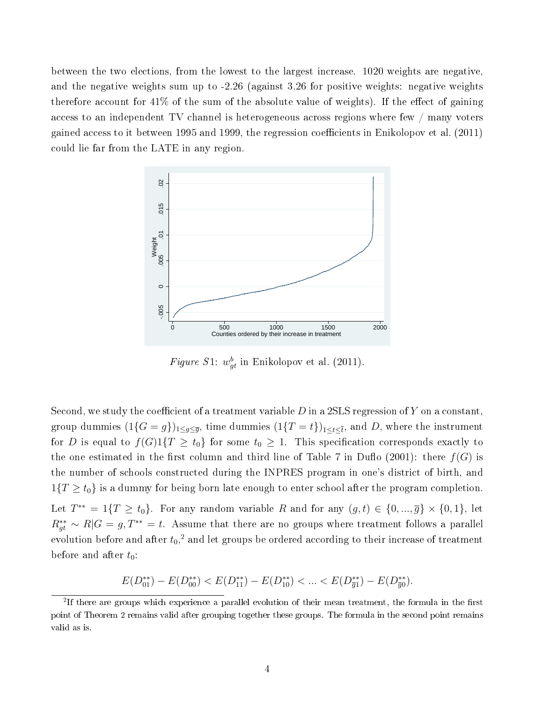between the two elections, from the lowest to the largest increase. 1020 weights are negative, and the negative weights sum up to -2.26 (against 3.26 for positive weights: negative weights therefore account for  $41\%$  of the sum of the absolute value of weights). If the effect of gaining access to an independent TV channel is heterogeneous across regions where few / many voters gained access to it between 1995 and 1999, the regression coefficients in Enikolopov et al.  $(2011)$ could lie far from the LATE in any region.



Figure S1:  $w_{gt}^b$  in Enikolopov et al. (2011).

Second, we study the coefficient of a treatment variable  $D$  in a 2SLS regression of  $Y$  on a constant, group dummies  $(1\{G=g\})_{1\leq g\leq \overline{g}},$  time dummies  $(1\{T=t\})_{1\leq t\leq \overline{t}},$  and  $D,$  where the instrument for D is equal to  $f(G)1\{T \ge t_0\}$  for some  $t_0 \ge 1$ . This specification corresponds exactly to the one estimated in the first column and third line of Table 7 in Duflo (2001): there  $f(G)$  is the number of schools constructed during the INPRES program in one's district of birth, and  $1\{T \ge t_0\}$  is a dummy for being born late enough to enter school after the program completion. Let  $T^{**} = 1\{T \ge t_0\}$ . For any random variable R and for any  $(g, t) \in \{0, ..., \overline{g}\} \times \{0, 1\}$ , let  $R_{gt}^{**} \sim R|G = g$ ,  $T^{**} = t$ . Assume that there are no groups where treatment follows a parallel evolution before and after  $t_0,^2$  and let groups be ordered according to their increase of treatment before and after  $t_0$ :

$$
E(D_{01}^{**}) - E(D_{00}^{**}) < E(D_{11}^{**}) - E(D_{10}^{**}) < \ldots < E(D_{\overline{g1}}^{**}) - E(D_{\overline{g0}}^{**}).
$$

 $2$ If there are groups which experience a parallel evolution of their mean treatment, the formula in the first point of Theorem 2 remains valid after grouping together these groups. The formula in the second point remains valid as is.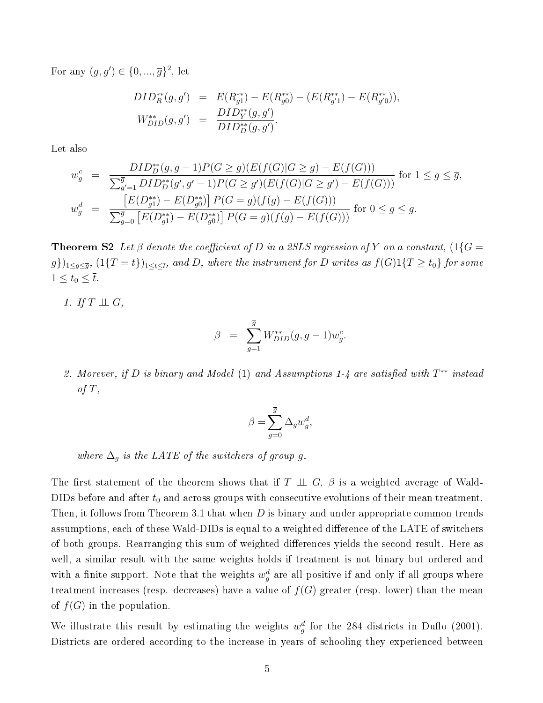For any  $(g, g') \in \{0, ..., \overline{g}\}^2$ , let

$$
DID_R^{**}(g, g') = E(R_{g1}^{**}) - E(R_{g0}^{**}) - (E(R_{g'1}^{**}) - E(R_{g'0}^{**})),
$$
  
\n
$$
W_{DID}^{**}(g, g') = \frac{DID_Y^{**}(g, g')}{DID_D^{**}(g, g')}.
$$

Let also

$$
w_g^c = \frac{DID_D^{**}(g, g-1)P(G \ge g)(E(f(G)|G \ge g) - E(f(G)))}{\sum_{g'=1}^{\overline{g}} DID_D^{**}(g', g'-1)P(G \ge g')(E(f(G)|G \ge g') - E(f(G)))} \text{ for } 1 \le g \le \overline{g},
$$
  

$$
w_g^d = \frac{[E(D_{g1}^{**}) - E(D_{g0}^{**})]P(G = g)(f(g) - E(f(G)))}{\sum_{g=0}^{\overline{g}} [E(D_{g1}^{**}) - E(D_{g0}^{**})]P(G = g)(f(g) - E(f(G)))} \text{ for } 0 \le g \le \overline{g}.
$$

**Theorem S2** Let β denote the coefficient of D in a 2SLS regression of Y on a constant,  $(1\{G =$  $(g\})_{1\leq g\leq\overline{g}},\,(1\{T=t\})_{1\leq t\leq\overline{t}},\,and\,D,\,where\,\,the\,\,instrument\,for\,D\,\,writes\,\,as\,\,f(G)1\{T\geq t_0\}\,\,for\,\,some\,\,p\in\{0\}\,\,for\,\,s\neq\emptyset\}$  $1 \le t_0 \le \overline{t}.$ 

1. If  $T \perp \!\!\! \perp G$ ,

$$
\beta = \sum_{g=1}^{\overline{g}} W_{DID}^{**}(g, g-1) w_g^c.
$$

2. Morever, if D is binary and Model (1) and Assumptions 1-4 are satisfied with  $T^{**}$  instead of  $T$ ,

$$
\beta = \sum_{g=0}^{\overline{g}} \Delta_g w_g^d,
$$

where  $\Delta_q$  is the LATE of the switchers of group g.

The first statement of the theorem shows that if  $T \perp \!\!\! \perp G$ ,  $\beta$  is a weighted average of Wald-DIDs before and after  $t_0$  and across groups with consecutive evolutions of their mean treatment. Then, it follows from Theorem 3.1 that when D is binary and under appropriate common trends assumptions, each of these Wald-DIDs is equal to a weighted difference of the LATE of switchers of both groups. Rearranging this sum of weighted differences yields the second result. Here as well, a similar result with the same weights holds if treatment is not binary but ordered and with a finite support. Note that the weights  $w_g^d$  are all positive if and only if all groups where treatment increases (resp. decreases) have a value of  $f(G)$  greater (resp. lower) than the mean of  $f(G)$  in the population.

We illustrate this result by estimating the weights  $w_g^d$  for the 284 districts in Duflo (2001). Districts are ordered according to the increase in years of schooling they experienced between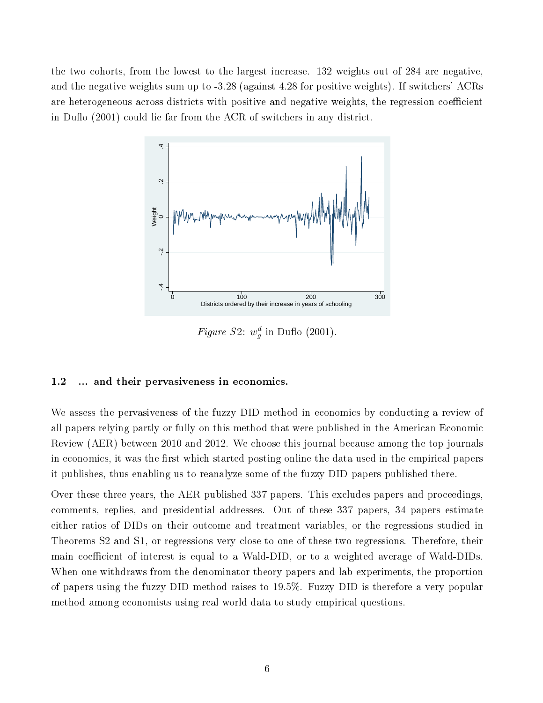the two cohorts, from the lowest to the largest increase. 132 weights out of 284 are negative, and the negative weights sum up to -3.28 (against 4.28 for positive weights). If switchers' ACRs are heterogeneous across districts with positive and negative weights, the regression coefficient in Duflo  $(2001)$  could lie far from the ACR of switchers in any district.



Figure S2:  $w_g^d$  in Duflo (2001).

### 1.2 ... and their pervasiveness in economics.

We assess the pervasiveness of the fuzzy DID method in economics by conducting a review of all papers relying partly or fully on this method that were published in the American Economic Review (AER) between 2010 and 2012. We choose this journal because among the top journals in economics, it was the first which started posting online the data used in the empirical papers it publishes, thus enabling us to reanalyze some of the fuzzy DID papers published there.

Over these three years, the AER published 337 papers. This excludes papers and proceedings, comments, replies, and presidential addresses. Out of these 337 papers, 34 papers estimate either ratios of DIDs on their outcome and treatment variables, or the regressions studied in Theorems S2 and S1, or regressions very close to one of these two regressions. Therefore, their main coefficient of interest is equal to a Wald-DID, or to a weighted average of Wald-DIDs. When one withdraws from the denominator theory papers and lab experiments, the proportion of papers using the fuzzy DID method raises to 19.5%. Fuzzy DID is therefore a very popular method among economists using real world data to study empirical questions.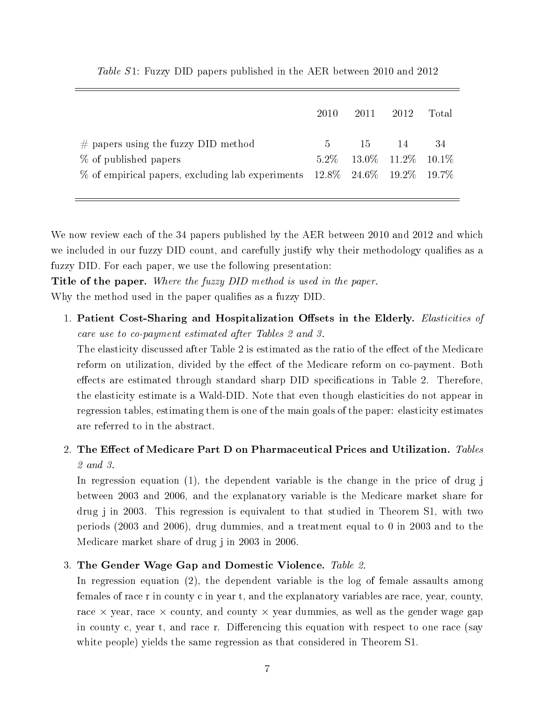|                                                                                                                                                               | 2010  | 2011  | 2012                                        | Total |
|---------------------------------------------------------------------------------------------------------------------------------------------------------------|-------|-------|---------------------------------------------|-------|
| $\#$ papers using the fuzzy DID method<br>% of published papers<br>$\%$ of empirical papers, excluding lab experiments $12.8\%$ 24.6 $\%$ 19.2 $\%$ 19.7 $\%$ | $5 -$ | -15 - | $-14$<br>$5.2\%$ $13.0\%$ $11.2\%$ $10.1\%$ | 34    |

Table S1: Fuzzy DID papers published in the AER between 2010 and 2012

We now review each of the 34 papers published by the AER between 2010 and 2012 and which we included in our fuzzy DID count, and carefully justify why their methodology qualifies as a fuzzy DID. For each paper, we use the following presentation:

**Title of the paper.** Where the fuzzy DID method is used in the paper. Why the method used in the paper qualifies as a fuzzy DID.

1. Patient Cost-Sharing and Hospitalization Offsets in the Elderly. Elasticities of care use to co-payment estimated after Tables 2 and 3.

The elasticity discussed after Table 2 is estimated as the ratio of the effect of the Medicare reform on utilization, divided by the effect of the Medicare reform on co-payment. Both effects are estimated through standard sharp DID specifications in Table 2. Therefore, the elasticity estimate is a Wald-DID. Note that even though elasticities do not appear in regression tables, estimating them is one of the main goals of the paper: elasticity estimates are referred to in the abstract.

### 2. The Effect of Medicare Part D on Pharmaceutical Prices and Utilization. Tables 2 and 3.

In regression equation (1), the dependent variable is the change in the price of drug j between 2003 and 2006, and the explanatory variable is the Medicare market share for drug j in 2003. This regression is equivalent to that studied in Theorem S1, with two periods (2003 and 2006), drug dummies, and a treatment equal to 0 in 2003 and to the Medicare market share of drug j in 2003 in 2006.

### 3. The Gender Wage Gap and Domestic Violence. Table 2.

In regression equation (2), the dependent variable is the log of female assaults among females of race r in county c in year t, and the explanatory variables are race, year, county, race  $\times$  year, race  $\times$  county, and county  $\times$  year dummies, as well as the gender wage gap in county c, year t, and race r. Differencing this equation with respect to one race (say white people) yields the same regression as that considered in Theorem S1.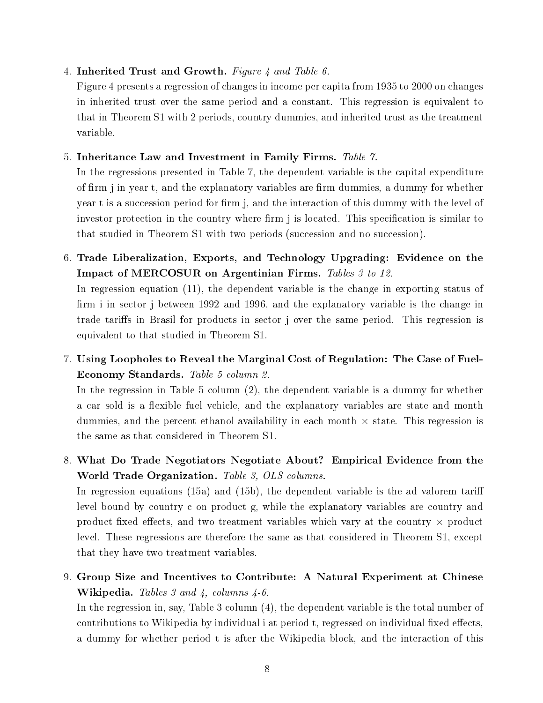### 4. Inherited Trust and Growth. Figure 4 and Table 6.

Figure 4 presents a regression of changes in income per capita from 1935 to 2000 on changes in inherited trust over the same period and a constant. This regression is equivalent to that in Theorem S1 with 2 periods, country dummies, and inherited trust as the treatment variable.

### 5. Inheritance Law and Investment in Family Firms. Table 7.

In the regressions presented in Table 7, the dependent variable is the capital expenditure of firm j in year t, and the explanatory variables are firm dummies, a dummy for whether year t is a succession period for firm j, and the interaction of this dummy with the level of investor protection in the country where firm j is located. This specification is similar to that studied in Theorem S1 with two periods (succession and no succession).

6. Trade Liberalization, Exports, and Technology Upgrading: Evidence on the Impact of MERCOSUR on Argentinian Firms. Tables 3 to 12.

In regression equation (11), the dependent variable is the change in exporting status of firm i in sector j between 1992 and 1996, and the explanatory variable is the change in trade tariffs in Brasil for products in sector j over the same period. This regression is equivalent to that studied in Theorem S1.

7. Using Loopholes to Reveal the Marginal Cost of Regulation: The Case of Fuel-Economy Standards. Table 5 column 2.

In the regression in Table 5 column (2), the dependent variable is a dummy for whether a car sold is a flexible fuel vehicle, and the explanatory variables are state and month dummies, and the percent ethanol availability in each month  $\times$  state. This regression is the same as that considered in Theorem S1.

8. What Do Trade Negotiators Negotiate About? Empirical Evidence from the World Trade Organization. Table 3, OLS columns.

In regression equations (15a) and (15b), the dependent variable is the ad valorem tariff level bound by country c on product g, while the explanatory variables are country and product fixed effects, and two treatment variables which vary at the country  $\times$  product level. These regressions are therefore the same as that considered in Theorem S1, except that they have two treatment variables.

9. Group Size and Incentives to Contribute: A Natural Experiment at Chinese **Wikipedia.** Tables 3 and 4, columns  $4-6$ .

In the regression in, say, Table 3 column (4), the dependent variable is the total number of contributions to Wikipedia by individual i at period t, regressed on individual fixed effects, a dummy for whether period t is after the Wikipedia block, and the interaction of this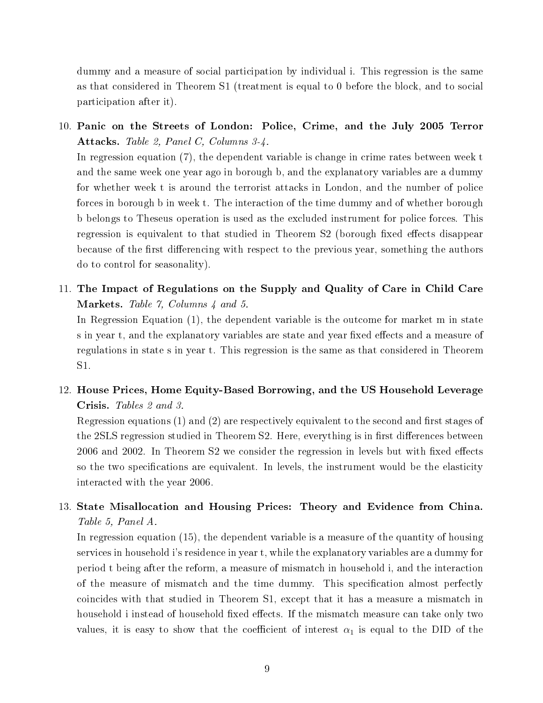dummy and a measure of social participation by individual i. This regression is the same as that considered in Theorem S1 (treatment is equal to 0 before the block, and to social participation after it).

10. Panic on the Streets of London: Police, Crime, and the July 2005 Terror Attacks. Table 2, Panel C, Columns 3-4.

In regression equation (7), the dependent variable is change in crime rates between week t and the same week one year ago in borough b, and the explanatory variables are a dummy for whether week t is around the terrorist attacks in London, and the number of police forces in borough b in week t. The interaction of the time dummy and of whether borough b belongs to Theseus operation is used as the excluded instrument for police forces. This regression is equivalent to that studied in Theorem S2 (borough fixed effects disappear because of the first differencing with respect to the previous year, something the authors do to control for seasonality).

11. The Impact of Regulations on the Supply and Quality of Care in Child Care Markets. Table 7, Columns 4 and 5.

In Regression Equation (1), the dependent variable is the outcome for market m in state s in year t, and the explanatory variables are state and year fixed effects and a measure of regulations in state s in year t. This regression is the same as that considered in Theorem S1.

12. House Prices, Home Equity-Based Borrowing, and the US Household Leverage Crisis. Tables 2 and 3.

Regression equations  $(1)$  and  $(2)$  are respectively equivalent to the second and first stages of the 2SLS regression studied in Theorem S2. Here, everything is in first differences between  $2006$  and  $2002$ . In Theorem S2 we consider the regression in levels but with fixed effects so the two specifications are equivalent. In levels, the instrument would be the elasticity interacted with the year 2006.

### 13. State Misallocation and Housing Prices: Theory and Evidence from China. Table 5, Panel A.

In regression equation (15), the dependent variable is a measure of the quantity of housing services in household i's residence in year t, while the explanatory variables are a dummy for period t being after the reform, a measure of mismatch in household i, and the interaction of the measure of mismatch and the time dummy. This specification almost perfectly coincides with that studied in Theorem S1, except that it has a measure a mismatch in household i instead of household fixed effects. If the mismatch measure can take only two values, it is easy to show that the coefficient of interest  $\alpha_1$  is equal to the DID of the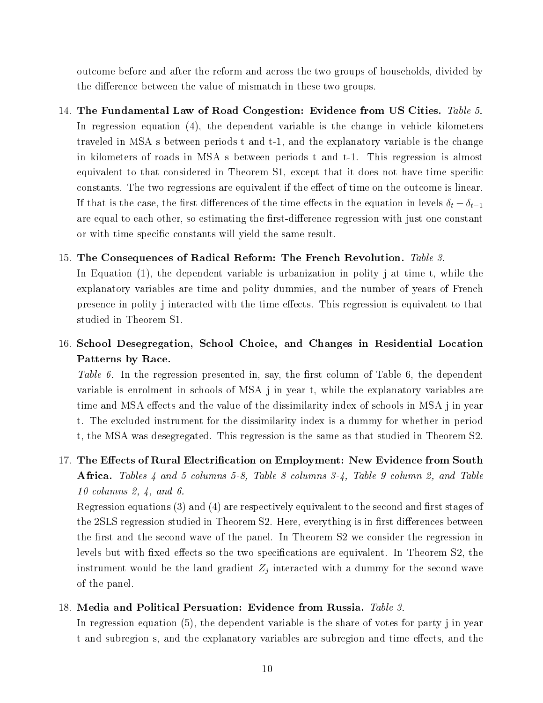outcome before and after the reform and across the two groups of households, divided by the difference between the value of mismatch in these two groups.

14. The Fundamental Law of Road Congestion: Evidence from US Cities. Table 5. In regression equation (4), the dependent variable is the change in vehicle kilometers traveled in MSA s between periods t and t-1, and the explanatory variable is the change in kilometers of roads in MSA s between periods t and t-1. This regression is almost equivalent to that considered in Theorem S1, except that it does not have time specific constants. The two regressions are equivalent if the effect of time on the outcome is linear. If that is the case, the first differences of the time effects in the equation in levels  $\delta_t - \delta_{t-1}$ are equal to each other, so estimating the first-difference regression with just one constant or with time specific constants will yield the same result.

### 15. The Consequences of Radical Reform: The French Revolution. Table 3.

In Equation (1), the dependent variable is urbanization in polity j at time t, while the explanatory variables are time and polity dummies, and the number of years of French presence in polity j interacted with the time effects. This regression is equivalent to that studied in Theorem S1.

16. School Desegregation, School Choice, and Changes in Residential Location Patterns by Race.

Table 6. In the regression presented in, say, the first column of Table 6, the dependent variable is enrolment in schools of MSA j in year t, while the explanatory variables are time and MSA effects and the value of the dissimilarity index of schools in MSA j in year t. The excluded instrument for the dissimilarity index is a dummy for whether in period t, the MSA was desegregated. This regression is the same as that studied in Theorem S2.

17. The Effects of Rural Electrification on Employment: New Evidence from South Africa. Tables  $\frac{1}{4}$  and 5 columns 5-8, Table 8 columns 3- $\frac{1}{4}$ , Table 9 column 2, and Table 10 columns 2, 4, and 6.

Regression equations  $(3)$  and  $(4)$  are respectively equivalent to the second and first stages of the 2SLS regression studied in Theorem S2. Here, everything is in first differences between the first and the second wave of the panel. In Theorem S2 we consider the regression in levels but with fixed effects so the two specifications are equivalent. In Theorem S2, the instrument would be the land gradient  $Z_j$  interacted with a dummy for the second wave of the panel.

### 18. Media and Political Persuation: Evidence from Russia. Table 3.

In regression equation (5), the dependent variable is the share of votes for party j in year t and subregion s, and the explanatory variables are subregion and time effects, and the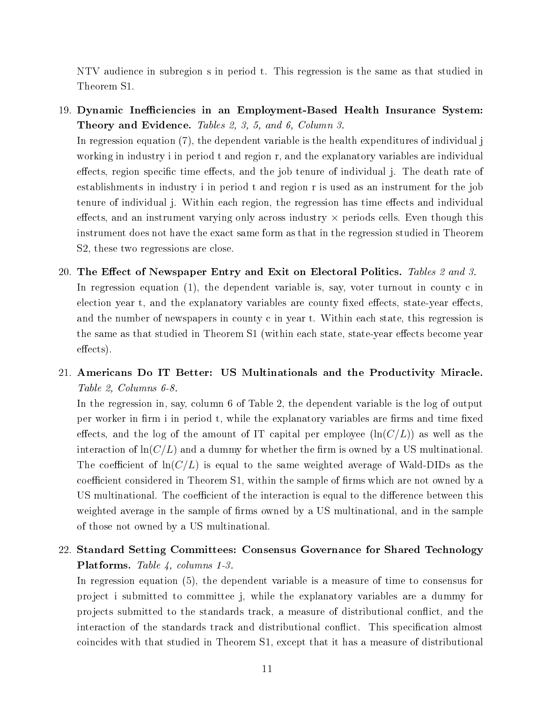NTV audience in subregion s in period t. This regression is the same as that studied in Theorem S1.

- 19. Dynamic Ineciencies in an Employment-Based Health Insurance System: Theory and Evidence. Tables 2, 3, 5, and 6, Column 3. In regression equation (7), the dependent variable is the health expenditures of individual j working in industry i in period t and region r, and the explanatory variables are individual effects, region specific time effects, and the job tenure of individual j. The death rate of establishments in industry i in period t and region r is used as an instrument for the job tenure of individual j. Within each region, the regression has time effects and individual effects, and an instrument varying only across industry  $\times$  periods cells. Even though this instrument does not have the exact same form as that in the regression studied in Theorem S2, these two regressions are close.
- 20. The Effect of Newspaper Entry and Exit on Electoral Politics. Tables 2 and 3. In regression equation (1), the dependent variable is, say, voter turnout in county c in election year t, and the explanatory variables are county fixed effects, state-year effects, and the number of newspapers in county c in year t. Within each state, this regression is the same as that studied in Theorem S1 (within each state, state-year effects become year effects).
- 21. Americans Do IT Better: US Multinationals and the Productivity Miracle. Table 2, Columns 6-8.

In the regression in, say, column 6 of Table 2, the dependent variable is the log of output per worker in firm i in period t, while the explanatory variables are firms and time fixed effects, and the log of the amount of IT capital per employee  $(\ln(C/L))$  as well as the interaction of  $\ln(C/L)$  and a dummy for whether the firm is owned by a US multinational. The coefficient of  $\ln(C/L)$  is equal to the same weighted average of Wald-DIDs as the coefficient considered in Theorem S1, within the sample of firms which are not owned by a US multinational. The coefficient of the interaction is equal to the difference between this weighted average in the sample of firms owned by a US multinational, and in the sample of those not owned by a US multinational.

### 22. Standard Setting Committees: Consensus Governance for Shared Technology Platforms. Table 4, columns 1-3.

In regression equation (5), the dependent variable is a measure of time to consensus for project i submitted to committee j, while the explanatory variables are a dummy for projects submitted to the standards track, a measure of distributional conflict, and the interaction of the standards track and distributional conflict. This specification almost coincides with that studied in Theorem S1, except that it has a measure of distributional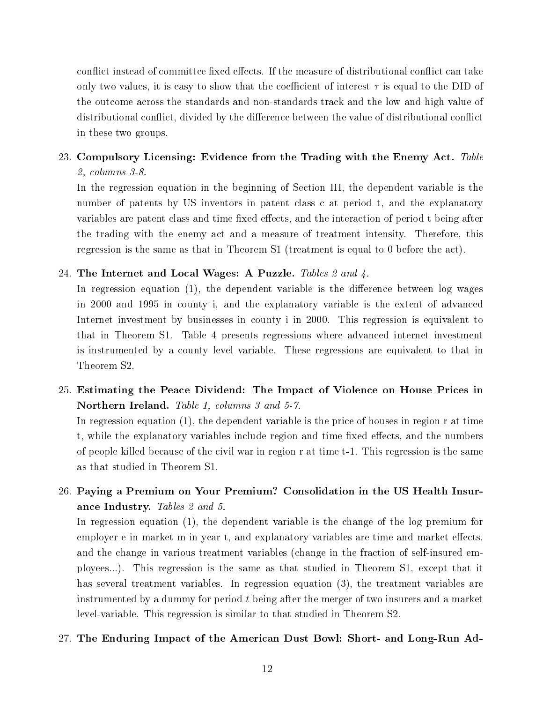conflict instead of committee fixed effects. If the measure of distributional conflict can take only two values, it is easy to show that the coefficient of interest  $\tau$  is equal to the DID of the outcome across the standards and non-standards track and the low and high value of distributional conflict, divided by the difference between the value of distributional conflict in these two groups.

### 23. Compulsory Licensing: Evidence from the Trading with the Enemy Act. Table 2, columns 3-8.

In the regression equation in the beginning of Section III, the dependent variable is the number of patents by US inventors in patent class c at period t, and the explanatory variables are patent class and time fixed effects, and the interaction of period t being after the trading with the enemy act and a measure of treatment intensity. Therefore, this regression is the same as that in Theorem S1 (treatment is equal to 0 before the act).

### 24. The Internet and Local Wages: A Puzzle. Tables 2 and 4.

In regression equation  $(1)$ , the dependent variable is the difference between log wages in 2000 and 1995 in county i, and the explanatory variable is the extent of advanced Internet investment by businesses in county i in 2000. This regression is equivalent to that in Theorem S1. Table 4 presents regressions where advanced internet investment is instrumented by a county level variable. These regressions are equivalent to that in Theorem S2.

25. Estimating the Peace Dividend: The Impact of Violence on House Prices in Northern Ireland. Table 1, columns 3 and 5-7.

In regression equation (1), the dependent variable is the price of houses in region r at time t, while the explanatory variables include region and time fixed effects, and the numbers of people killed because of the civil war in region r at time t-1. This regression is the same as that studied in Theorem S1.

### 26. Paying a Premium on Your Premium? Consolidation in the US Health Insurance Industry. Tables 2 and 5.

In regression equation (1), the dependent variable is the change of the log premium for employer e in market m in year t, and explanatory variables are time and market effects, and the change in various treatment variables (change in the fraction of self-insured employees...). This regression is the same as that studied in Theorem S1, except that it has several treatment variables. In regression equation (3), the treatment variables are instrumented by a dummy for period  $t$  being after the merger of two insurers and a market level-variable. This regression is similar to that studied in Theorem S2.

### 27. The Enduring Impact of the American Dust Bowl: Short- and Long-Run Ad-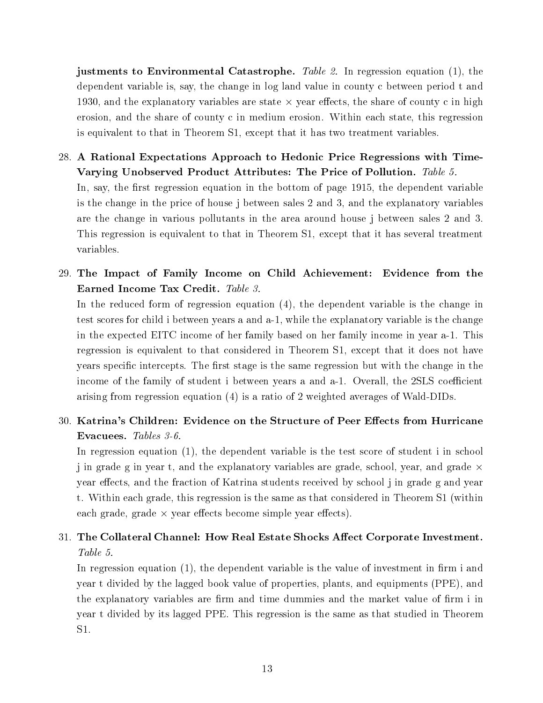justments to Environmental Catastrophe. Table 2. In regression equation  $(1)$ , the dependent variable is, say, the change in log land value in county c between period t and 1930, and the explanatory variables are state  $\times$  year effects, the share of county c in high erosion, and the share of county c in medium erosion. Within each state, this regression is equivalent to that in Theorem S1, except that it has two treatment variables.

- 28. A Rational Expectations Approach to Hedonic Price Regressions with Time-Varying Unobserved Product Attributes: The Price of Pollution. Table 5. In, say, the first regression equation in the bottom of page 1915, the dependent variable is the change in the price of house j between sales 2 and 3, and the explanatory variables are the change in various pollutants in the area around house j between sales 2 and 3. This regression is equivalent to that in Theorem S1, except that it has several treatment variables.
- 29. The Impact of Family Income on Child Achievement: Evidence from the Earned Income Tax Credit. Table 3.

In the reduced form of regression equation (4), the dependent variable is the change in test scores for child i between years a and a-1, while the explanatory variable is the change in the expected EITC income of her family based on her family income in year a-1. This regression is equivalent to that considered in Theorem S1, except that it does not have years specific intercepts. The first stage is the same regression but with the change in the income of the family of student i between years a and a-1. Overall, the 2SLS coefficient arising from regression equation (4) is a ratio of 2 weighted averages of Wald-DIDs.

30. Katrina's Children: Evidence on the Structure of Peer Effects from Hurricane Evacuees. Tables 3-6.

In regression equation (1), the dependent variable is the test score of student i in school j in grade g in year t, and the explanatory variables are grade, school, year, and grade  $\times$ year effects, and the fraction of Katrina students received by school j in grade g and year t. Within each grade, this regression is the same as that considered in Theorem S1 (within each grade, grade  $\times$  year effects become simple year effects).

### 31. The Collateral Channel: How Real Estate Shocks Affect Corporate Investment. Table 5.

In regression equation  $(1)$ , the dependent variable is the value of investment in firm i and year t divided by the lagged book value of properties, plants, and equipments (PPE), and the explanatory variables are firm and time dummies and the market value of firm i in year t divided by its lagged PPE. This regression is the same as that studied in Theorem S1.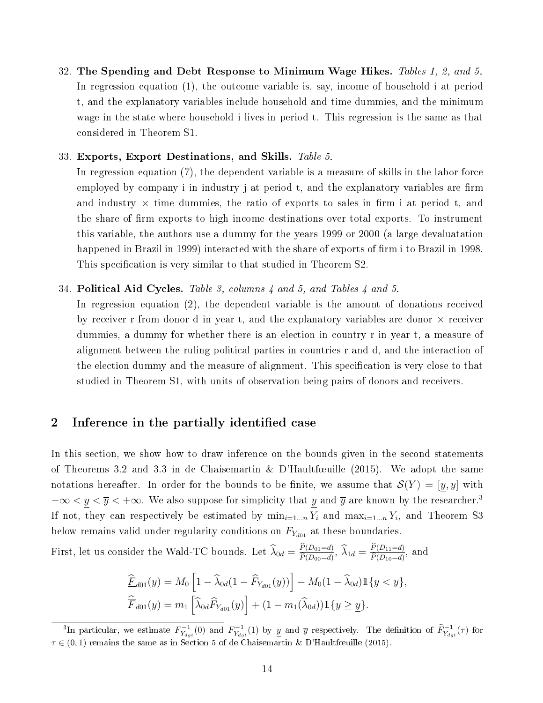32. The Spending and Debt Response to Minimum Wage Hikes. Tables 1, 2, and 5. In regression equation (1), the outcome variable is, say, income of household i at period t, and the explanatory variables include household and time dummies, and the minimum wage in the state where household i lives in period t. This regression is the same as that considered in Theorem S1.

### 33. Exports, Export Destinations, and Skills. Table 5.

In regression equation (7), the dependent variable is a measure of skills in the labor force employed by company i in industry j at period t, and the explanatory variables are firm and industry  $\times$  time dummies, the ratio of exports to sales in firm i at period t, and the share of firm exports to high income destinations over total exports. To instrument this variable, the authors use a dummy for the years 1999 or 2000 (a large devaluatation happened in Brazil in 1999) interacted with the share of exports of firm i to Brazil in 1998. This specification is very similar to that studied in Theorem S2.

### 34. Political Aid Cycles. Table 3, columns 4 and 5, and Tables 4 and 5.

In regression equation (2), the dependent variable is the amount of donations received by receiver r from donor d in year t, and the explanatory variables are donor  $\times$  receiver dummies, a dummy for whether there is an election in country r in year t, a measure of alignment between the ruling political parties in countries r and d, and the interaction of the election dummy and the measure of alignment. This specification is very close to that studied in Theorem S1, with units of observation being pairs of donors and receivers.

### 2 Inference in the partially identified case

In this section, we show how to draw inference on the bounds given in the second statements of Theorems 3.2 and 3.3 in de Chaisemartin & D'Haultfœuille (2015). We adopt the same notations hereafter. In order for the bounds to be finite, we assume that  $\mathcal{S}(Y) = [y, \overline{y}]$  with  $-\infty < y < \overline{y} < +\infty$ . We also suppose for simplicity that y and  $\overline{y}$  are known by the researcher.<sup>3</sup> If not, they can respectively be estimated by  $\min_{i=1...n} Y_i$  and  $\max_{i=1...n} Y_i$ , and Theorem S3 below remains valid under regularity conditions on  $F_{Y_{d01}}$  at these boundaries.

First, let us consider the Wald-TC bounds. Let  $\widehat{\lambda}_{0d} = \frac{P(D_{01}=d)}{\widehat{P}(D_{00}=d)}$  $\frac{P(D_{01}=d)}{\widehat{P}(D_{00}=d)}, \ \widehat{\lambda}_{1d} = \frac{P(D_{11}=d)}{\widehat{P}(D_{10}=d)}$  $P(D_{10}=d)$ , and

$$
\begin{aligned}\n\widehat{\underline{F}}_{d01}(y) &= M_0 \left[ 1 - \widehat{\lambda}_{0d} (1 - \widehat{F}_{Y_{d01}}(y)) \right] - M_0 (1 - \widehat{\lambda}_{0d}) \mathbb{1} \{ y < \overline{y} \}, \\
\widehat{\overline{F}}_{d01}(y) &= m_1 \left[ \widehat{\lambda}_{0d} \widehat{F}_{Y_{d01}}(y) \right] + (1 - m_1(\widehat{\lambda}_{0d})) \mathbb{1} \{ y \ge \underline{y} \}.\n\end{aligned}
$$

<sup>&</sup>lt;sup>3</sup>In particular, we estimate  $F_{Y_{dgt}}^{-1}(0)$  and  $F_{Y_{dgt}}^{-1}(1)$  by y and  $\overline{y}$  respectively. The definition of  $\widehat{F}_{Y_{dgt}}^{-1}(\tau)$  for  $\tau \in (0,1)$  remains the same as in Section 5 of de Chaisemartin & D'Haultfœuille (2015).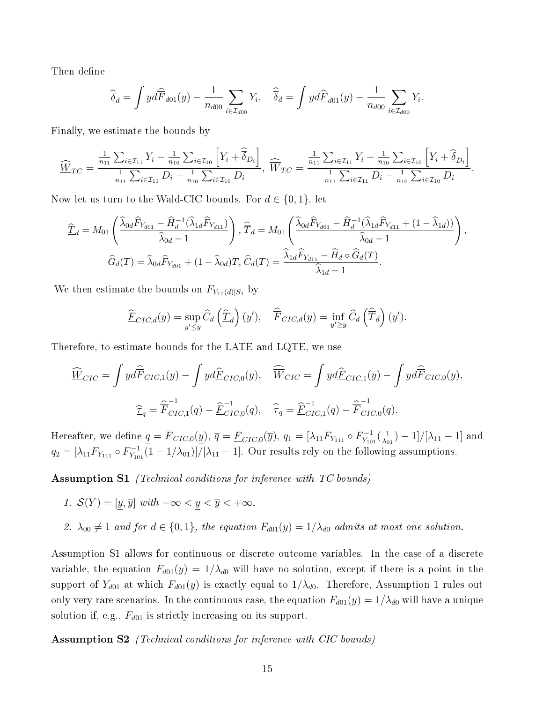Then define

$$
\widehat{\underline{\delta}}_d = \int y d\widehat{F}_{d01}(y) - \frac{1}{n_{d00}} \sum_{i \in \mathcal{I}_{d00}} Y_i, \quad \widehat{\overline{\delta}}_d = \int y d\underline{\widehat{F}}_{d01}(y) - \frac{1}{n_{d00}} \sum_{i \in \mathcal{I}_{d00}} Y_i.
$$

Finally, we estimate the bounds by

$$
\widehat{W}_{TC} = \frac{\frac{1}{n_{11}} \sum_{i \in \mathcal{I}_{11}} Y_i - \frac{1}{n_{10}} \sum_{i \in \mathcal{I}_{10}} \left[ Y_i + \widehat{\overline{\delta}}_{D_i} \right]}{\frac{1}{n_{11}} \sum_{i \in \mathcal{I}_{11}} D_i - \frac{1}{n_{10}} \sum_{i \in \mathcal{I}_{10}} D_i}, \quad \widehat{W}_{TC} = \frac{\frac{1}{n_{11}} \sum_{i \in \mathcal{I}_{11}} Y_i - \frac{1}{n_{10}} \sum_{i \in \mathcal{I}_{10}} \left[ Y_i + \widehat{\overline{\delta}}_{D_i} \right]}{\frac{1}{n_{11}} \sum_{i \in \mathcal{I}_{11}} D_i - \frac{1}{n_{10}} \sum_{i \in \mathcal{I}_{10}} D_i}.
$$

Now let us turn to the Wald-CIC bounds. For  $d \in \{0, 1\}$ , let

$$
\widehat{\underline{T}}_d = M_{01} \left( \frac{\widehat{\lambda}_{0d} \widehat{F}_{Y_{d01}} - \widehat{H}_d^{-1} (\widehat{\lambda}_{1d} \widehat{F}_{Y_{d11}})}{\widehat{\lambda}_{0d} - 1} \right), \, \widehat{\overline{T}}_d = M_{01} \left( \frac{\widehat{\lambda}_{0d} \widehat{F}_{Y_{d01}} - \widehat{H}_d^{-1} (\widehat{\lambda}_{1d} \widehat{F}_{Y_{d11}} + (1 - \widehat{\lambda}_{1d}))}{\widehat{\lambda}_{0d} - 1} \right),
$$
\n
$$
\widehat{G}_d(T) = \widehat{\lambda}_{0d} \widehat{F}_{Y_{d01}} + (1 - \widehat{\lambda}_{0d}) T, \, \widehat{C}_d(T) = \frac{\widehat{\lambda}_{1d} \widehat{F}_{Y_{d11}} - \widehat{H}_d \circ \widehat{G}_d(T)}{\widehat{\lambda}_{1d} - 1}.
$$

We then estimate the bounds on  $F_{Y_{11}(d)|S_1}$  by

$$
\widehat{F}_{CIC,d}(y) = \sup_{y' \le y} \widehat{C}_d \left( \widehat{T}_d \right)(y'), \quad \widehat{\overline{F}}_{CIC,d}(y) = \inf_{y' \ge y} \widehat{C}_d \left( \widehat{\overline{T}}_d \right)(y').
$$

Therefore, to estimate bounds for the LATE and LQTE, we use

$$
\widehat{\underline{W}}_{CIC} = \int y d\widehat{\overline{F}}_{CIC,1}(y) - \int y d\underline{\widehat{F}}_{CIC,0}(y), \quad \widehat{\overline{W}}_{CIC} = \int y d\underline{\widehat{F}}_{CIC,1}(y) - \int y d\widehat{\overline{F}}_{CIC,0}(y),
$$

$$
\widehat{\underline{\tau}}_q = \widehat{\overline{F}}_{CIC,1}^{-1}(q) - \widehat{\underline{F}}_{CIC,0}^{-1}(q), \quad \widehat{\overline{\tau}}_q = \widehat{\underline{F}}_{CIC,1}^{-1}(q) - \widehat{\overline{F}}_{CIC,0}^{-1}(q).
$$

Hereafter, we define  $q = \overline{F}_{CIC,0}(y), \, \overline{q} = \underline{F}_{CIC,0}(\overline{y}), \, q_1 = [\lambda_{11} F_{Y_{111}} \circ F_{Y_{10}}^{-1}]$  $\frac{1}{Y_{101}}(\frac{1}{\lambda_0}$  $\frac{1}{\lambda_{01}}$ ) – 1]/[ $\lambda_{11}$  – 1] and  $q_2 = [\lambda_{11} F_{Y_{111}} \circ F_{Y_{10}}^{-1}]$  $Y_{Y_{101}}^{-1}(1-1/\lambda_{01})]/[\lambda_{11}-1]$ . Our results rely on the following assumptions.

Assumption S1 (Technical conditions for inference with TC bounds)

- 1.  $\mathcal{S}(Y) = [y, \overline{y}]$  with  $-\infty < y < \overline{y} < +\infty$ .
- 2.  $\lambda_{00} \neq 1$  and for  $d \in \{0,1\}$ , the equation  $F_{d01}(y) = 1/\lambda_{d0}$  admits at most one solution.

Assumption S1 allows for continuous or discrete outcome variables. In the case of a discrete variable, the equation  $F_{d01}(y) = 1/\lambda_{d0}$  will have no solution, except if there is a point in the support of  $Y_{d01}$  at which  $F_{d01}(y)$  is exactly equal to  $1/\lambda_{d0}$ . Therefore, Assumption 1 rules out only very rare scenarios. In the continuous case, the equation  $F_{d01}(y) = 1/\lambda_{d0}$  will have a unique solution if, e.g.,  $F_{d01}$  is strictly increasing on its support.

Assumption S2 (Technical conditions for inference with CIC bounds)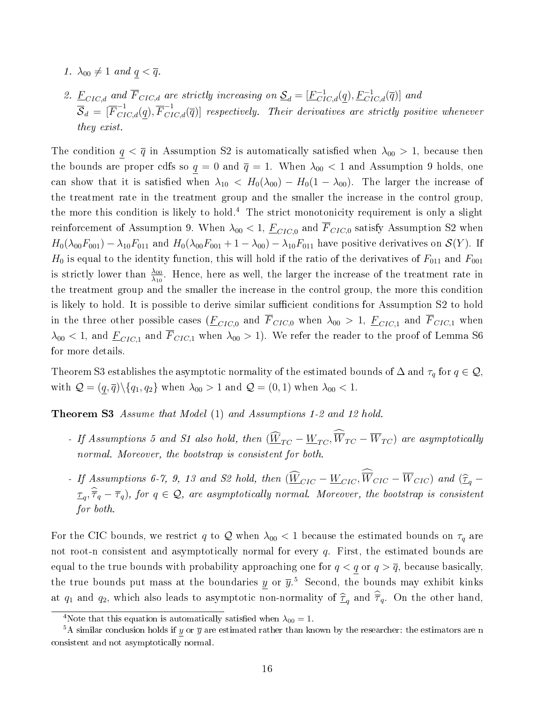- 1.  $\lambda_{00} \neq 1$  and  $q < \overline{q}$ .
- 2.  $\underline{F}_{CIC,d}$  and  $\overline{F}_{CIC,d}$  are strictly increasing on  $\underline{S}_d = [\underline{F}_{CIC,d}^{-1}(\underline{q}), \underline{F}_{CIC,d}^{-1}(\overline{q})]$  and  $\overline{\mathcal{S}}_d$  =  $[\overline{F}_{CIC, d}^{-1}(q), \overline{F}_{CIC, d}^{-1}(\overline{q})]$  respectively. Their derivatives are strictly positive whenever they exist.

The condition  $q < \bar{q}$  in Assumption S2 is automatically satisfied when  $\lambda_{00} > 1$ , because then the bounds are proper cdfs so  $q = 0$  and  $\bar{q} = 1$ . When  $\lambda_{00} < 1$  and Assumption 9 holds, one can show that it is satisfied when  $\lambda_{10} < H_0(\lambda_{00}) - H_0(1 - \lambda_{00})$ . The larger the increase of the treatment rate in the treatment group and the smaller the increase in the control group, the more this condition is likely to hold.<sup>4</sup> The strict monotonicity requirement is only a slight reinforcement of Assumption 9. When  $\lambda_{00} < 1$ ,  $\underline{F}_{CIC,0}$  and  $\overline{F}_{CIC,0}$  satisfy Assumption S2 when  $H_0(\lambda_{00}F_{001}) - \lambda_{10}F_{011}$  and  $H_0(\lambda_{00}F_{001} + 1 - \lambda_{00}) - \lambda_{10}F_{011}$  have positive derivatives on  $\mathcal{S}(Y)$ . If  $H_0$  is equal to the identity function, this will hold if the ratio of the derivatives of  $F_{011}$  and  $F_{001}$ is strictly lower than  $\frac{\lambda_{00}}{\lambda_{10}}$ . Hence, here as well, the larger the increase of the treatment rate in the treatment group and the smaller the increase in the control group, the more this condition is likely to hold. It is possible to derive similar sufficient conditions for Assumption S2 to hold in the three other possible cases  $(E_{CIC,0}$  and  $\overline{F}_{CIC,0}$  when  $\lambda_{00} > 1$ ,  $E_{CIC,1}$  and  $\overline{F}_{CIC,1}$  when  $\lambda_{00}$  < 1, and  $\overline{F}_{CIC,1}$  and  $\overline{F}_{CIC,1}$  when  $\lambda_{00} > 1$ ). We refer the reader to the proof of Lemma S6 for more details.

Theorem S3 establishes the asymptotic normality of the estimated bounds of  $\Delta$  and  $\tau_q$  for  $q \in \mathcal{Q}$ , with  $\mathcal{Q} = (q, \overline{q}) \setminus \{q_1, q_2\}$  when  $\lambda_{00} > 1$  and  $\mathcal{Q} = (0, 1)$  when  $\lambda_{00} < 1$ .

Theorem S3 Assume that Model (1) and Assumptions 1-2 and 12 hold.

- If Assumptions 5 and S1 also hold, then  $(\widehat{W}_{TC} \underline{W}_{TC}, \widehat{\overline{W}}_{TC} \overline{W}_{TC})$  are asymptotically normal. Moreover, the bootstrap is consistent for both.
- If Assumptions 6-7, 9, 13 and S2 hold, then  $(\underline{W}_{CIC} \underline{W}_{CIC}, W_{CIC} W_{CIC})$  and  $(\widehat{\mathcal{I}}_q \widehat{\mathcal{I}}_q)$  $\tau_q, \widehat{\tau}_q - \overline{\tau}_q$ ), for  $q \in \mathcal{Q}$ , are asymptotically normal. Moreover, the bootstrap is consistent for both.

For the CIC bounds, we restrict q to  $\mathcal Q$  when  $\lambda_{00} < 1$  because the estimated bounds on  $\tau_q$  are not root-n consistent and asymptotically normal for every  $q$ . First, the estimated bounds are equal to the true bounds with probability approaching one for  $q < q$  or  $q > \overline{q}$ , because basically, the true bounds put mass at the boundaries y or  $\bar{y}$ .<sup>5</sup> Second, the bounds may exhibit kinks at  $q_1$  and  $q_2$ , which also leads to asymptotic non-normality of  $\widehat{\tau}_q$  and  $\widehat{\overline{\tau}}_q$ . On the other hand,

<sup>&</sup>lt;sup>4</sup>Note that this equation is automatically satisfied when  $\lambda_{00} = 1$ .

 $5A$  similar conclusion holds if y or  $\overline{y}$  are estimated rather than known by the researcher: the estimators are n consistent and not asymptotically normal.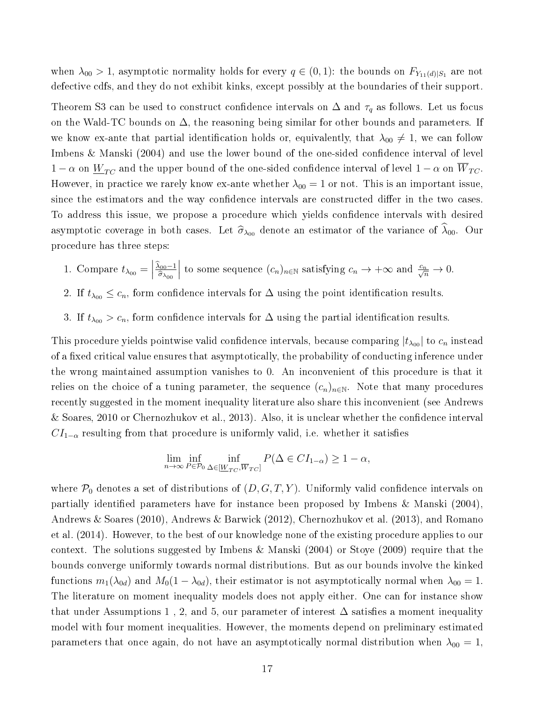when  $\lambda_{00} > 1$ , asymptotic normality holds for every  $q \in (0,1)$ : the bounds on  $F_{Y_{11}(d)|S_1}$  are not defective cdfs, and they do not exhibit kinks, except possibly at the boundaries of their support.

Theorem S3 can be used to construct confidence intervals on  $\Delta$  and  $\tau_q$  as follows. Let us focus on the Wald-TC bounds on  $\Delta$ , the reasoning being similar for other bounds and parameters. If we know ex-ante that partial identification holds or, equivalently, that  $\lambda_{00} \neq 1$ , we can follow Imbens & Manski (2004) and use the lower bound of the one-sided confidence interval of level  $1 - \alpha$  on  $\underline{W}_{TC}$  and the upper bound of the one-sided confidence interval of level  $1 - \alpha$  on  $\overline{W}_{TC}$ . However, in practice we rarely know ex-ante whether  $\lambda_{00} = 1$  or not. This is an important issue, since the estimators and the way confidence intervals are constructed differ in the two cases. To address this issue, we propose a procedure which yields confidence intervals with desired asymptotic coverage in both cases. Let  $\hat{\sigma}_{\lambda_{00}}$  denote an estimator of the variance of  $\hat{\lambda}_{00}$ . Our procedure has three steps:

- 1. Compare  $t_{\lambda_{00}} =$  $\frac{\lambda_{00}-1}{\sim}$  $\widehat{\sigma}_{\lambda_{00}}$ to some sequence  $(c_n)_{n \in \mathbb{N}}$  satisfying  $c_n \to +\infty$  and  $\frac{c_n}{\sqrt{n}} \to 0$ .
- 2. If  $t_{\lambda_{00}} \leq c_n$ , form confidence intervals for  $\Delta$  using the point identification results.
- 3. If  $t_{\lambda_{00}} > c_n$ , form confidence intervals for  $\Delta$  using the partial identification results.

This procedure yields pointwise valid confidence intervals, because comparing  $|t_{\lambda_{00}}|$  to  $c_n$  instead of a fixed critical value ensures that asymptotically, the probability of conducting inference under the wrong maintained assumption vanishes to 0. An inconvenient of this procedure is that it relies on the choice of a tuning parameter, the sequence  $(c_n)_{n\in\mathbb{N}}$ . Note that many procedures recently suggested in the moment inequality literature also share this inconvenient (see Andrews & Soares, 2010 or Chernozhukov et al., 2013). Also, it is unclear whether the condence interval  $CI_{1-\alpha}$  resulting from that procedure is uniformly valid, i.e. whether it satisfies

$$
\lim_{n \to \infty} \inf_{P \in \mathcal{P}_0} \inf_{\Delta \in [\underline{W}_{TC}, \overline{W}_{TC}]} P(\Delta \in CI_{1-\alpha}) \ge 1 - \alpha,
$$

where  $P_0$  denotes a set of distributions of  $(D, G, T, Y)$ . Uniformly valid confidence intervals on partially identified parameters have for instance been proposed by Imbens & Manski  $(2004)$ , Andrews & Soares (2010), Andrews & Barwick (2012), Chernozhukov et al. (2013), and Romano et al. (2014). However, to the best of our knowledge none of the existing procedure applies to our context. The solutions suggested by Imbens & Manski (2004) or Stoye (2009) require that the bounds converge uniformly towards normal distributions. But as our bounds involve the kinked functions  $m_1(\lambda_{0d})$  and  $M_0(1-\lambda_{0d})$ , their estimator is not asymptotically normal when  $\lambda_{00} = 1$ . The literature on moment inequality models does not apply either. One can for instance show that under Assumptions 1, 2, and 5, our parameter of interest  $\Delta$  satisfies a moment inequality model with four moment inequalities. However, the moments depend on preliminary estimated parameters that once again, do not have an asymptotically normal distribution when  $\lambda_{00} = 1$ ,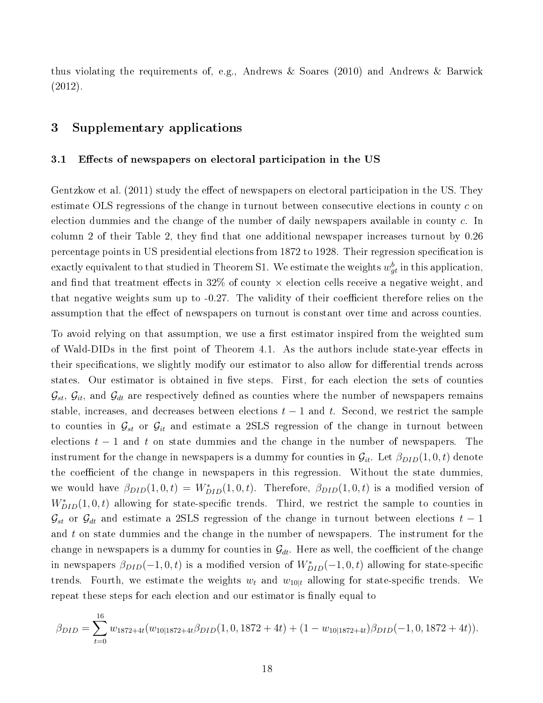thus violating the requirements of, e.g., Andrews & Soares (2010) and Andrews & Barwick (2012).

### 3 Supplementary applications

#### 3.1 Effects of newspapers on electoral participation in the US

Gentzkow et al. (2011) study the effect of newspapers on electoral participation in the US. They estimate OLS regressions of the change in turnout between consecutive elections in county c on election dummies and the change of the number of daily newspapers available in county c. In column 2 of their Table 2, they find that one additional newspaper increases turnout by  $0.26$ percentage points in US presidential elections from 1872 to 1928. Their regression specification is exactly equivalent to that studied in Theorem S1. We estimate the weights  $w_{gt}^b$  in this application, and find that treatment effects in 32% of county  $\times$  election cells receive a negative weight, and that negative weights sum up to  $-0.27$ . The validity of their coefficient therefore relies on the assumption that the effect of newspapers on turnout is constant over time and across counties.

To avoid relying on that assumption, we use a first estimator inspired from the weighted sum of Wald-DIDs in the first point of Theorem 4.1. As the authors include state-year effects in their specifications, we slightly modify our estimator to also allow for differential trends across states. Our estimator is obtained in five steps. First, for each election the sets of counties  $\mathcal{G}_{st}$ ,  $\mathcal{G}_{it}$ , and  $\mathcal{G}_{dt}$  are respectively defined as counties where the number of newspapers remains stable, increases, and decreases between elections  $t-1$  and t. Second, we restrict the sample to counties in  $\mathcal{G}_{st}$  or  $\mathcal{G}_{it}$  and estimate a 2SLS regression of the change in turnout between elections  $t - 1$  and t on state dummies and the change in the number of newspapers. The instrument for the change in newspapers is a dummy for counties in  $\mathcal{G}_{it}$ . Let  $\beta_{DID}(1,0,t)$  denote the coefficient of the change in newspapers in this regression. Without the state dummies, we would have  $\beta_{DID}(1,0,t) = W^*_{DID}(1,0,t)$ . Therefore,  $\beta_{DID}(1,0,t)$  is a modified version of  $W^*_{DID}(1,0,t)$  allowing for state-specific trends. Third, we restrict the sample to counties in  $\mathcal{G}_{st}$  or  $\mathcal{G}_{dt}$  and estimate a 2SLS regression of the change in turnout between elections  $t-1$ and  $t$  on state dummies and the change in the number of newspapers. The instrument for the change in newspapers is a dummy for counties in  $\mathcal{G}_{dt}$ . Here as well, the coefficient of the change in newspapers  $\beta_{DID}(-1,0,t)$  is a modified version of  $W^*_{DID}(-1,0,t)$  allowing for state-specific trends. Fourth, we estimate the weights  $w_t$  and  $w_{10|t}$  allowing for state-specific trends. We repeat these steps for each election and our estimator is finally equal to

$$
\beta_{DID} = \sum_{t=0}^{16} w_{1872+4t} (w_{10|1872+4t} \beta_{DID}(1, 0, 1872 + 4t) + (1 - w_{10|1872+4t}) \beta_{DID}(-1, 0, 1872 + 4t)).
$$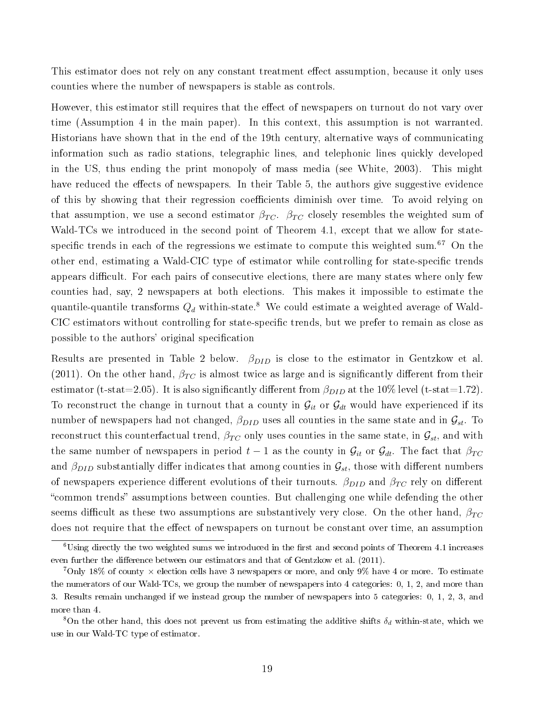This estimator does not rely on any constant treatment effect assumption, because it only uses counties where the number of newspapers is stable as controls.

However, this estimator still requires that the effect of newspapers on turnout do not vary over time (Assumption 4 in the main paper). In this context, this assumption is not warranted. Historians have shown that in the end of the 19th century, alternative ways of communicating information such as radio stations, telegraphic lines, and telephonic lines quickly developed in the US, thus ending the print monopoly of mass media (see White, 2003). This might have reduced the effects of newspapers. In their Table 5, the authors give suggestive evidence of this by showing that their regression coefficients diminish over time. To avoid relying on that assumption, we use a second estimator  $\beta_{TC}$ .  $\beta_{TC}$  closely resembles the weighted sum of Wald-TCs we introduced in the second point of Theorem 4.1, except that we allow for statespecific trends in each of the regressions we estimate to compute this weighted sum.<sup>67</sup> On the other end, estimating a Wald-CIC type of estimator while controlling for state-specific trends appears difficult. For each pairs of consecutive elections, there are many states where only few counties had, say, 2 newspapers at both elections. This makes it impossible to estimate the quantile-quantile transforms  $Q_d$  within-state.<sup>8</sup> We could estimate a weighted average of Wald-CIC estimators without controlling for state-specific trends, but we prefer to remain as close as possible to the authors' original specification

Results are presented in Table 2 below.  $\beta_{DID}$  is close to the estimator in Gentzkow et al. (2011). On the other hand,  $\beta_{TC}$  is almost twice as large and is significantly different from their estimator (t-stat=2.05). It is also significantly different from  $\beta_{DID}$  at the 10% level (t-stat=1.72). To reconstruct the change in turnout that a county in  $\mathcal{G}_{it}$  or  $\mathcal{G}_{dt}$  would have experienced if its number of newspapers had not changed,  $\beta_{DID}$  uses all counties in the same state and in  $\mathcal{G}_{st}$ . To reconstruct this counterfactual trend,  $\beta_{TC}$  only uses counties in the same state, in  $\mathcal{G}_{st}$ , and with the same number of newspapers in period  $t-1$  as the county in  $\mathcal{G}_{it}$  or  $\mathcal{G}_{dt}$ . The fact that  $\beta_{TC}$ and  $\beta_{DID}$  substantially differ indicates that among counties in  $\mathcal{G}_{st}$ , those with different numbers of newspapers experience different evolutions of their turnouts.  $\beta_{DID}$  and  $\beta_{TC}$  rely on different "common trends" assumptions between counties. But challenging one while defending the other seems difficult as these two assumptions are substantively very close. On the other hand,  $\beta_{TC}$ does not require that the effect of newspapers on turnout be constant over time, an assumption

 $6\,\mathrm{Using}$  directly the two weighted sums we introduced in the first and second points of Theorem 4.1 increases even further the difference between our estimators and that of Gentzkow et al. (2011).

<sup>&</sup>lt;sup>7</sup>Only 18% of county  $\times$  election cells have 3 newspapers or more, and only 9% have 4 or more. To estimate the numerators of our Wald-TCs, we group the number of newspapers into 4 categories: 0, 1, 2, and more than 3. Results remain unchanged if we instead group the number of newspapers into 5 categories: 0, 1, 2, 3, and more than 4.

<sup>&</sup>lt;sup>8</sup>On the other hand, this does not prevent us from estimating the additive shifts  $\delta_d$  within-state, which we use in our Wald-TC type of estimator.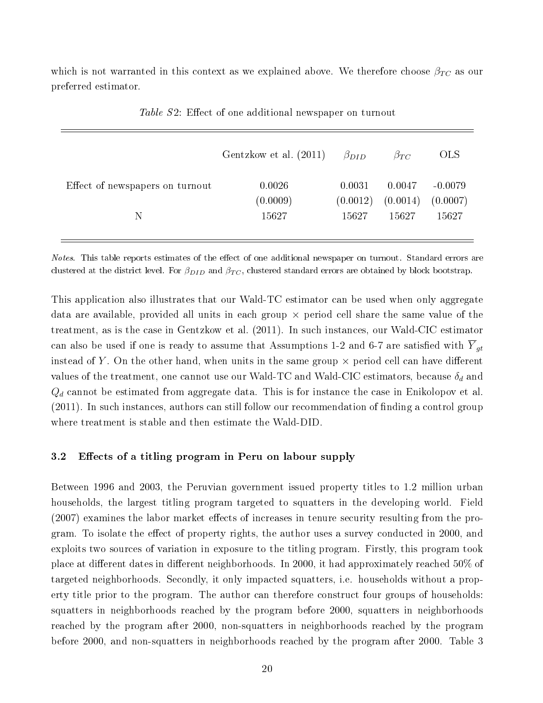which is not warranted in this context as we explained above. We therefore choose  $\beta_{TC}$  as our preferred estimator.

|                                 | Gentzkow et al. (2011) | $\beta_{DID}$ | $\beta_{TC}$ | OLS.      |
|---------------------------------|------------------------|---------------|--------------|-----------|
| Effect of newspapers on turnout | 0.0026                 | 0.0031        | 0.0047       | $-0.0079$ |
|                                 | (0.0009)               | (0.0012)      | (0.0014)     | (0.0007)  |
| N                               | 15627                  | 15627         | 15627        | 15627     |
|                                 |                        |               |              |           |

Table S2: Effect of one additional newspaper on turnout

Notes. This table reports estimates of the effect of one additional newspaper on turnout. Standard errors are clustered at the district level. For  $\beta_{DID}$  and  $\beta_{TC}$ , clustered standard errors are obtained by block bootstrap.

This application also illustrates that our Wald-TC estimator can be used when only aggregate data are available, provided all units in each group  $\times$  period cell share the same value of the treatment, as is the case in Gentzkow et al. (2011). In such instances, our Wald-CIC estimator can also be used if one is ready to assume that Assumptions 1-2 and 6-7 are satisfied with  $\overline{Y}_{qt}$ instead of Y. On the other hand, when units in the same group  $\times$  period cell can have different values of the treatment, one cannot use our Wald-TC and Wald-CIC estimators, because  $\delta_d$  and  $Q_d$  cannot be estimated from aggregate data. This is for instance the case in Enikolopov et al.  $(2011)$ . In such instances, authors can still follow our recommendation of finding a control group where treatment is stable and then estimate the Wald-DID.

### 3.2 Effects of a titling program in Peru on labour supply

Between 1996 and 2003, the Peruvian government issued property titles to 1.2 million urban households, the largest titling program targeted to squatters in the developing world. Field  $(2007)$  examines the labor market effects of increases in tenure security resulting from the program. To isolate the effect of property rights, the author uses a survey conducted in 2000, and exploits two sources of variation in exposure to the titling program. Firstly, this program took place at different dates in different neighborhoods. In 2000, it had approximately reached  $50\%$  of targeted neighborhoods. Secondly, it only impacted squatters, i.e. households without a property title prior to the program. The author can therefore construct four groups of households: squatters in neighborhoods reached by the program before 2000, squatters in neighborhoods reached by the program after 2000, non-squatters in neighborhoods reached by the program before 2000, and non-squatters in neighborhoods reached by the program after 2000. Table 3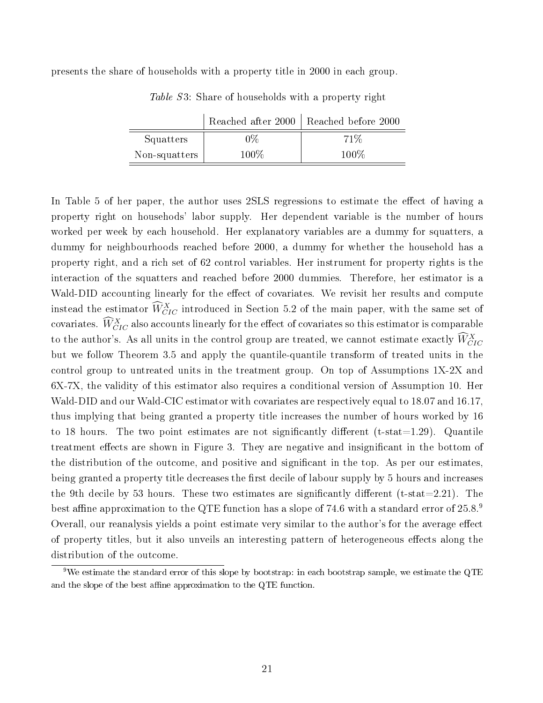presents the share of households with a property title in 2000 in each group.

|               | Reached after 2000 | Reached before 2000 |
|---------------|--------------------|---------------------|
| Squatters     | 0%                 | 71\%                |
| Non-squatters | $100\%$            | $100\%$             |

Table S3: Share of households with a property right

In Table 5 of her paper, the author uses 2SLS regressions to estimate the effect of having a property right on househods' labor supply. Her dependent variable is the number of hours worked per week by each household. Her explanatory variables are a dummy for squatters, a dummy for neighbourhoods reached before 2000, a dummy for whether the household has a property right, and a rich set of 62 control variables. Her instrument for property rights is the interaction of the squatters and reached before 2000 dummies. Therefore, her estimator is a Wald-DID accounting linearly for the effect of covariates. We revisit her results and compute instead the estimator  $\widehat{W}_{CIC}^X$  introduced in Section 5.2 of the main paper, with the same set of covariates.  $\widehat{W}_{CIC}^X$  also accounts linearly for the effect of covariates so this estimator is comparable to the author's. As all units in the control group are treated, we cannot estimate exactly  $\widetilde{W}^X_{ClC}$ but we follow Theorem 3.5 and apply the quantile-quantile transform of treated units in the control group to untreated units in the treatment group. On top of Assumptions 1X-2X and 6X-7X, the validity of this estimator also requires a conditional version of Assumption 10. Her Wald-DID and our Wald-CIC estimator with covariates are respectively equal to 18.07 and 16.17, thus implying that being granted a property title increases the number of hours worked by 16 to 18 hours. The two point estimates are not significantly different (t-stat $=1.29$ ). Quantile treatment effects are shown in Figure 3. They are negative and insignificant in the bottom of the distribution of the outcome, and positive and signicant in the top. As per our estimates, being granted a property title decreases the first decile of labour supply by 5 hours and increases the 9th decile by 53 hours. These two estimates are significantly different (t-stat=2.21). The best affine approximation to the QTE function has a slope of 74.6 with a standard error of  $25.8$ .<sup>9</sup> Overall, our reanalysis yields a point estimate very similar to the author's for the average effect of property titles, but it also unveils an interesting pattern of heterogeneous effects along the distribution of the outcome.

<sup>&</sup>lt;sup>9</sup>We estimate the standard error of this slope by bootstrap: in each bootstrap sample, we estimate the QTE and the slope of the best affine approximation to the QTE function.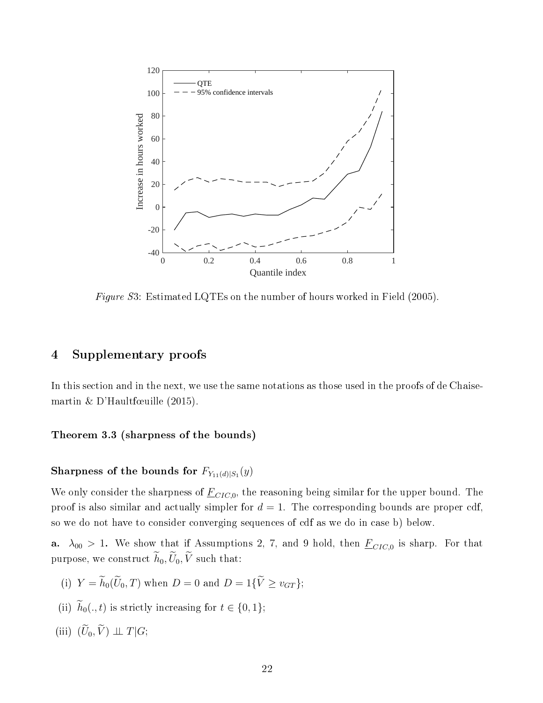

Figure S3: Estimated LQTEs on the number of hours worked in Field (2005).

### 4 Supplementary proofs

In this section and in the next, we use the same notations as those used in the proofs of de Chaisemartin & D'Haultfœuille (2015).

### Theorem 3.3 (sharpness of the bounds)

### Sharpness of the bounds for  $F_{Y_{11}(d)\mid S_{1}}(y)$

We only consider the sharpness of  $\underline{F}_{CIC,0}$ , the reasoning being similar for the upper bound. The proof is also similar and actually simpler for  $d = 1$ . The corresponding bounds are proper cdf, so we do not have to consider converging sequences of cdf as we do in case b) below.

**a.**  $\lambda_{00} > 1$ . We show that if Assumptions 2, 7, and 9 hold, then  $\underline{F}_{CIC,0}$  is sharp. For that purpose, we construct  $\widetilde{h}_0, \widetilde{U}_0, \widetilde{V}$  such that:

- (i)  $Y = \widetilde{h}_0(\widetilde{U}_0, T)$  when  $D = 0$  and  $D = 1\{\widetilde{V} \ge v_{GT}\};$
- (ii)  $\widetilde{h}_0(., t)$  is strictly increasing for  $t \in \{0, 1\};$
- (iii)  $(\widetilde{U}_0, \widetilde{V}) \perp \!\!\! \perp T | G;$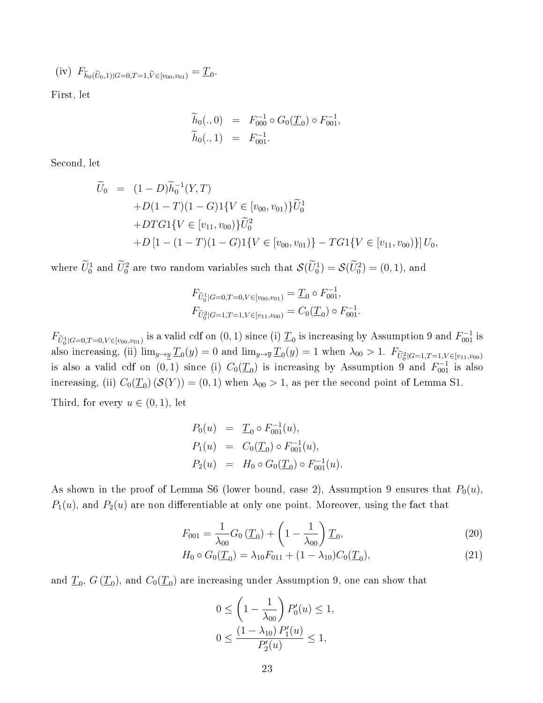(iv) 
$$
F_{\tilde{h}_0(\tilde{U}_0,1)|G=0,T=1,\tilde{V}\in [v_{00},v_{01})} = \underline{T}_0.
$$

First, let

$$
\widetilde{h}_0(.,0) = F_{000}^{-1} \circ G_0(\underline{T}_0) \circ F_{001}^{-1}, \n\widetilde{h}_0(.,1) = F_{001}^{-1}.
$$

Second, let

$$
\widetilde{U}_0 = (1 - D)\widetilde{h}_0^{-1}(Y, T)
$$
  
+D(1 - T)(1 - G)1{V \in [v\_{00}, v\_{01})}\widetilde{U}\_0^1  
+DTG1{V \in [v\_{11}, v\_{00})}\widetilde{U}\_0^2  
+D[1 - (1 - T)(1 - G)1{V \in [v\_{00}, v\_{01})} - TG1{V \in [v\_{11}, v\_{00})}]U\_0,

where  $\hat{U}_0^1$  and  $\hat{U}_0^2$  are two random variables such that  $\mathcal{S}(\hat{U}_0^1) = \mathcal{S}(\hat{U}_0^2) = (0, 1)$ , and

$$
F_{\widetilde{U}_0^1|G=0,T=0,V\in [v_{00},v_{01})} = \underline{T}_0 \circ F_{001}^{-1},
$$
  

$$
F_{\widetilde{U}_0^2|G=1,T=1,V\in [v_{11},v_{00})} = C_0(\underline{T}_0) \circ F_{001}^{-1}.
$$

 $F_{\widetilde{U}_0^1|G=0,T=0,V\in [v_{00},v_{01})}$  is a valid cdf on  $(0,1)$  since (i)  $\underline{T}_0$  is increasing by Assumption 9 and  $F_{001}^{-1}$  is also increasing, (ii)  $\lim_{y\to\underline{y}}\underline{T}_0(y)=0$  and  $\lim_{y\to\overline{y}}\underline{T}_0(y)=1$  when  $\lambda_{00}>1$ .  $F_{\widetilde{U}_0^2|G=1,T=1,V\in[v_{11},v_{00})}$ is also a valid cdf on  $(0,1)$  since (i)  $C_0(\underline{T}_0)$  is increasing by Assumption 9 and  $F_{001}^{-1}$  is also increasing, (ii)  $C_0(\underline{T}_0)(\mathcal{S}(Y)) = (0,1)$  when  $\lambda_{00} > 1$ , as per the second point of Lemma S1.

Third, for every  $u \in (0,1)$ , let

$$
P_0(u) = \underline{T}_0 \circ F_{001}^{-1}(u),
$$
  
\n
$$
P_1(u) = C_0(\underline{T}_0) \circ F_{001}^{-1}(u),
$$
  
\n
$$
P_2(u) = H_0 \circ G_0(\underline{T}_0) \circ F_{001}^{-1}(u).
$$

As shown in the proof of Lemma S6 (lower bound, case 2), Assumption 9 ensures that  $P_0(u)$ ,  $P_1(u)$ , and  $P_2(u)$  are non differentiable at only one point. Moreover, using the fact that

$$
F_{001} = \frac{1}{\lambda_{00}} G_0 \left( \underline{T}_0 \right) + \left( 1 - \frac{1}{\lambda_{00}} \right) \underline{T}_0, \tag{20}
$$

$$
H_0 \circ G_0(\underline{T}_0) = \lambda_{10} F_{011} + (1 - \lambda_{10}) C_0(\underline{T}_0), \tag{21}
$$

and  $\underline{T}_0,$   $G\left(\underline{T}_0\right),$  and  $C_0(\underline{T}_0)$  are increasing under Assumption 9, one can show that

$$
0 \le \left(1 - \frac{1}{\lambda_{00}}\right) P_0'(u) \le 1,
$$
  

$$
0 \le \frac{(1 - \lambda_{10}) P_1'(u)}{P_2'(u)} \le 1,
$$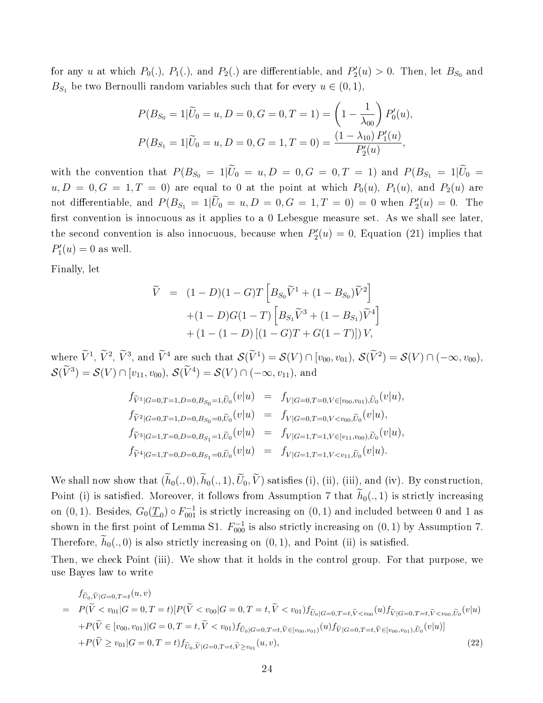for any u at which  $P_0(.)$ ,  $P_1(.)$ , and  $P_2(.)$  are differentiable, and  $P'_2(u) > 0$ . Then, let  $B_{S_0}$  and  $B_{S_1}$  be two Bernoulli random variables such that for every  $u \in (0,1)$ ,

$$
P(B_{S_0} = 1 | \widetilde{U}_0 = u, D = 0, G = 0, T = 1) = \left(1 - \frac{1}{\lambda_{00}}\right) P'_0(u),
$$
  

$$
P(B_{S_1} = 1 | \widetilde{U}_0 = u, D = 0, G = 1, T = 0) = \frac{(1 - \lambda_{10}) P'_1(u)}{P'_2(u)},
$$

with the convention that  $P(B_{S_0} = 1 | \tilde{U}_0 = u, D = 0, G = 0, T = 1)$  and  $P(B_{S_1} = 1 | \tilde{U}_0 = 0, G = 0, G = 0, G = 0)$  $u, D = 0, G = 1, T = 0$  are equal to 0 at the point at which  $P_0(u)$ ,  $P_1(u)$ , and  $P_2(u)$  are not differentiable, and  $P(B_{S_1} = 1 | \tilde{U}_0 = u, D = 0, G = 1, T = 0) = 0$  when  $P'_2(u) = 0$ . The first convention is innocuous as it applies to a  $0$  Lebesgue measure set. As we shall see later, the second convention is also innocuous, because when  $P'_2(u) = 0$ , Equation (21) implies that  $P'_{1}(u) = 0$  as well.

Finally, let

$$
\widetilde{V} = (1 - D)(1 - G)T \left[ B_{S_0} \widetilde{V}^1 + (1 - B_{S_0}) \widetilde{V}^2 \right] \n+ (1 - D)G(1 - T) \left[ B_{S_1} \widetilde{V}^3 + (1 - B_{S_1}) \widetilde{V}^4 \right] \n+ (1 - (1 - D) [(1 - G)T + G(1 - T)]) V,
$$

where  $\widetilde{V}^1$ ,  $\widetilde{V}^2$ ,  $\widetilde{V}^3$ , and  $\widetilde{V}^4$  are such that  $\mathcal{S}(\widetilde{V}^1) = \mathcal{S}(V) \cap [v_{00}, v_{01}), \mathcal{S}(\widetilde{V}^2) = \mathcal{S}(V) \cap (-\infty, v_{00}),$  $\mathcal{S}(V^3) = \mathcal{S}(V) \cap [v_{11}, v_{00}), \, \mathcal{S}(V^4) = \mathcal{S}(V) \cap (-\infty, v_{11}),$  and

$$
f_{\tilde{V}^1|G=0,T=1,D=0,B_{S_0}=1,\tilde{U}_0}(v|u) = f_{V|G=0,T=0,V\in [v_{00},v_{01}),\tilde{U}_0}(v|u),\nf_{\tilde{V}^2|G=0,T=1,D=0,B_{S_0}=0,\tilde{U}_0}(v|u) = f_{V|G=0,T=0,V
$$

We shall now show that  $(\widetilde{h}_0(., 0), \widetilde{h}_0(., 1), \widetilde{U}_0, \widetilde{V})$  satisfies (i), (ii), (iii), and (iv). By construction, Point (i) is satisfied. Moreover, it follows from Assumption 7 that  $h_0(., 1)$  is strictly increasing on  $(0,1)$ . Besides,  $G_0(\underline{T}_0) \circ F_{001}^{-1}$  is strictly increasing on  $(0,1)$  and included between 0 and 1 as shown in the first point of Lemma S1.  $F_{000}^{-1}$  is also strictly increasing on  $(0, 1)$  by Assumption 7. Therefore,  $\tilde{h}_0(., 0)$  is also strictly increasing on  $(0, 1)$ , and Point (ii) is satisfied.

Then, we check Point (iii). We show that it holds in the control group. For that purpose, we use Bayes law to write

$$
f_{\widetilde{U}_0,\widetilde{V}|G=0,T=t}(u,v)
$$
\n
$$
= P(\widetilde{V} < v_{01}|G=0,T=t)[P(\widetilde{V} < v_{00}|G=0,T=t,\widetilde{V} < v_{01})f_{\widetilde{U}_0|G=0,T=t,\widetilde{V} < v_{00}}(u)f_{\widetilde{V}|G=0,T=t,\widetilde{V} < v_{00},\widetilde{U}_0}(v|u)
$$
\n
$$
+ P(\widetilde{V} \in [v_{00}, v_{01})|G=0,T=t,\widetilde{V} < v_{01})f_{\widetilde{U}_0|G=0,T=t,\widetilde{V} \in [v_{00}, v_{01})}(u)f_{\widetilde{V}|G=0,T=t,\widetilde{V} \in [v_{00}, v_{01}),\widetilde{U}_0}(v|u)]
$$
\n
$$
+ P(\widetilde{V} \ge v_{01}|G=0,T=t)f_{\widetilde{U}_0,\widetilde{V}|G=0,T=t,\widetilde{V} \ge v_{01}}(u,v),
$$
\n(22)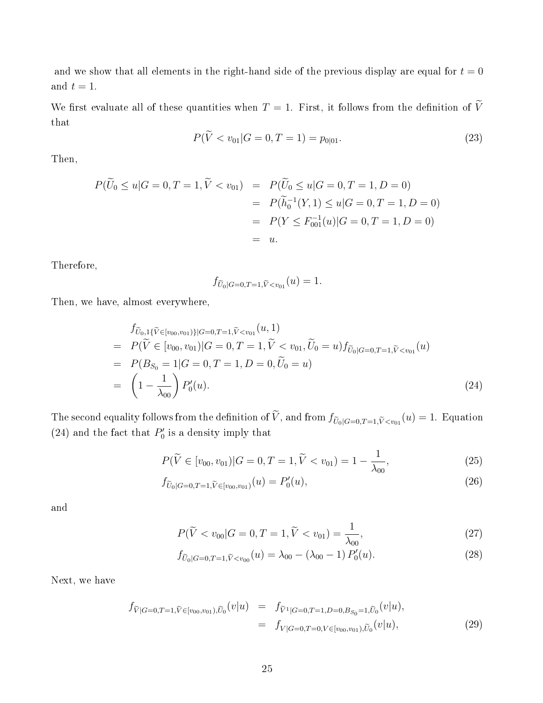and we show that all elements in the right-hand side of the previous display are equal for  $t = 0$ and  $t = 1$ .

We first evaluate all of these quantities when  $T = 1$ . First, it follows from the definition of  $\widetilde{V}$ that

$$
P(V < v_{01}|G = 0, T = 1) = p_{0|01}.\tag{23}
$$

Then,

$$
P(\widetilde{U}_0 \le u | G = 0, T = 1, \widetilde{V} < v_{01}) = P(\widetilde{U}_0 \le u | G = 0, T = 1, D = 0)
$$
\n
$$
= P(\widetilde{h}_0^{-1}(Y, 1) \le u | G = 0, T = 1, D = 0)
$$
\n
$$
= P(Y \le F_{001}^{-1}(u) | G = 0, T = 1, D = 0)
$$
\n
$$
= u.
$$

Therefore,

$$
f_{\widetilde{U}_0|G=0,T=1,\widetilde{V}
$$

Then, we have, almost everywhere,

$$
f_{\widetilde{U}_0,1\{\widetilde{V}\in[v_{00},v_{01})\}|G=0,T=1,\widetilde{V}\n
$$
= P(\widetilde{V}\in[v_{00},v_{01})|G=0,T=1,\widetilde{V}\n
$$
= P(B_{S_0}=1|G=0,T=1,D=0,\widetilde{U}_0=u)
$$
\n
$$
= \left(1-\frac{1}{\lambda_{00}}\right)P'_0(u). \tag{24}
$$
$$
$$

The second equality follows from the definition of V, and from  $f_{\widetilde{U}_0|G=0,T=1,\widetilde{V} < v_{01}}(u) = 1$ . Equation (24) and the fact that  $P'_0$  is a density imply that

$$
P(\widetilde{V} \in [v_{00}, v_{01}) | G = 0, T = 1, \widetilde{V} < v_{01}) = 1 - \frac{1}{\lambda_{00}}, \tag{25}
$$

$$
f_{\widetilde{U}_0|G=0,T=1,\widetilde{V}\in [v_{00},v_{01})}(u) = P'_0(u),\tag{26}
$$

and

$$
P(\widetilde{V} < v_{00}|G = 0, T = 1, \widetilde{V} < v_{01}) = \frac{1}{\lambda_{00}},\tag{27}
$$

$$
f_{\widetilde{U}_0|G=0,T=1,\widetilde{V}
$$

Next, we have

$$
f_{\widetilde{V}|G=0,T=1,\widetilde{V}\in [v_{00},v_{01}),\widetilde{U}_{0}}(v|u) = f_{\widetilde{V}^{1}|G=0,T=1,D=0,B_{S_{0}}=1,\widetilde{U}_{0}}(v|u),
$$
  

$$
= f_{V|G=0,T=0,V\in [v_{00},v_{01}),\widetilde{U}_{0}}(v|u),
$$
\n(29)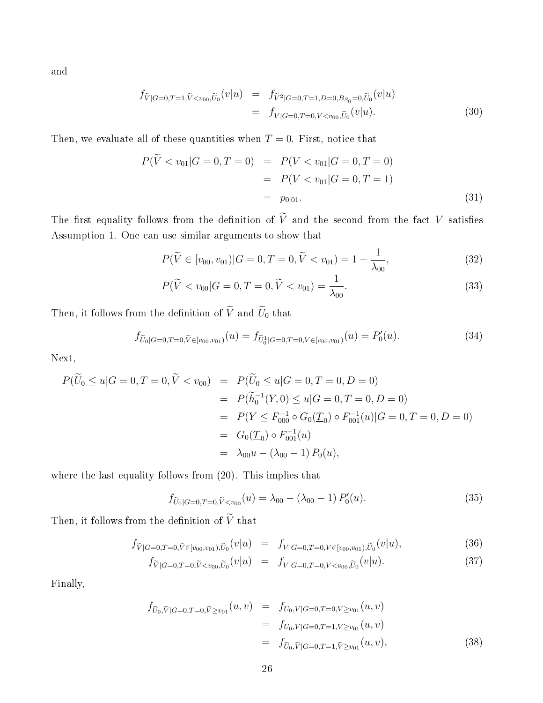and

$$
f_{\widetilde{V}|G=0,T=1,\widetilde{V}\n(30)
$$

Then, we evaluate all of these quantities when  $T = 0$ . First, notice that

$$
P(\widetilde{V} < v_{01}|G = 0, T = 0) = P(V < v_{01}|G = 0, T = 0) \\
= P(V < v_{01}|G = 0, T = 1) \\
= p_{0|01}.\n\tag{31}
$$

The first equality follows from the definition of  $\widetilde{V}$  and the second from the fact V satisfies Assumption 1. One can use similar arguments to show that

$$
P(\widetilde{V} \in [v_{00}, v_{01}) | G = 0, T = 0, \widetilde{V} < v_{01}) = 1 - \frac{1}{\lambda_{00}}, \tag{32}
$$

$$
P(\tilde{V} < v_{00} | G = 0, T = 0, \tilde{V} < v_{01}) = \frac{1}{\lambda_{00}}.\tag{33}
$$

Then, it follows from the definition of  $\widetilde{V}$  and  $\widetilde{U}_0$  that

$$
f_{\widetilde{U}_0|G=0,T=0,\widetilde{V}\in[v_{00},v_{01})}(u)=f_{\widetilde{U}_0^1|G=0,T=0,V\in[v_{00},v_{01})}(u)=P'_0(u). \tag{34}
$$

Next,

$$
P(\widetilde{U}_0 \le u | G = 0, T = 0, \widetilde{V} < v_{00}) = P(\widetilde{U}_0 \le u | G = 0, T = 0, D = 0)
$$
\n
$$
= P(\widetilde{h}_0^{-1}(Y, 0) \le u | G = 0, T = 0, D = 0)
$$
\n
$$
= P(Y \le F_{000}^{-1} \circ G_0(\underline{T}_0) \circ F_{001}^{-1}(u) | G = 0, T = 0, D = 0)
$$
\n
$$
= G_0(\underline{T}_0) \circ F_{001}^{-1}(u)
$$
\n
$$
= \lambda_{00} u - (\lambda_{00} - 1) P_0(u),
$$

where the last equality follows from (20). This implies that

$$
f_{\tilde{U}_0|G=0,T=0,\tilde{V}
$$

Then, it follows from the definition of  $\widetilde{V}$  that

$$
f_{\widetilde{V}|G=0,T=0,\widetilde{V}\in[v_{00},v_{01}),\widetilde{U}_0}(v|u) = f_{V|G=0,T=0,V\in[v_{00},v_{01}),\widetilde{U}_0}(v|u),\tag{36}
$$

$$
f_{\tilde{V}|G=0,T=0,\tilde{V}
$$

Finally,

$$
f_{\widetilde{U}_0,\widetilde{V}|G=0,T=0,\widetilde{V}\geq v_{01}}(u,v) = f_{U_0,V|G=0,T=0,V\geq v_{01}}(u,v)
$$
  

$$
= f_{U_0,V|G=0,T=1,V\geq v_{01}}(u,v)
$$
  

$$
= f_{\widetilde{U}_0,\widetilde{V}|G=0,T=1,\widetilde{V}\geq v_{01}}(u,v),
$$
 (38)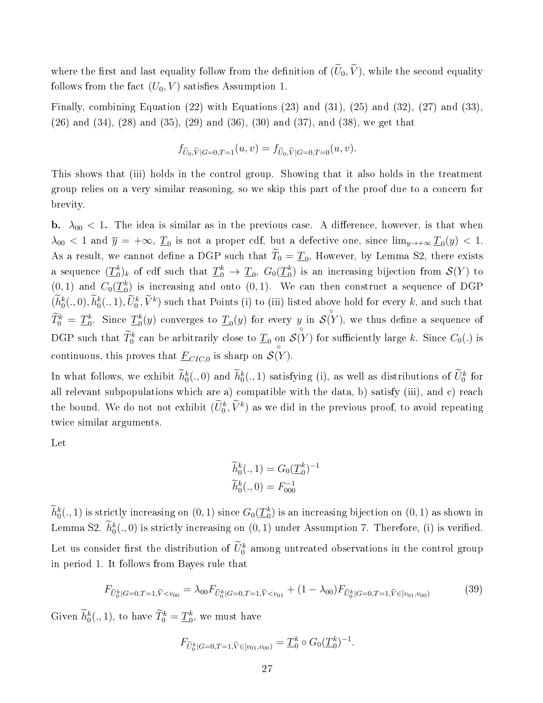where the first and last equality follow from the definition of  $(\widetilde{U}_0, \widetilde{V})$ , while the second equality follows from the fact  $(U_0, V)$  satisfies Assumption 1.

Finally, combining Equation (22) with Equations (23) and (31), (25) and (32), (27) and (33), (26) and (34), (28) and (35), (29) and (36), (30) and (37), and (38), we get that

$$
f_{\widetilde{U}_0,\widetilde{V}|G=0,T=1}(u,v) = f_{\widetilde{U}_0,\widetilde{V}|G=0,T=0}(u,v).
$$

This shows that (iii) holds in the control group. Showing that it also holds in the treatment group relies on a very similar reasoning, so we skip this part of the proof due to a concern for brevity.

b.  $\lambda_{00}$  < 1. The idea is similar as in the previous case. A difference, however, is that when  $\lambda_{00} < 1$  and  $\overline{y} = +\infty$ ,  $\underline{T}_0$  is not a proper cdf, but a defective one, since  $\lim_{y\to +\infty} \underline{T}_0(y) < 1$ . As a result, we cannot define a DGP such that  $T_0 = \underline{T}_0$ , However, by Lemma S2, there exists a sequence  $(\underline{T}_0^k)_k$  of cdf such that  $\underline{T}_0^k \to \underline{T}_0,$   $G_0(\underline{T}_0^k)$  is an increasing bijection from  $\mathcal{S}(Y)$  to  $(0, 1)$  and  $C_0(\underline{T}_0^k)$  is increasing and onto  $(0, 1)$ . We can then construct a sequence of DGP  $(h_0^k(.,0), h_0^k(.,1), U_0^k, \tilde{V}^k)$  such that Points (i) to (iii) listed above hold for every k, and such that  $\widetilde{T}^k_0 \,=\, \underline{T}^k_0.$  Since  $\underline{T}^k_0(y)$  converges to  $\underline{T}_0(y)$  for every  $y$  in ◦  $\mathcal{S}(Y),$  we thus define a sequence of DGP such that  $\hat{T}^k_0$  can be arbitrarily close to  $\underline{T}_0$  on  $\mathcal{S}(Y)$  for sufficiently large  $k$ . Since  $C_0(.)$  is continuous, this proves that  $\underline{F}_{CIC,0}$  is sharp on  $\mathcal{S}(Y)$ .

In what follows, we exhibit  $\tilde{h}_0^k(.,0)$  and  $\tilde{h}_0^k(.,1)$  satisfying (i), as well as distributions of  $\tilde{U}_0^k$  for all relevant subpopulations which are a) compatible with the data, b) satisfy (iii), and c) reach the bound. We do not not exhibit  $(U_0^k, \tilde{V}^k)$  as we did in the previous proof, to avoid repeating twice similar arguments.

Let

$$
\widetilde{h}_0^k(.,1) = G_0(\underline{T}_0^k)^{-1}
$$
  

$$
\widetilde{h}_0^k(.,0) = F_{000}^{-1}
$$

 $\widetilde{h}_0^k(.,1)$  is strictly increasing on  $(0,1)$  since  $G_0(\underline{T}_0^k)$  is an increasing bijection on  $(0,1)$  as shown in Lemma S2.  $\tilde{h}_0^k(.,0)$  is strictly increasing on  $(0,1)$  under Assumption 7. Therefore, (i) is verified. Let us consider first the distribution of  $\tilde{U}_0^k$  among untreated observations in the control group in period 1. It follows from Bayes rule that

$$
F_{\tilde{U}_0^k|G=0,T=1,\tilde{V}(39)
$$

Given  $\widetilde{h}_0^k(., 1)$ , to have  $\widetilde{T}_0^k = \underline{T}_0^k$ , we must have

$$
F_{\widetilde{U}_0^k|G=0,T=1,\widetilde{V}\in [v_{01},v_{00})}=\underline{T}_0^k\circ G_0(\underline{T}_0^k)^{-1}.
$$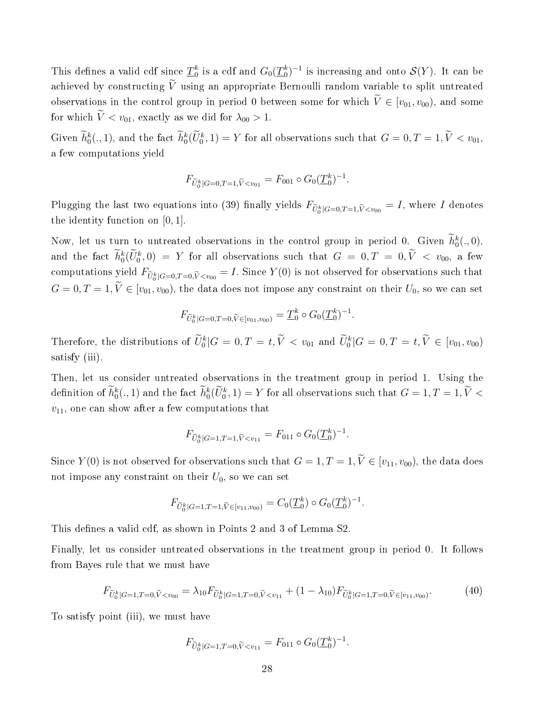This defines a valid cdf since  $\underline{T}_0^k$  is a cdf and  $G_0(\underline{T}_0^k)^{-1}$  is increasing and onto  $\mathcal{S}(Y).$  It can be achieved by constructing  $\widetilde{V}$  using an appropriate Bernoulli random variable to split untreated observations in the control group in period 0 between some for which  $\widetilde{V} \in [v_{01}, v_{00})$ , and some for which  $\tilde{V} < v_{01}$ , exactly as we did for  $\lambda_{00} > 1$ .

Given  $h_0^k(., 1)$ , and the fact  $h_0^k(\tilde{U}_0^k, 1) = Y$  for all observations such that  $G = 0, T = 1, \tilde{V} < v_{01}$ , a few computations yield

$$
F_{\widetilde{U}_0^k|G=0,T=1,\widetilde{V}
$$

Plugging the last two equations into (39) finally yields  $F_{\widetilde{U}_0^k|G=0,T=1,\widetilde{V}, where I denotes$ the identity function on [0, 1].

Now, let us turn to untreated observations in the control group in period 0. Given  $\hat{h}_0^k(.,0)$ , and the fact  $\hat{h}_0^k(\tilde{U}_0^k,0) = Y$  for all observations such that  $G = 0, T = 0, \tilde{V} < v_{00}$ , a few computations yield  $F_{\widetilde{U}_0^k|G=0,T=0,\widetilde{V} Since  $Y(0)$  is not observed for observations such that$  $G = 0, T = 1, \widetilde{V} \in [v_{01}, v_{00}),$  the data does not impose any constraint on their  $U_0$ , so we can set

$$
F_{\widetilde{U}_0^k|G=0,T=0,\widetilde{V}\in [v_{01},v_{00})}=\underline{T}_0^k\circ G_0(\underline{T}_0^k)^{-1}.
$$

Therefore, the distributions of  $\tilde{U}_0^k | G = 0, T = t, \tilde{V} < v_{01}$  and  $\tilde{U}_0^k | G = 0, T = t, \tilde{V} \in [v_{01}, v_{00}]$ satisfy (iii).

Then, let us consider untreated observations in the treatment group in period 1. Using the definition of  $\tilde{h}_0^k(.,1)$  and the fact  $\tilde{h}_0^k(\tilde{U}_0^k,1)=Y$  for all observations such that  $G=1, T=1, \tilde{V}$  <  $v_{11}$ , one can show after a few computations that

$$
F_{\widetilde{U}_0^k|G=1,T=1,\widetilde{V}
$$

Since  $Y(0)$  is not observed for observations such that  $G = 1, T = 1, \tilde{V} \in [v_{11}, v_{00})$ , the data does not impose any constraint on their  $U_0$ , so we can set

$$
F_{\widetilde{U}_0^k|G=1,T=1,\widetilde{V}\in [v_{11},v_{00})}=C_0(\underline{T}_0^k)\circ G_0(\underline{T}_0^k)^{-1}.
$$

This defines a valid cdf, as shown in Points 2 and 3 of Lemma S2.

Finally, let us consider untreated observations in the treatment group in period 0. It follows from Bayes rule that we must have

$$
F_{\tilde{U}_0^k|G=1,T=0,\tilde{V}\n
$$
(40)
$$
$$

To satisfy point (iii), we must have

$$
F_{\widetilde{U}_0^k|G=1,T=0,\widetilde{V}
$$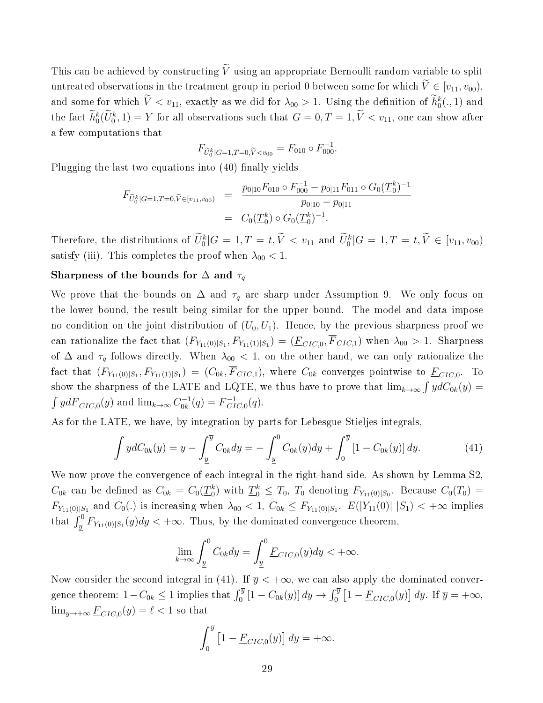This can be achieved by constructing  $\widetilde{V}$  using an appropriate Bernoulli random variable to split untreated observations in the treatment group in period 0 between some for which  $\tilde{V} \in [v_{11}, v_{00}),$ and some for which  $V < v_{11}$ , exactly as we did for  $\lambda_{00} > 1$ . Using the definition of  $h_0^k(., 1)$  and the fact  $h_0^k(\tilde{U}_0^k,1) = Y$  for all observations such that  $G = 0, T = 1, \tilde{V} < v_{11}$ , one can show after a few computations that

$$
F_{\widetilde{U}_0^k|G=1,T=0,\widetilde{V}
$$

Plugging the last two equations into  $(40)$  finally yields

$$
F_{\widetilde{U}_0^k|G=1,T=0,\widetilde{V}\in [v_{11},v_{00})} = \frac{p_{0|10}F_{010}\circ F_{000}^{-1} - p_{0|11}F_{011}\circ G_0(\underline{T}_0^k)^{-1}}{p_{0|10} - p_{0|11}}
$$
  
=  $C_0(\underline{T}_0^k) \circ G_0(\underline{T}_0^k)^{-1}$ .

Therefore, the distributions of  $\tilde{U}_0^k | G = 1, T = t, \tilde{V} < v_{11}$  and  $\tilde{U}_0^k | G = 1, T = t, \tilde{V} \in [v_{11}, v_{00}]$ satisfy (iii). This completes the proof when  $\lambda_{00} < 1$ .

### Sharpness of the bounds for  $\Delta$  and  $\tau_q$

We prove that the bounds on  $\Delta$  and  $\tau_q$  are sharp under Assumption 9. We only focus on the lower bound, the result being similar for the upper bound. The model and data impose no condition on the joint distribution of  $(U_0, U_1)$ . Hence, by the previous sharpness proof we can rationalize the fact that  $(F_{Y_{11}(0)|S_1}, F_{Y_{11}(1)|S_1}) = (\underline{F}_{CIC,0}, F_{CIC,1})$  when  $\lambda_{00} > 1$ . Sharpness of  $\Delta$  and  $\tau_q$  follows directly. When  $\lambda_{00}$  < 1, on the other hand, we can only rationalize the fact that  $(F_{Y_{11}(0)|S_1},F_{Y_{11}(1)|S_1})=(C_{0k},F_{CIC,1}),$  where  $C_{0k}$  converges pointwise to  $\underline{F}_{CIC,0}$ . To show the sharpness of the LATE and LQTE, we thus have to prove that  $\lim_{k\to\infty}\int ydC_{0k}(y)$  =  $\int y d\underline{F}_{CIC,0}(y)$  and  $\lim_{k\to\infty} C_{0k}^{-1}$  $C_{0k}^{-1}(q) = \underline{F}_{CI}^{-1}$  $_{CIC,0}^{-1}(q)$ .

As for the LATE, we have, by integration by parts for Lebesgue-Stieljes integrals,

$$
\int y dC_{0k}(y) = \overline{y} - \int_{\underline{y}}^{\overline{y}} C_{0k} dy = - \int_{\underline{y}}^{0} C_{0k}(y) dy + \int_{0}^{\overline{y}} [1 - C_{0k}(y)] dy.
$$
 (41)

We now prove the convergence of each integral in the right-hand side. As shown by Lemma S2,  $C_{0k}$  can be defined as  $C_{0k} = C_0(\underline{T}_0^k)$  with  $\underline{T}_0^k \leq T_0$ ,  $T_0$  denoting  $F_{Y_{11}(0)|S_0}$ . Because  $C_0(T_0)$  =  $F_{Y_{11}(0)|S_1}$  and  $C_0(.)$  is increasing when  $\lambda_{00} < 1, C_{0k} \leq F_{Y_{11}(0)|S_1}$ .  $E(|Y_{11}(0)| |S_1) < +\infty$  implies that  $\int_y^0 F_{Y_{11}(0)|S_1}(y)dy < +\infty$ . Thus, by the dominated convergence theorem,

$$
\lim_{k \to \infty} \int_{\underline{y}}^{0} C_{0k} dy = \int_{\underline{y}}^{0} \underline{F}_{CIC,0}(y) dy < +\infty.
$$

Now consider the second integral in (41). If  $\overline{y} < +\infty$ , we can also apply the dominated convergence theorem:  $1 - C_{0k} \le 1$  implies that  $\int_0^{\overline{y}} \left[1 - C_{0k}(y)\right] dy \to \int_0^{\overline{y}} \left[1 - \underline{F}_{CIC,0}(y)\right] dy$ . If  $\overline{y} = +\infty$ ,  $\lim_{y \to +\infty} \underline{F}_{CIC,0}(y) = \ell < 1$  so that

$$
\int_0^{\overline{y}} \left[1 - \underline{F}_{CIC,0}(y)\right] dy = +\infty.
$$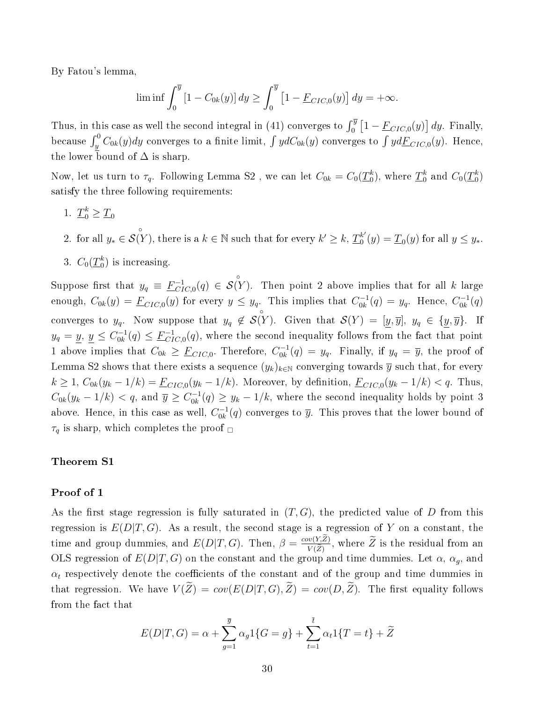By Fatou's lemma,

$$
\liminf \int_0^{\overline{y}} [1 - C_{0k}(y)] dy \ge \int_0^{\overline{y}} [1 - \underline{F}_{CIC,0}(y)] dy = +\infty.
$$

Thus, in this case as well the second integral in (41) converges to  $\int_0^{\overline{y}} \left[1 - \underline{F}_{CIC,0}(y)\right] dy$ . Finally, because  $\int_y^0 C_{0k}(y) dy$  converges to a finite limit,  $\int y dC_{0k}(y)$  converges to  $\int y d\underline{F}_{CIC,0}(y)$ . Hence, the lower bound of  $\Delta$  is sharp.

Now, let us turn to  $\tau_q$ . Following Lemma S2 , we can let  $C_{0k} = C_0(\underline{T}_0^k)$ , where  $\underline{T}_0^k$  and  $C_0(\underline{T}_0^k)$ satisfy the three following requirements:

- 1.  $\underline{T}_0^k \geq \underline{T}_0$
- 2. for all  $y_* \in$  $S(Y^{\circ})$ , there is a  $k \in \mathbb{N}$  such that for every  $k' \geq k$ ,  $\underline{T}_0^{k'}$  $_{0}^{k'}(y) = \underline{T}_{0}(y)$  for all  $y \leq y_*$ .
- 3.  $C_0(\underline{T}_0^k)$  is increasing.

Suppose first that  $y_q \equiv \underline{F}_{CI}^{-1}$  $^{-1}_{CIC,0}(q) \in$ ◦  $\mathcal{S}(Y)$ . Then point 2 above implies that for all k large enough,  $C_{0k}(y) = \underline{F}_{CIC,0}(y)$  for every  $y \leq y_q$ . This implies that  $C_{0k}^{-1}$  $y_{0k}^{0-1}(q) = y_q$ . Hence,  $C_{0k}^{-1}$  $\binom{-1}{0k}(q)$ converges to  $y_q$ . Now suppose that  $y_q \notin \mathcal{S}(Y)$ . Given that  $\mathcal{S}(Y) = [y, \overline{y}], y_q \in \{y, \overline{y}\}$ . If ◦  $y_q = y, y \leq C_{0k}^{-1}$  $C_{0k}^{-1}(q) \leq \underline{F}_{CI}^{-1}$  $_{CIC,0}^{-1}(q)$ , where the second inequality follows from the fact that point 1 above implies that  $C_{0k} \geq \underline{F}_{CIC,0}$ . Therefore,  $C_{0k}^{-1}$  $y_{0k}^{(-1)}(q) = y_q$ . Finally, if  $y_q = \overline{y}$ , the proof of Lemma S2 shows that there exists a sequence  $(y_k)_{k\in\mathbb{N}}$  converging towards  $\overline{y}$  such that, for every  $k \geq 1$ ,  $C_{0k}(y_k - 1/k) = \underline{F}_{CIC,0}(y_k - 1/k)$ . Moreover, by definition,  $\underline{F}_{CIC,0}(y_k - 1/k) < q$ . Thus,  $C_{0k}(y_k-1/k) < q$ , and  $\overline{y} \ge C_{0k}^{-1}$  $\int_{0}^{1} (q) \geq y_k - 1/k$ , where the second inequality holds by point 3 above. Hence, in this case as well,  $C_{0k}^{-1}$  $\overline{0}_{0k}^{t-1}(q)$  converges to  $\overline{y}$ . This proves that the lower bound of  $\tau_q$  is sharp, which completes the proof  $\Box$ 

### Theorem S1

### Proof of 1

As the first stage regression is fully saturated in  $(T, G)$ , the predicted value of D from this regression is  $E(D|T, G)$ . As a result, the second stage is a regression of Y on a constant, the time and group dummies, and  $E(D|T, G)$ . Then,  $\beta = \frac{cov(Y, Z)}{Var(Y)}$  $\frac{w(Y,Z)}{V(Z)}$ , where Z is the residual from an OLS regression of  $E(D|T, G)$  on the constant and the group and time dummies. Let  $\alpha$ ,  $\alpha_g$ , and  $\alpha_t$  respectively denote the coefficients of the constant and of the group and time dummies in that regression. We have  $V(\widetilde{Z}) = cov(E(D|T, G), \widetilde{Z}) = cov(D, \widetilde{Z})$ . The first equality follows from the fact that

$$
E(D|T, G) = \alpha + \sum_{g=1}^{\overline{g}} \alpha_g 1\{G = g\} + \sum_{t=1}^{\overline{t}} \alpha_t 1\{T = t\} + \widetilde{Z}
$$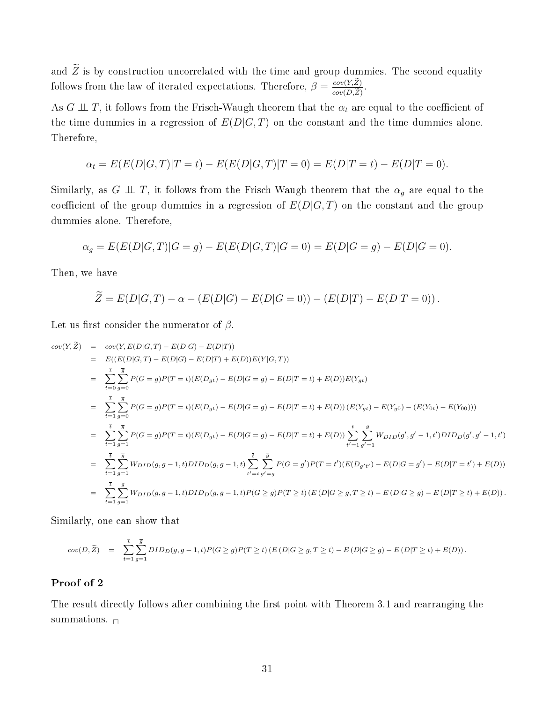and  $\widetilde{Z}$  is by construction uncorrelated with the time and group dummies. The second equality follows from the law of iterated expectations. Therefore,  $\beta = \frac{cov(Y, Z)}{cov(D, Z)}$  $cov(D,Z)$ .

As  $G \perp \!\!\! \perp T$ , it follows from the Frisch-Waugh theorem that the  $\alpha_t$  are equal to the coefficient of the time dummies in a regression of  $E(D|G,T)$  on the constant and the time dummies alone. Therefore,

$$
\alpha_t = E(E(D|G,T)|T=t) - E(E(D|G,T)|T=0) = E(D|T=t) - E(D|T=0).
$$

Similarly, as  $G \perp \!\!\! \perp T$ , it follows from the Frisch-Waugh theorem that the  $\alpha_g$  are equal to the coefficient of the group dummies in a regression of  $E(D|G,T)$  on the constant and the group dummies alone. Therefore,

$$
\alpha_g = E(E(D|G,T)|G = g) - E(E(D|G,T)|G = 0) = E(D|G = g) - E(D|G = 0).
$$

Then, we have

$$
\widetilde{Z} = E(D|G,T) - \alpha - (E(D|G) - E(D|G=0)) - (E(D|T) - E(D|T=0)).
$$

Let us first consider the numerator of  $\beta$ .

$$
cov(Y, \tilde{Z}) = cov(Y, E(D|G, T) - E(D|G) - E(D|T))
$$
  
\n
$$
= E((E(D|G, T) - E(D|G) - E(D|T) + E(D))E(Y|G, T))
$$
  
\n
$$
= \sum_{t=0}^{\bar{t}} \sum_{g=0}^{\bar{g}} P(G = g)P(T = t)(E(D_{gt}) - E(D|G = g) - E(D|T = t) + E(D))E(Y_{gt})
$$
  
\n
$$
= \sum_{t=1}^{\bar{t}} \sum_{g=0}^{\bar{g}} P(G = g)P(T = t)(E(D_{gt}) - E(D|G = g) - E(D|T = t) + E(D)) (E(Y_{gt}) - E(Y_{g0}) - (E(Y_{0t}) - E(Y_{00})))
$$
  
\n
$$
= \sum_{t=1}^{\bar{t}} \sum_{g=1}^{\bar{g}} P(G = g)P(T = t)(E(D_{gt}) - E(D|G = g) - E(D|T = t) + E(D)) \sum_{t'=1}^{t} \sum_{g'=1}^{g} W_{DID}(g', g' - 1, t')DID_D(g', g' - 1, t')
$$
  
\n
$$
= \sum_{t=1}^{\bar{t}} \sum_{g=1}^{\bar{g}} W_{DID}(g, g - 1, t)DID_D(g, g - 1, t) \sum_{t'=t}^{\bar{t}} \sum_{g'=g}^{\bar{g}} P(G = g')P(T = t')(E(D_{g't'}) - E(D|G = g') - E(D|T = t') + E(D))
$$
  
\n
$$
= \sum_{t=1}^{\bar{t}} \sum_{g=1}^{\bar{g}} W_{DID}(g, g - 1, t)DID_D(g, g - 1, t)P(G \ge g)P(T \ge t) (E(D|G \ge g, T \ge t) - E(D|G \ge g) - E(D|T \ge t) + E(D)).
$$

Similarly, one can show that

$$
cov(D,\widetilde{Z})\quad =\quad \sum_{t=1}^{\overline{t}}\sum_{g=1}^{\overline{g}}DID_D(g,g-1,t)P(G\ge g)P(T\ge t)\left(E\left(D|G\ge g,T\ge t\right)-E\left(D|G\ge g\right)-E\left(D|T\ge t\right)+E(D)\right).
$$

### Proof of 2

The result directly follows after combining the first point with Theorem 3.1 and rearranging the summations.  $\Box$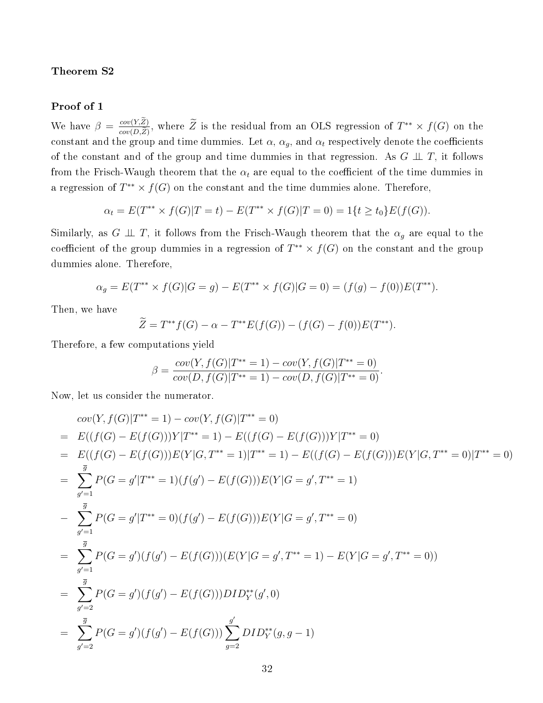Theorem S2

#### Proof of 1

We have  $\beta = \frac{cov(Y,Z)}{cov(DZ)}$  $\frac{cov(Y,Z)}{cov(D,\tilde{Z})}$ , where  $\tilde{Z}$  is the residual from an OLS regression of  $T^{**} \times f(G)$  on the constant and the group and time dummies. Let  $\alpha$ ,  $\alpha_g$ , and  $\alpha_t$  respectively denote the coefficients of the constant and of the group and time dummies in that regression. As  $G \perp \!\!\! \perp T$ , it follows from the Frisch-Waugh theorem that the  $\alpha_t$  are equal to the coefficient of the time dummies in a regression of  $T^{**} \times f(G)$  on the constant and the time dummies alone. Therefore,

$$
\alpha_t = E(T^{**} \times f(G)|T = t) - E(T^{**} \times f(G)|T = 0) = 1\{t \ge t_0\}E(f(G)).
$$

Similarly, as G  $\perp \!\!\! \perp T$ , it follows from the Frisch-Waugh theorem that the  $\alpha_q$  are equal to the coefficient of the group dummies in a regression of  $T^{**} \times f(G)$  on the constant and the group dummies alone. Therefore,

$$
\alpha_g = E(T^{**} \times f(G)|G = g) - E(T^{**} \times f(G)|G = 0) = (f(g) - f(0))E(T^{**}).
$$

Then, we have

$$
\widetilde{Z} = T^{**}f(G) - \alpha - T^{**}E(f(G)) - (f(G) - f(0))E(T^{**}).
$$

Therefore, a few computations yield

$$
\beta = \frac{cov(Y, f(G)|T^{**} = 1) - cov(Y, f(G)|T^{**} = 0)}{cov(D, f(G)|T^{**} = 1) - cov(D, f(G)|T^{**} = 0)}.
$$

Now, let us consider the numerator.

$$
cov(Y, f(G)|T^{**} = 1) - cov(Y, f(G)|T^{**} = 0)
$$
  
=  $E((f(G) - E(f(G)))Y|T^{**} = 1) - E((f(G) - E(f(G)))Y|T^{**} = 0)$   
=  $E((f(G) - E(f(G)))E(Y|G, T^{**} = 1)|T^{**} = 1) - E((f(G) - E(f(G)))E(Y|G, T^{**} = 0)|T^{**} = 0)$   
=  $\sum_{g'=1}^{\overline{g}} P(G = g'|T^{**} = 1)(f(g') - E(f(G)))E(Y|G = g', T^{**} = 1)$   
-  $\sum_{g'=1}^{\overline{g}} P(G = g'|T^{**} = 0)(f(g') - E(f(G)))E(Y|G = g', T^{**} = 0)$   
=  $\sum_{g'=1}^{\overline{g}} P(G = g')(f(g') - E(f(G)))(E(Y|G = g', T^{**} = 1) - E(Y|G = g', T^{**} = 0))$   
=  $\sum_{g'=2}^{\overline{g}} P(G = g')(f(g') - E(f(G)))DID_Y^{**}(g', 0)$   
=  $\sum_{g'=2}^{\overline{g}} P(G = g')(f(g') - E(f(G)))\sum_{g=2}^{\overline{g'}} DID_Y^{**}(g, g - 1)$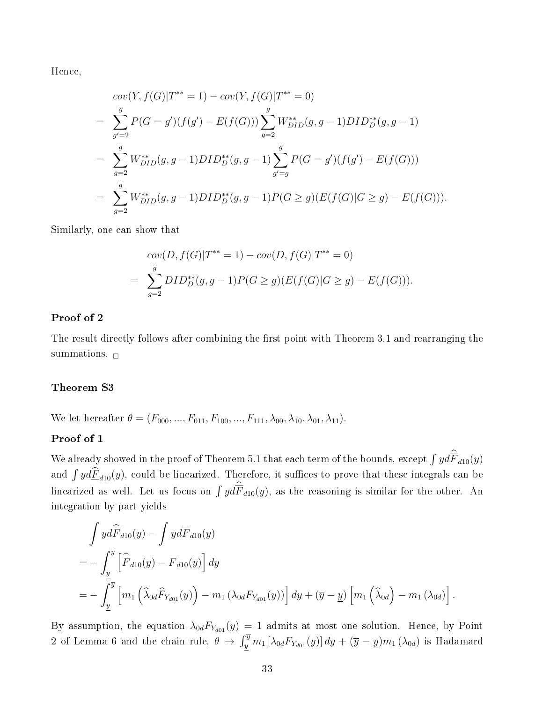Hence,

$$
cov(Y, f(G)|T^{**} = 1) - cov(Y, f(G)|T^{**} = 0)
$$
  
= 
$$
\sum_{g'=2}^{\overline{g}} P(G = g')(f(g') - E(f(G))) \sum_{g=2}^{g} W_{DID}^{**}(g, g - 1) DID_D^{**}(g, g - 1)
$$
  
= 
$$
\sum_{g=2}^{\overline{g}} W_{DID}^{**}(g, g - 1) DID_D^{**}(g, g - 1) \sum_{g'=g}^{\overline{g}} P(G = g')(f(g') - E(f(G)))
$$
  
= 
$$
\sum_{g=2}^{\overline{g}} W_{DID}^{**}(g, g - 1) DID_D^{**}(g, g - 1) P(G \ge g)(E(f(G)|G \ge g) - E(f(G))).
$$

Similarly, one can show that

$$
cov(D, f(G)|T^{**} = 1) - cov(D, f(G)|T^{**} = 0)
$$
  
= 
$$
\sum_{g=2}^{\overline{g}} DID_D^{**}(g, g-1)P(G \ge g)(E(f(G)|G \ge g) - E(f(G))).
$$

### Proof of 2

The result directly follows after combining the first point with Theorem 3.1 and rearranging the summations.  $\Box$ 

### Theorem S3

We let hereafter  $\theta = (F_{000},...,F_{011},F_{100},...,F_{111},\lambda_{00},\lambda_{10},\lambda_{01},\lambda_{11}).$ 

### Proof of 1

We already showed in the proof of Theorem 5.1 that each term of the bounds, except  $\int y d\overline{F}_{d10}(y)$ and  $\int y d\hat{F}_{d10}(y)$ , could be linearized. Therefore, it suffices to prove that these integrals can be linearized as well. Let us focus on  $\int y d\overline{F}_{d10}(y)$ , as the reasoning is similar for the other. An integration by part yields

$$
\int y d\widehat{F}_{d10}(y) - \int y dF_{d10}(y)
$$
\n
$$
= - \int_{\underline{y}}^{\overline{y}} \left[ \widehat{\overline{F}}_{d10}(y) - \overline{F}_{d10}(y) \right] dy
$$
\n
$$
= - \int_{\underline{y}}^{\overline{y}} \left[ m_1 \left( \widehat{\lambda}_{0d} \widehat{F}_{Y_{d01}}(y) \right) - m_1 \left( \lambda_{0d} F_{Y_{d01}}(y) \right) \right] dy + (\overline{y} - \underline{y}) \left[ m_1 \left( \widehat{\lambda}_{0d} \right) - m_1 \left( \lambda_{0d} \right) \right].
$$

By assumption, the equation  $\lambda_{0d}F_{Y_{d01}}(y) = 1$  admits at most one solution. Hence, by Point 2 of Lemma 6 and the chain rule,  $\theta \mapsto \int_y^{\overline{y}} m_1 \left[ \lambda_{0d} F_{Y_{d01}}(y) \right] dy + (\overline{y} - \underline{y}) m_1 \left( \lambda_{0d} \right)$  is Hadamard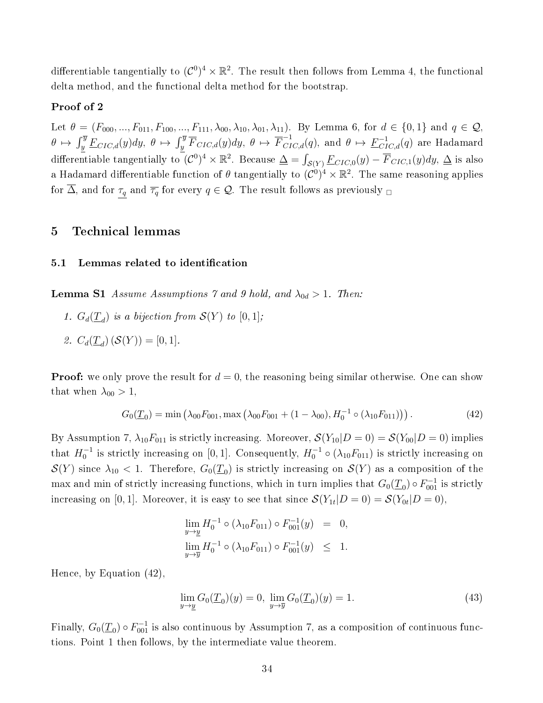differentiable tangentially to  $(\mathcal{C}^0)^4 \times \mathbb{R}^2$ . The result then follows from Lemma 4, the functional delta method, and the functional delta method for the bootstrap.

### Proof of 2

Let  $\theta = (F_{000},...,F_{011},F_{100},...,F_{111},\lambda_{00},\lambda_{10},\lambda_{01},\lambda_{11})$ . By Lemma 6, for  $d \in \{0,1\}$  and  $q \in \mathcal{Q}$ ,  $\theta \, \mapsto \, \int_y^{\overline{y}} \underline{F}_{CIC, d}(y) dy, \ \theta \, \mapsto \, \overline{f}_{CIC, d}^{-1}(q), \, \text{and} \,\, \theta \, \mapsto \, \underline{F}_{CIC, d}^{-1}(q) \, \, \text{are Hadamard}$ differentiable tangentially to  $(C^0)^4 \times \mathbb{R}^2$ . Because  $\Delta = \int_{\mathcal{S}(Y)} \underline{F}_{CIC,0}(y) - \overline{F}_{CIC,1}(y) dy$ ,  $\Delta$  is also a Hadamard differentiable function of  $\theta$  tangentially to  $(\mathcal{C}^0)^4\times\mathbb{R}^2.$  The same reasoning applies for  $\overline{\Delta}$ , and for  $\tau_q$  and  $\overline{\tau_q}$  for every  $q \in \mathcal{Q}$ . The result follows as previously  $\Box$ 

### 5 Technical lemmas

#### 5.1 Lemmas related to identification

**Lemma S1** Assume Assumptions 7 and 9 hold, and  $\lambda_{0d} > 1$ . Then:

- 1.  $G_d(\underline{T}_d)$  is a bijection from  $\mathcal{S}(Y)$  to  $[0,1]$ ;
- 2.  $C_d(\underline{T}_d) (\mathcal{S}(Y)) = [0, 1].$

**Proof:** we only prove the result for  $d = 0$ , the reasoning being similar otherwise. One can show that when  $\lambda_{00} > 1$ ,

$$
G_0(\underline{T}_0) = \min \left( \lambda_{00} F_{001}, \max \left( \lambda_{00} F_{001} + (1 - \lambda_{00}), H_0^{-1} \circ (\lambda_{10} F_{011}) \right) \right). \tag{42}
$$

By Assumption 7,  $\lambda_{10}F_{011}$  is strictly increasing. Moreover,  $\mathcal{S}(Y_{10}|D=0) = \mathcal{S}(Y_{00}|D=0)$  implies that  $H_0^{-1}$  is strictly increasing on [0, 1]. Consequently,  $H_0^{-1} \circ (\lambda_{10} F_{011})$  is strictly increasing on  $\mathcal{S}(Y)$  since  $\lambda_{10} < 1$ . Therefore,  $G_0(\underline{T}_0)$  is strictly increasing on  $\mathcal{S}(Y)$  as a composition of the  $\max$  and  $\min$  of strictly increasing functions, which in turn implies that  $G_0(\underline{T}_0) \circ F_{001}^{-1}$  is strictly increasing on [0,1]. Moreover, it is easy to see that since  $\mathcal{S}(Y_{1t}|D=0) = \mathcal{S}(Y_{0t}|D=0),$ 

$$
\lim_{y \to \underline{y}} H_0^{-1} \circ (\lambda_{10} F_{011}) \circ F_{001}^{-1}(y) = 0,
$$
  

$$
\lim_{y \to \overline{y}} H_0^{-1} \circ (\lambda_{10} F_{011}) \circ F_{001}^{-1}(y) \leq 1.
$$

Hence, by Equation (42),

$$
\lim_{y \to \underline{y}} G_0(\underline{T}_0)(y) = 0, \ \lim_{y \to \overline{y}} G_0(\underline{T}_0)(y) = 1.
$$
\n(43)

Finally,  $G_0(\underline{T}_0) \circ F_{001}^{-1}$  is also continuous by Assumption 7, as a composition of continuous functions. Point 1 then follows, by the intermediate value theorem.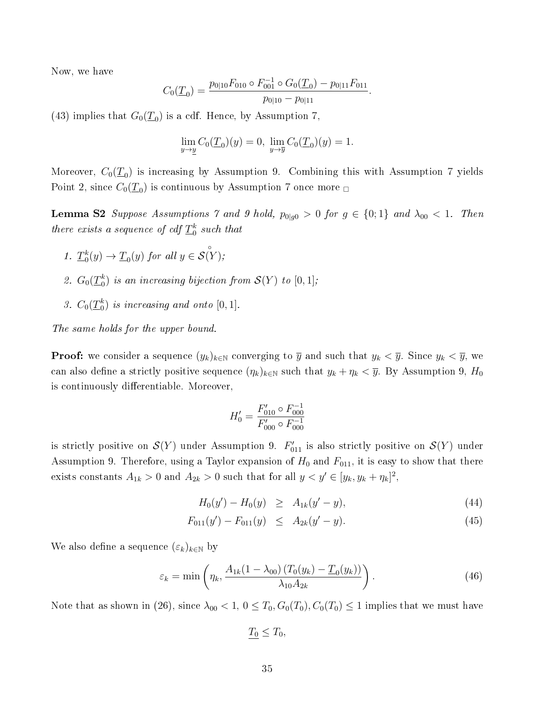Now, we have

$$
C_0(\underline{T}_0) = \frac{p_{0|10}F_{010} \circ F_{001}^{-1} \circ G_0(\underline{T}_0) - p_{0|11}F_{011}}{p_{0|10} - p_{0|11}}.
$$

(43) implies that  $G_0(\underline{T}_0)$  is a cdf. Hence, by Assumption 7,

$$
\lim_{y \to \underline{y}} C_0(\underline{T}_0)(y) = 0, \ \lim_{y \to \overline{y}} C_0(\underline{T}_0)(y) = 1.
$$

Moreover,  $C_0(\underline{T}_0)$  is increasing by Assumption 9. Combining this with Assumption 7 yields Point 2, since  $C_0(\underline{T}_0)$  is continuous by Assumption 7 once more  ${}_{\square}$ 

**Lemma S2** Suppose Assumptions 7 and 9 hold,  $p_{0|g0} > 0$  for  $g \in \{0,1\}$  and  $\lambda_{00} < 1$ . Then there exists a sequence of cdf  $\underline{T}_0^k$  such that

- 1.  $\underline{T}_0^k(y) \to \underline{T}_0(y)$  for all  $y \in$ ◦  $\mathcal{S}(Y)$ ;
- 2.  $G_0(\underline{T}_0^k)$  is an increasing bijection from  $\mathcal{S}(Y)$  to  $[0,1]$ ;
- 3.  $C_0(\underline{T}_0^k)$  is increasing and onto  $[0,1]$ .

The same holds for the upper bound.

**Proof:** we consider a sequence  $(y_k)_{k\in\mathbb{N}}$  converging to  $\overline{y}$  and such that  $y_k < \overline{y}$ . Since  $y_k < \overline{y}$ , we can also define a strictly positive sequence  $(\eta_k)_{k\in\mathbb{N}}$  such that  $y_k + \eta_k < \overline{y}$ . By Assumption 9,  $H_0$ is continuously differentiable. Moreover,

$$
H'_0 = \frac{F'_{010} \circ F_{000}^{-1}}{F'_{000} \circ F_{000}^{-1}}
$$

is strictly positive on  $\mathcal{S}(Y)$  under Assumption 9.  $F'_{011}$  is also strictly positive on  $\mathcal{S}(Y)$  under Assumption 9. Therefore, using a Taylor expansion of  $H_0$  and  $F_{011}$ , it is easy to show that there exists constants  $A_{1k} > 0$  and  $A_{2k} > 0$  such that for all  $y < y' \in [y_k, y_k + \eta_k]^2$ ,

$$
H_0(y') - H_0(y) \geq A_{1k}(y'-y), \tag{44}
$$

$$
F_{011}(y') - F_{011}(y) \leq A_{2k}(y'-y). \tag{45}
$$

We also define a sequence  $(\varepsilon_k)_{k\in\mathbb{N}}$  by

$$
\varepsilon_k = \min \left( \eta_k, \frac{A_{1k} (1 - \lambda_{00}) (T_0(y_k) - \underline{T}_0(y_k))}{\lambda_{10} A_{2k}} \right). \tag{46}
$$

Note that as shown in (26), since  $\lambda_{00} < 1$ ,  $0 \leq T_0$ ,  $G_0(T_0)$ ,  $C_0(T_0) \leq 1$  implies that we must have

$$
\underline{T_0} \leq T_0,
$$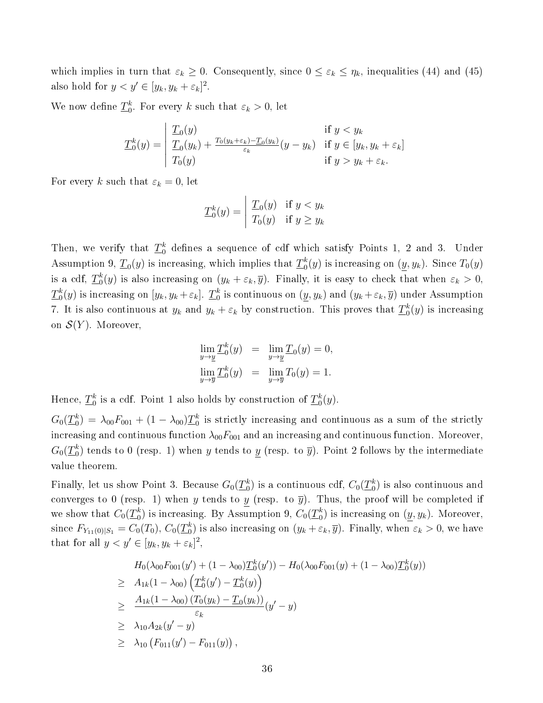which implies in turn that  $\varepsilon_k \geq 0$ . Consequently, since  $0 \leq \varepsilon_k \leq \eta_k$ , inequalities (44) and (45) also hold for  $y < y' \in [y_k, y_k + \varepsilon_k]^2$ .

We now define  $\underline{T}_0^k$ . For every k such that  $\varepsilon_k > 0$ , let

$$
\underline{T}_0^k(y) = \begin{vmatrix} \underline{T}_0(y) & \text{if } y < y_k \\ \underline{T}_0(y_k) + \frac{T_0(y_k + \varepsilon_k) - \underline{T}_0(y_k)}{\varepsilon_k} (y - y_k) & \text{if } y \in [y_k, y_k + \varepsilon_k] \\ T_0(y) & \text{if } y > y_k + \varepsilon_k. \end{vmatrix}
$$

For every k such that  $\varepsilon_k = 0$ , let

$$
\underline{T}_0^k(y) = \begin{vmatrix} \underline{T}_0(y) & \text{if } y < y_k \\ T_0(y) & \text{if } y \ge y_k \end{vmatrix}
$$

Then, we verify that  $\underline{T}_0^k$  defines a sequence of cdf which satisfy Points 1, 2 and 3. Under Assumption 9,  $\underline{T}_0(y)$  is increasing, which implies that  $\underline{T}_0^k(y)$  is increasing on  $(\underline{y},y_k)$ . Since  $T_0(y)$ is a cdf,  $\underline{T}_0^k(y)$  is also increasing on  $(y_k + \varepsilon_k, \overline{y})$ . Finally, it is easy to check that when  $\varepsilon_k > 0$ ,  $\underline{T}_0^k(y)$  is increasing on  $[y_k,y_k+\varepsilon_k].$   $\underline{T}_0^k$  is continuous on  $(\underline{y},y_k)$  and  $(y_k+\varepsilon_k,\overline{y})$  under Assumption 7. It is also continuous at  $y_k$  and  $y_k + \varepsilon_k$  by construction. This proves that  $\underline{T}_0^k(y)$  is increasing on  $\mathcal{S}(Y)$ . Moreover,

$$
\lim_{y \to \underline{y}} \underline{T}_0^k(y) = \lim_{y \to \underline{y}} \underline{T}_0(y) = 0,
$$
  

$$
\lim_{y \to \overline{y}} \underline{T}_0^k(y) = \lim_{y \to \overline{y}} T_0(y) = 1.
$$

Hence,  $\underline{T}_0^k$  is a cdf. Point 1 also holds by construction of  $\underline{T}_0^k(y)$ .

 $G_0(\underline{T}_0^k) = \lambda_{00} F_{001} + (1-\lambda_{00}) \underline{T}_0^k$  is strictly increasing and continuous as a sum of the strictly increasing and continuous function  $\lambda_{00}F_{001}$  and an increasing and continuous function. Moreover,  $G_0(\underline{T}_0^k)$  tends to  $0$  (resp. 1) when  $y$  tends to  $\underline{y}$  (resp. to  $\overline{y}$ ). Point 2 follows by the intermediate value theorem.

Finally, let us show Point 3. Because  $G_0(\underline{T}_0^k)$  is a continuous cdf,  $C_0(\underline{T}_0^k)$  is also continuous and converges to 0 (resp. 1) when y tends to y (resp. to  $\overline{y}$ ). Thus, the proof will be completed if we show that  $C_0(\underline{T}_0^k)$  is increasing. By Assumption 9,  $C_0(\underline{T}_0^k)$  is increasing on  $(\underline{y},y_k)$ . Moreover, since  $F_{Y_{11}(0)|S_1} = C_0(T_0)$ ,  $C_0(\underline{T}_0^k)$  is also increasing on  $(y_k + \varepsilon_k, \overline{y})$ . Finally, when  $\varepsilon_k > 0$ , we have that for all  $y < y' \in [y_k, y_k + \varepsilon_k]^2$ ,

$$
H_0(\lambda_{00}F_{001}(y') + (1 - \lambda_{00})\underline{T}_0^k(y')) - H_0(\lambda_{00}F_{001}(y) + (1 - \lambda_{00})\underline{T}_0^k(y))
$$
  
\n
$$
\geq H_{1k}(1 - \lambda_{00})\left(\underline{T}_0^k(y') - \underline{T}_0^k(y)\right)
$$
  
\n
$$
\geq \frac{H_{1k}(1 - \lambda_{00})\left(T_0(y_k) - \underline{T}_0(y_k)\right)}{\varepsilon_k}(y' - y)
$$
  
\n
$$
\geq \lambda_{10}A_{2k}(y' - y)
$$
  
\n
$$
\geq \lambda_{10}\left(F_{011}(y') - F_{011}(y)\right),
$$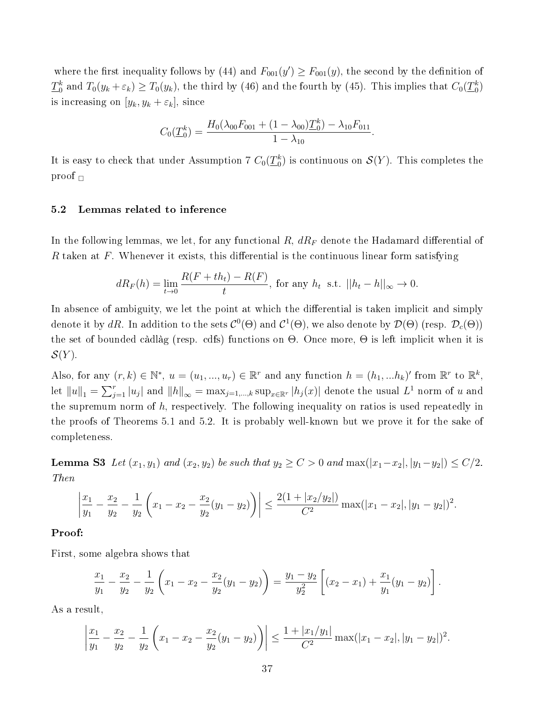where the first inequality follows by (44) and  $F_{001}(y') \geq F_{001}(y)$ , the second by the definition of  $\underline{T}_0^k$  and  $T_0(y_k + \varepsilon_k) \geq T_0(y_k)$ , the third by (46) and the fourth by (45). This implies that  $C_0(\underline{T}_0^k)$ is increasing on  $[y_k, y_k + \varepsilon_k]$ , since

$$
C_0(\underline{T}_0^k) = \frac{H_0(\lambda_{00}F_{001} + (1 - \lambda_{00})\underline{T}_0^k) - \lambda_{10}F_{011}}{1 - \lambda_{10}}.
$$

It is easy to check that under Assumption 7  $C_0(\underline{T}_0^k)$  is continuous on  $\mathcal{S}(Y).$  This completes the proof  $\Box$ 

### 5.2 Lemmas related to inference

In the following lemmas, we let, for any functional  $R$ ,  $dR<sub>F</sub>$  denote the Hadamard differential of R taken at F. Whenever it exists, this differential is the continuous linear form satisfying

$$
dR_F(h) = \lim_{t \to 0} \frac{R(F + th_t) - R(F)}{t},
$$
 for any  $h_t$  s.t.  $||h_t - h||_{\infty} \to 0$ .

In absence of ambiguity, we let the point at which the differential is taken implicit and simply denote it by  $dR.$  In addition to the sets  $\mathcal{C}^0(\Theta)$  and  $\mathcal{C}^1(\Theta),$  we also denote by  $\mathcal{D}(\Theta)$  (resp.  $\mathcal{D}_c(\Theta))$ the set of bounded càdlàg (resp. cdfs) functions on Θ. Once more, Θ is left implicit when it is  $\mathcal{S}(Y)$ .

Also, for any  $(r, k) \in \mathbb{N}^*, u = (u_1, ..., u_r) \in \mathbb{R}^r$  and any function  $h = (h_1, ... h_k)'$  from  $\mathbb{R}^r$  to  $\mathbb{R}^k$ , let  $||u||_1 = \sum_{j=1}^r |u_j|$  and  $||h||_{\infty} = \max_{j=1,\dots,k} \sup_{x \in \mathbb{R}^r} |h_j(x)|$  denote the usual  $L^1$  norm of u and the supremum norm of  $h$ , respectively. The following inequality on ratios is used repeatedly in the proofs of Theorems 5.1 and 5.2. It is probably well-known but we prove it for the sake of completeness.

Lemma S3 Let  $(x_1, y_1)$  and  $(x_2, y_2)$  be such that  $y_2 \ge C > 0$  and  $\max(|x_1-x_2|, |y_1-y_2|) \le C/2$ . Then

$$
\left|\frac{x_1}{y_1} - \frac{x_2}{y_2} - \frac{1}{y_2}\left(x_1 - x_2 - \frac{x_2}{y_2}(y_1 - y_2)\right)\right| \le \frac{2(1 + |x_2/y_2|)}{C^2} \max(|x_1 - x_2|, |y_1 - y_2|)^2.
$$

### Proof:

First, some algebra shows that

$$
\frac{x_1}{y_1} - \frac{x_2}{y_2} - \frac{1}{y_2} \left( x_1 - x_2 - \frac{x_2}{y_2} (y_1 - y_2) \right) = \frac{y_1 - y_2}{y_2^2} \left[ (x_2 - x_1) + \frac{x_1}{y_1} (y_1 - y_2) \right].
$$

As a result,

$$
\left|\frac{x_1}{y_1} - \frac{x_2}{y_2} - \frac{1}{y_2}\left(x_1 - x_2 - \frac{x_2}{y_2}(y_1 - y_2)\right)\right| \le \frac{1 + |x_1/y_1|}{C^2} \max(|x_1 - x_2|, |y_1 - y_2|)^2.
$$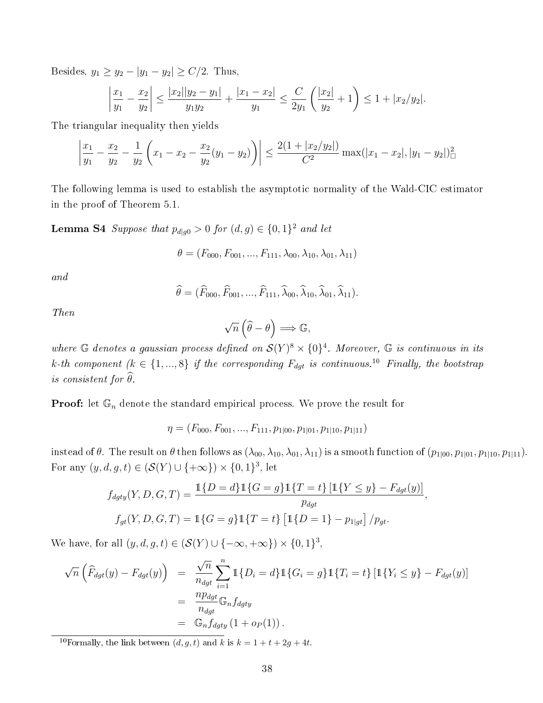Besides,  $y_1 \ge y_2 - |y_1 - y_2| \ge C/2$ . Thus,

$$
\left|\frac{x_1}{y_1} - \frac{x_2}{y_2}\right| \le \frac{|x_2||y_2 - y_1|}{y_1 y_2} + \frac{|x_1 - x_2|}{y_1} \le \frac{C}{2y_1} \left(\frac{|x_2|}{y_2} + 1\right) \le 1 + |x_2/y_2|.
$$

The triangular inequality then yields

$$
\left|\frac{x_1}{y_1} - \frac{x_2}{y_2} - \frac{1}{y_2}\left(x_1 - x_2 - \frac{x_2}{y_2}(y_1 - y_2)\right)\right| \le \frac{2(1 + |x_2/y_2|)}{C^2} \max(|x_1 - x_2|, |y_1 - y_2|)^2_{\Box}
$$

The following lemma is used to establish the asymptotic normality of the Wald-CIC estimator in the proof of Theorem 5.1.

**Lemma S4** Suppose that  $p_{d|g0} > 0$  for  $(d, g) \in \{0, 1\}^2$  and let

$$
\theta = (F_{000}, F_{001}, ..., F_{111}, \lambda_{00}, \lambda_{10}, \lambda_{01}, \lambda_{11})
$$

and

$$
\widehat{\theta} = (\widehat{F}_{000}, \widehat{F}_{001}, ..., \widehat{F}_{111}, \widehat{\lambda}_{00}, \widehat{\lambda}_{10}, \widehat{\lambda}_{01}, \widehat{\lambda}_{11}).
$$

Then

$$
\sqrt{n}\left(\widehat{\theta}-\theta\right) \Longrightarrow \mathbb{G},
$$

where G denotes a gaussian process defined on  $\mathcal{S}(Y)^8 \times \{0\}^4$ . Moreover, G is continuous in its k-th component  $(k \in \{1, ..., 8\}$  if the corresponding  $F_{dyt}$  is continuous.<sup>10</sup> Finally, the bootstrap is consistent for  $\widehat{\theta}$ .

**Proof:** let  $\mathbb{G}_n$  denote the standard empirical process. We prove the result for

 $\eta = (F_{000}, F_{001}, ..., F_{111}, p_{1|00}, p_{1|01}, p_{1|10}, p_{1|11})$ 

instead of  $\theta$ . The result on  $\theta$  then follows as  $(\lambda_{00}, \lambda_{10}, \lambda_{01}, \lambda_{11})$  is a smooth function of  $(p_{1|00}, p_{1|01}, p_{1|10}, p_{1|11})$ . For any  $(y, d, g, t) \in (\mathcal{S}(Y) \cup \{+\infty\}) \times \{0, 1\}^3$ , let

$$
f_{dyty}(Y, D, G, T) = \frac{\mathbb{1}{D = d}\mathbb{1}{G = g}\mathbb{1}{T = t}\left[\mathbb{1}{Y \le y} - F_{dyt}(y)\right]}{p_{dyt}},
$$
  

$$
f_{gt}(Y, D, G, T) = \mathbb{1}{G = g}\mathbb{1}{T = t}\left[\mathbb{1}{D = 1} - p_{1|gt}]\right/p_{gt}.
$$

We have, for all  $(y, d, g, t) \in (\mathcal{S}(Y) \cup \{-\infty, +\infty\}) \times \{0, 1\}^3$ ,

$$
\sqrt{n}\left(\widehat{F}_{dgt}(y) - F_{dgt}(y)\right) = \frac{\sqrt{n}}{n_{dst}} \sum_{i=1}^{n} \mathbb{1}\{D_i = d\} \mathbb{1}\{G_i = g\} \mathbb{1}\{T_i = t\} \left[\mathbb{1}\{Y_i \le y\} - F_{dgt}(y)\right]
$$

$$
= \frac{np_{dgt}}{n_{dst}} \mathbb{G}_n f_{dgty}
$$

$$
= \mathbb{G}_n f_{dgty} \left(1 + o_P(1)\right).
$$

<sup>10</sup>Formally, the link between  $(d, g, t)$  and k is  $k = 1 + t + 2g + 4t$ .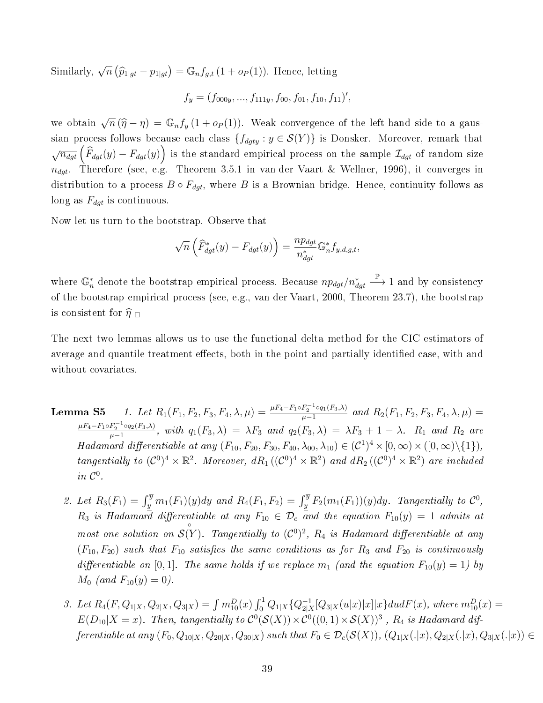Similarly,  $\sqrt{n} (\widehat{p}_{1|gt} - p_{1|gt}) = \mathbb{G}_n f_{g,t} (1 + o_P(1))$ . Hence, letting

$$
f_y = (f_{000y}, ..., f_{111y}, f_{00}, f_{01}, f_{10}, f_{11})'
$$

we obtain  $\sqrt{n} (\hat{\eta} - \eta) = \mathbb{G}_n f_y (1 + o_P(1))$ . Weak convergence of the left-hand side to a gaussian process follows because each class  $\{f_{dyty} : y \in \mathcal{S}(Y)\}$  is Donsker. Moreover, remark that  $\sqrt{n_{dgt}}\left(\widehat{F}_{dgt}(y)-F_{dgt}(y)\right)$  is the standard empirical process on the sample  $\mathcal{I}_{dgt}$  of random size  $n_{dqt}$ . Therefore (see, e.g. Theorem 3.5.1 in van der Vaart & Wellner, 1996), it converges in distribution to a process  $B \circ F_{dgt}$ , where B is a Brownian bridge. Hence, continuity follows as long as  $F_{dgt}$  is continuous.

Now let us turn to the bootstrap. Observe that

$$
\sqrt{n}\left(\widehat{F}_{dgt}^*(y) - F_{dgt}(y)\right) = \frac{np_{dgt}}{n_{dgt}^*}\mathbb{G}_n^*f_{y,d,g,t},
$$

where  $\mathbb{G}_n^*$  denote the bootstrap empirical process. Because  $np_{dgt}/n_{dgt}^*$  $\stackrel{\mathbb{P}}{\longrightarrow}$  1 and by consistency of the bootstrap empirical process (see, e.g., van der Vaart, 2000, Theorem 23.7), the bootstrap is consistent for  $\widehat{\eta}_{\square}$ 

The next two lemmas allows us to use the functional delta method for the CIC estimators of average and quantile treatment effects, both in the point and partially identified case, with and without covariates.

- Lemma S5 1. Let  $R_1(F_1, F_2, F_3, F_4, \lambda, \mu) = \frac{\mu F_4 F_1 \circ F_2^{-1} \circ q_1(F_3, \lambda)}{\mu 1}$  $\frac{F_2}{\mu-1}$   $\frac{\circ q_1(F_3,\lambda)}{q_1+q_2}$  and  $R_2(F_1, F_2, F_3, F_4, \lambda, \mu)$  =  $\mu F_4 - F_1 \circ F_2^{-1} \circ q_2(F_3, \lambda)$  $\frac{F_2 \circ q_2(F_3,\lambda)}{\mu-1}$ , with  $q_1(F_3,\lambda) = \lambda F_3$  and  $q_2(F_3,\lambda) = \lambda F_3 + 1 - \lambda$ .  $R_1$  and  $R_2$  are Hadamard differentiable at any  $(F_{10}, F_{20}, F_{30}, F_{40}, \lambda_{00}, \lambda_{10}) \in (C^1)^4 \times [0, \infty) \times ([0, \infty) \setminus \{1\}),$ tangentially to  $(C^0)^4 \times \mathbb{R}^2$ . Moreover,  $dR_1((C^0)^4 \times \mathbb{R}^2)$  and  $dR_2((C^0)^4 \times \mathbb{R}^2)$  are included in  $\mathcal{C}^0$ .
	- 2. Let  $R_3(F_1) = \int_y^{\overline{y}} m_1(F_1)(y) dy$  and  $R_4(F_1, F_2) = \int_y^{\overline{y}} F_2(m_1(F_1))(y) dy$ . Tangentially to  $\mathcal{C}^0$ ,  $R_3$  is Hadamard differentiable at any  $F_{10}\,\in\,\mathcal{D}_c$  and the equation  $F_{10}(y)\,=\,1$  admits at most one solution on ◦  $\mathcal{S}(Y)$ . Tangentially to  $(\mathcal{C}^0)^2$ ,  $R_4$  is Hadamard differentiable at any  $(F_{10}, F_{20})$  such that  $F_{10}$  satisfies the same conditions as for  $R_3$  and  $F_{20}$  is continuously differentiable on [0,1]. The same holds if we replace  $m_1$  (and the equation  $F_{10}(y) = 1$ ) by  $M_0$  (and  $F_{10}(y) = 0$ ).
	- 3. Let  $R_4(F, Q_{1|X}, Q_{2|X}, Q_{3|X}) = \int m_{10}^D(x) \int_0^1 Q_{1|X} \{Q_{2|X}^{-1}$  $\frac{-1}{2|X}[Q_{3|X}(u|x)|x]|x\}dudF(x),$  where  $m_{10}^{D}(x)=$  $E(D_{10}|X=x)$ . Then, tangentially to  $C^0(S(X))\times C^0((0,1)\times S(X))^3$  ,  $R_4$  is Hadamard differentiable at any  $(F_0, Q_{10|X}, Q_{20|X}, Q_{30|X})$  such that  $F_0 \in \mathcal{D}_c(\mathcal{S}(X))$ ,  $(Q_{1|X}(.|x), Q_{2|X}(.|x), Q_{3|X}(.|x)) \in$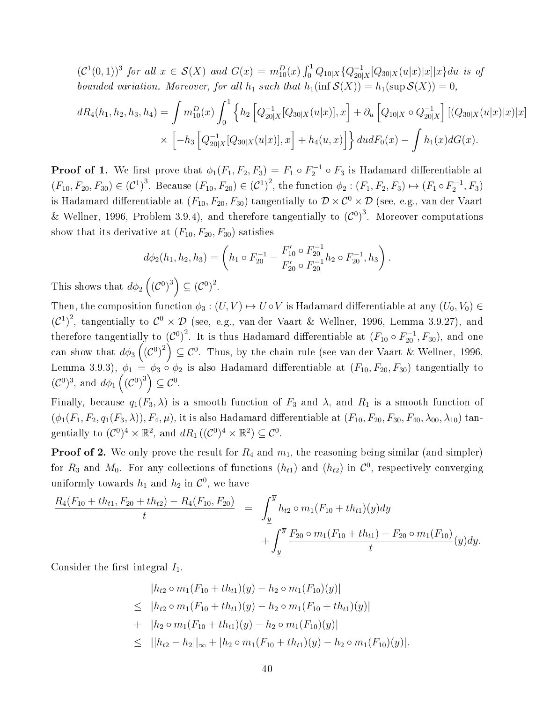$(C^1(0, 1))^3$  for all  $x \in S(X)$  and  $G(x) = m_{10}^D(x) \int_0^1 Q_{10|X} \{Q_{20}^{-1}\}$  $^{-1}_{20|X}[Q_{30|X}(u|x)|x]|x\}du$  is of bounded variation. Moreover, for all  $h_1$  such that  $h_1(\inf S(X)) = h_1(\sup S(X)) = 0$ ,

$$
dR_4(h_1, h_2, h_3, h_4) = \int m_{10}^D(x) \int_0^1 \left\{ h_2 \left[ Q_{20|X}^{-1}[Q_{30|X}(u|x)], x \right] + \partial_u \left[ Q_{10|X} \circ Q_{20|X}^{-1} \right] \left[ (Q_{30|X}(u|x)|x) \right] x \right\}
$$

$$
\times \left[ -h_3 \left[ Q_{20|X}^{-1}[Q_{30|X}(u|x)], x \right] + h_4(u, x) \right] \right\} du dF_0(x) - \int h_1(x) dG(x).
$$

**Proof of 1.** We first prove that  $\phi_1(F_1, F_2, F_3) = F_1 \circ F_2^{-1} \circ F_3$  is Hadamard differentiable at  $(F_{10}, F_{20}, F_{30}) \in (\mathcal{C}^1)^3$ . Because  $(F_{10}, F_{20}) \in (\mathcal{C}^1)^2$ , the function  $\phi_2 : (F_1, F_2, F_3) \mapsto (F_1 \circ F_2^{-1}, F_3)$ is Hadamard differentiable at  $(F_{10}, F_{20}, F_{30})$  tangentially to  $\mathcal{D} \times \mathcal{C}^0 \times \mathcal{D}$  (see, e.g., van der Vaart & Wellner, 1996, Problem 3.9.4), and therefore tangentially to  $(C^0)^3$ . Moreover computations show that its derivative at  $(F_{10}, F_{20}, F_{30})$  satisfies

$$
d\phi_2(h_1, h_2, h_3) = \left(h_1 \circ F_{20}^{-1} - \frac{F'_{10} \circ F_{20}^{-1}}{F'_{20} \circ F_{20}^{-1}} h_2 \circ F_{20}^{-1}, h_3\right).
$$

This shows that  $d\phi_2\left({(\mathcal{C}^0)}^3\right) \subseteq {(\mathcal{C}^0)}^2$ .

Then, the composition function  $\phi_3 : (U, V) \mapsto U \circ V$  is Hadamard differentiable at any  $(U_0, V_0) \in$  $({\cal C}^1)^2$ , tangentially to  ${\cal C}^0 \times {\cal D}$  (see, e.g., van der Vaart & Wellner, 1996, Lemma 3.9.27), and therefore tangentially to  ${({\cal C}^0)}^2$ . It is thus Hadamard differentiable at  $({F_{10}}\circ F_{20}^{-1},{F_{30}}),$  and one can show that  $d\phi_3\left(\left(\mathcal{C}^0\right)^2\right)\subseteq \mathcal{C}^0.$  Thus, by the chain rule (see van der Vaart & Wellner, 1996, Lemma 3.9.3),  $\phi_1 = \phi_3 \circ \phi_2$  is also Hadamard differentiable at  $(F_{10}, F_{20}, F_{30})$  tangentially to  $({\cal C}^{0})^3$ , and  $d\phi_1(({\cal C}^{0})^3) \subseteq {\cal C}^{0}$ .

Finally, because  $q_1(F_3, \lambda)$  is a smooth function of  $F_3$  and  $\lambda$ , and  $R_1$  is a smooth function of  $(\phi_1(F_1, F_2, q_1(F_3, \lambda)), F_4, \mu)$ , it is also Hadamard differentiable at  $(F_{10}, F_{20}, F_{30}, F_{40}, \lambda_{00}, \lambda_{10})$  tangentially to  $(C^0)^4 \times \mathbb{R}^2$ , and  $dR_1((C^0)^4 \times \mathbb{R}^2) \subseteq C^0$ .

**Proof of 2.** We only prove the result for  $R_4$  and  $m_1$ , the reasoning being similar (and simpler) for  $R_3$  and  $M_0$ . For any collections of functions  $(h_{t1})$  and  $(h_{t2})$  in  $\mathcal{C}^0$ , respectively converging uniformly towards  $h_1$  and  $h_2$  in  $\mathcal{C}^0$ , we have

$$
\frac{R_4(F_{10} + th_{t1}, F_{20} + th_{t2}) - R_4(F_{10}, F_{20})}{t} = \int_{\underline{y}}^{\overline{y}} h_{t2} \circ m_1(F_{10} + th_{t1})(y) dy + \int_{\underline{y}}^{\overline{y}} \frac{F_{20} \circ m_1(F_{10} + th_{t1}) - F_{20} \circ m_1(F_{10})}{t}(y) dy.
$$

Consider the first integral  $I_1$ .

$$
|h_{t2} \circ m_1(F_{10} + th_{t1})(y) - h_2 \circ m_1(F_{10})(y)|
$$
  
\n
$$
\leq |h_{t2} \circ m_1(F_{10} + th_{t1})(y) - h_2 \circ m_1(F_{10} + th_{t1})(y)|
$$
  
\n
$$
+ |h_2 \circ m_1(F_{10} + th_{t1})(y) - h_2 \circ m_1(F_{10})(y)|
$$
  
\n
$$
\leq ||h_{t2} - h_2||_{\infty} + |h_2 \circ m_1(F_{10} + th_{t1})(y) - h_2 \circ m_1(F_{10})(y)|.
$$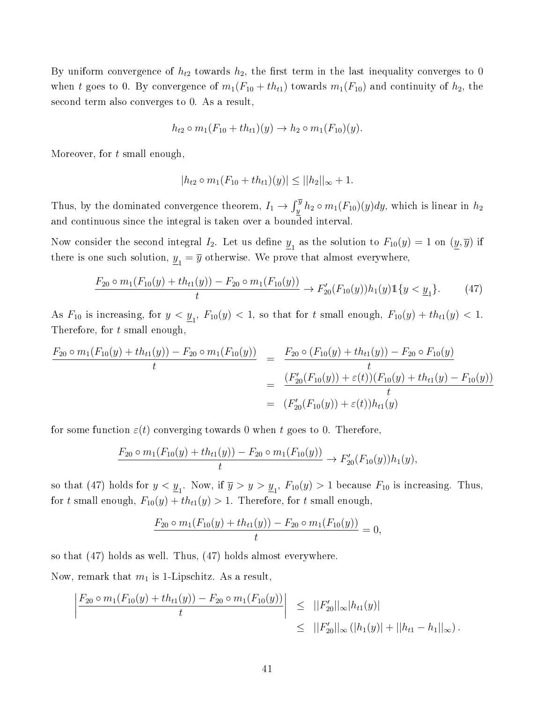By uniform convergence of  $h_{t2}$  towards  $h_2$ , the first term in the last inequality converges to 0 when t goes to 0. By convergence of  $m_1(F_{10} + th_{t1})$  towards  $m_1(F_{10})$  and continuity of  $h_2$ , the second term also converges to 0. As a result,

$$
h_{t2} \circ m_1(F_{10} + th_{t1})(y) \to h_2 \circ m_1(F_{10})(y).
$$

Moreover, for t small enough,

$$
|h_{t2} \circ m_1(F_{10} + th_{t1})(y)| \leq ||h_2||_{\infty} + 1.
$$

Thus, by the dominated convergence theorem,  $I_1 \to \int_y^{\overline{y}} h_2 \circ m_1(F_{10})(y) dy$ , which is linear in  $h_2$ and continuous since the integral is taken over a bounded interval.

Now consider the second integral  $I_2$ . Let us define  $\underline{y}_1$  as the solution to  $F_{10}(y)=1$  on  $(\underline{y},\overline{y})$  if there is one such solution,  $\underline{y}_1 = \overline{y}$  otherwise. We prove that almost everywhere,

$$
\frac{F_{20} \circ m_1(F_{10}(y) + th_{t1}(y)) - F_{20} \circ m_1(F_{10}(y))}{t} \to F'_{20}(F_{10}(y))h_1(y)1\{y < \underline{y}_1\}.\tag{47}
$$

As  $F_{10}$  is increasing, for  $y < y_1$ ,  $F_{10}(y) < 1$ , so that for  $t$  small enough,  $F_{10}(y) + th_{t1}(y) < 1$ . Therefore, for t small enough,

$$
\frac{F_{20} \circ m_1(F_{10}(y) + th_{t1}(y)) - F_{20} \circ m_1(F_{10}(y))}{t} = \frac{F_{20} \circ (F_{10}(y) + th_{t1}(y)) - F_{20} \circ F_{10}(y)}{t}
$$
  

$$
= \frac{(F'_{20}(F_{10}(y)) + \varepsilon(t))(F_{10}(y) + th_{t1}(y) - F_{10}(y))}{t}
$$
  

$$
= (F'_{20}(F_{10}(y)) + \varepsilon(t))h_{t1}(y)
$$

for some function  $\varepsilon(t)$  converging towards 0 when t goes to 0. Therefore,

$$
\frac{F_{20} \circ m_1(F_{10}(y) + th_{t1}(y)) - F_{20} \circ m_1(F_{10}(y))}{t} \to F'_{20}(F_{10}(y))h_1(y),
$$

so that (47) holds for  $y < y_1$ . Now, if  $\overline{y} > y > y_1$ ,  $F_{10}(y) > 1$  because  $F_{10}$  is increasing. Thus, for t small enough,  $F_{10}(y) + th_{t1}(y) > 1$ . Therefore, for t small enough,

$$
\frac{F_{20} \circ m_1(F_{10}(y) + th_{t1}(y)) - F_{20} \circ m_1(F_{10}(y))}{t} = 0,
$$

so that (47) holds as well. Thus, (47) holds almost everywhere.

Now, remark that  $m_1$  is 1-Lipschitz. As a result,

$$
\left| \frac{F_{20} \circ m_1(F_{10}(y) + th_{t1}(y)) - F_{20} \circ m_1(F_{10}(y))}{t} \right| \leq ||F'_{20}||_{\infty}|h_{t1}(y)|
$$
  
\n
$$
\leq ||F'_{20}||_{\infty} (|h_1(y)| + ||h_{t1} - h_1||_{\infty}).
$$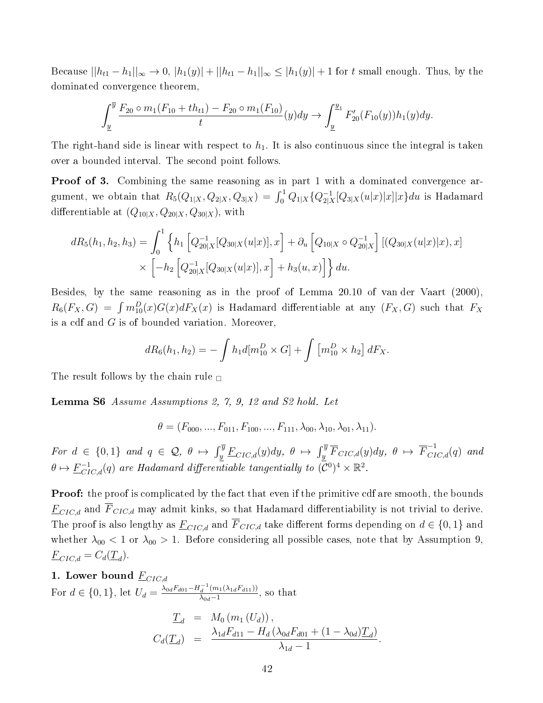Because  $||h_{t1} - h_1||_{\infty} \to 0$ ,  $|h_1(y)| + ||h_{t1} - h_1||_{\infty} \leq |h_1(y)| + 1$  for t small enough. Thus, by the dominated convergence theorem,

$$
\int_{\underline{y}}^{\overline{y}} \frac{F_{20} \circ m_1(F_{10} + th_{t1}) - F_{20} \circ m_1(F_{10})}{t} (y) dy \to \int_{\underline{y}}^{\underline{y}_1} F'_{20}(F_{10}(y)) h_1(y) dy.
$$

The right-hand side is linear with respect to  $h_1$ . It is also continuous since the integral is taken over a bounded interval. The second point follows.

Proof of 3. Combining the same reasoning as in part 1 with a dominated convergence argument, we obtain that  $R_5(Q_{1|X}, Q_{2|X}, Q_{3|X}) = \int_0^1 Q_{1|X}\{Q_{2|X}^{-1}$  $\frac{-1}{2|X}[Q_{3|X}(u|x)|x]|x\}du$  is Hadamard differentiable at  $(Q_{10|X}, Q_{20|X}, Q_{30|X})$ , with

$$
dR_5(h_1, h_2, h_3) = \int_0^1 \left\{ h_1 \left[ Q_{20|X}^{-1}[Q_{30|X}(u|x)], x \right] + \partial_u \left[ Q_{10|X} \circ Q_{20|X}^{-1} \right] \left[ (Q_{30|X}(u|x)|x), x \right] \right\} \times \left[ -h_2 \left[ Q_{20|X}^{-1}[Q_{30|X}(u|x)], x \right] + h_3(u, x) \right] \right\} du.
$$

Besides, by the same reasoning as in the proof of Lemma 20.10 of van der Vaart (2000),  $R_6(F_X, G) = \int m_{10}^D(x) G(x) dF_X(x)$  is Hadamard differentiable at any  $(F_X, G)$  such that  $F_X$ is a cdf and  $G$  is of bounded variation. Moreover,

$$
dR_6(h_1, h_2) = -\int h_1 d[m_{10}^D \times G] + \int [m_{10}^D \times h_2] dF_X.
$$

The result follows by the chain rule  $\Box$ 

Lemma S6 Assume Assumptions 2, 7, 9, 12 and S2 hold. Let

$$
\theta = (F_{000}, ..., F_{011}, F_{100}, ..., F_{111}, \lambda_{00}, \lambda_{10}, \lambda_{01}, \lambda_{11}).
$$

For  $d \in \{0,1\}$  and  $q \in \mathcal{Q}, \theta \mapsto \int_y^{\overline{y}} \underline{F}_{CIC,d}(y)dy, \theta \mapsto \int_y^{\overline{y}} \overline{F}_{CIC,d}(y)dy, \theta \mapsto \overline{F}_{CIC,d}^{-1}(q)$  and  $\theta \mapsto \underline{F}_{ClC,d}^{-1}(q)$  are Hadamard differentiable tangentially to  $(\overline{\mathcal{C}}^0)^4 \times \mathbb{R}^2$ .

**Proof:** the proof is complicated by the fact that even if the primitive cdf are smooth, the bounds  $\underline{F}_{CIC,d}$  and  $\overline{F}_{CIC,d}$  may admit kinks, so that Hadamard differentiability is not trivial to derive. The proof is also lengthy as  $\underline{F}_{CIC,d}$  and  $\overline{F}_{CIC,d}$  take different forms depending on  $d \in \{0,1\}$  and whether  $\lambda_{00}$  < 1 or  $\lambda_{00}$  > 1. Before considering all possible cases, note that by Assumption 9,  $\underline{F}_{CIC,d} = C_d(\underline{T}_d).$ 

1. Lower bound 
$$
\underline{F}_{CIC,d}
$$
  
\nFor  $d \in \{0, 1\}$ , let  $U_d = \frac{\lambda_{0d} F_{d01} - H_d^{-1}(m_1(\lambda_{1d} F_{d11}))}{\lambda_{0d} - 1}$ , so that  
\n $\underline{T}_d = M_0(m_1(U_d)),$   
\n $C_d(\underline{T}_d) = \frac{\lambda_{1d} F_{d11} - H_d(\lambda_{0d} F_{d01} + (1 - \lambda_{0d}) \underline{T}_d)}{\lambda_{1d} - 1}$ 

.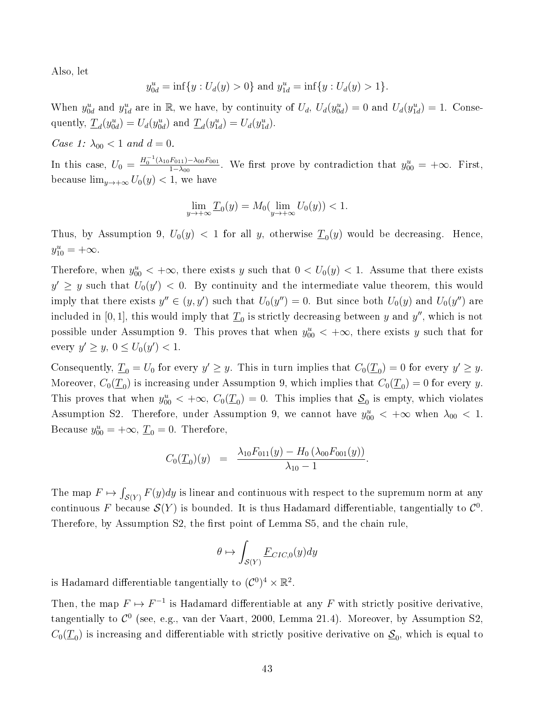Also, let

$$
y_{0d}^u = \inf\{y : U_d(y) > 0\}
$$
 and  $y_{1d}^u = \inf\{y : U_d(y) > 1\}.$ 

When  $y_{0d}^u$  and  $y_{1d}^u$  are in R, we have, by continuity of  $U_d$ ,  $U_d(y_{0d}^u) = 0$  and  $U_d(y_{1d}^u) = 1$ . Consequently,  $\underline{T}_d(y^u_{0d}) = U_d(y^u_{0d})$  and  $\underline{T}_d(y^u_{1d}) = U_d(y^u_{1d})$ .

Case 1:  $\lambda_{00} < 1$  and  $d = 0$ .

In this case,  $U_0 = \frac{H_0^{-1}(\lambda_{10}F_{011}) - \lambda_{00}F_{001}}{1-\lambda_{00}}$  $\frac{F_{011}-X_{00}F_{001}}{1-\lambda_{00}}$ . We first prove by contradiction that  $y_{00}^u = +\infty$ . First, because  $\lim_{y\to+\infty} U_0(y) < 1$ , we have

$$
\lim_{y \to +\infty} \underline{T}_0(y) = M_0(\lim_{y \to +\infty} U_0(y)) < 1.
$$

Thus, by Assumption 9,  $U_0(y) < 1$  for all y, otherwise  $\underline{T}_0(y)$  would be decreasing. Hence,  $y_{10}^u = +\infty.$ 

Therefore, when  $y_{00}^u < +\infty$ , there exists y such that  $0 < U_0(y) < 1$ . Assume that there exists  $y' \geq y$  such that  $U_0(y') < 0$ . By continuity and the intermediate value theorem, this would imply that there exists  $y'' \in (y, y')$  such that  $U_0(y'') = 0$ . But since both  $U_0(y)$  and  $U_0(y'')$  are included in  $[0,1]$ , this would imply that  $\underline{T}_0$  is strictly decreasing between  $y$  and  $y''$ , which is not possible under Assumption 9. This proves that when  $y_{00}^u < +\infty$ , there exists y such that for every  $y' \ge y, 0 \le U_0(y') < 1.$ 

Consequently,  $\underline{T}_0 = U_0$  for every  $y' \ge y$ . This in turn implies that  $C_0(\underline{T}_0) = 0$  for every  $y' \ge y$ . Moreover,  $C_0(\underline{T}_0)$  is increasing under Assumption 9, which implies that  $C_0(\underline{T}_0) = 0$  for every y. This proves that when  $y_{00}^u < +\infty$ ,  $C_0(\underline{T}_0) = 0$ . This implies that  $\underline{S}_0$  is empty, which violates Assumption S2. Therefore, under Assumption 9, we cannot have  $y_{00}^u < +\infty$  when  $\lambda_{00} < 1$ . Because  $y_{00}^u = +\infty$ ,  $\underline{T}_0 = 0$ . Therefore,

$$
C_0(\underline{T}_0)(y) = \frac{\lambda_{10}F_{011}(y) - H_0(\lambda_{00}F_{001}(y))}{\lambda_{10} - 1}.
$$

The map  $F \mapsto \int_{\mathcal{S}(Y)} F(y) dy$  is linear and continuous with respect to the supremum norm at any continuous F because  $\mathcal{S}(Y)$  is bounded. It is thus Hadamard differentiable, tangentially to  $\mathcal{C}^0.$ Therefore, by Assumption S2, the first point of Lemma S5, and the chain rule.

$$
\theta \mapsto \int_{\mathcal{S}(Y)} \underline{F}_{CIC,0}(y) dy
$$

is Hadamard differentiable tangentially to  $(\mathcal{C}^0)^4 \times \mathbb{R}^2$ .

Then, the map  $F \mapsto F^{-1}$  is Hadamard differentiable at any F with strictly positive derivative, tangentially to  $\mathcal{C}^0$  (see, e.g., van der Vaart, 2000, Lemma 21.4). Moreover, by Assumption S2,  $C_0(\underline{T}_0)$  is increasing and differentiable with strictly positive derivative on  $\underline{ \mathcal{S}}_0,$  which is equal to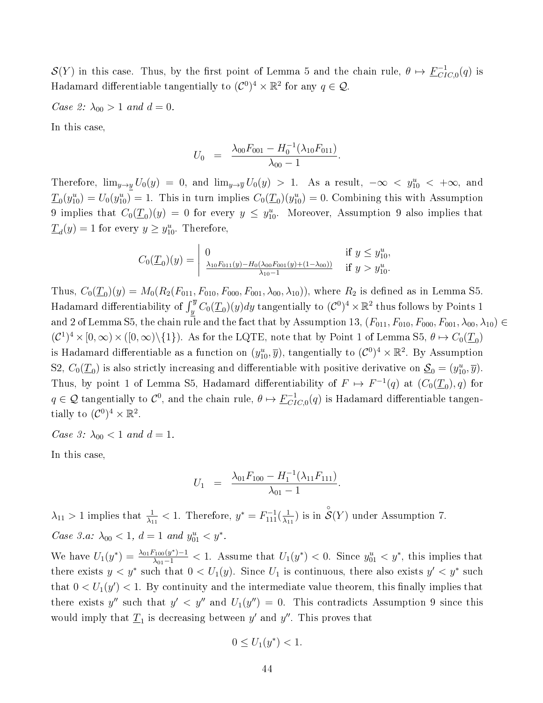$\mathcal{S}(Y)$  in this case. Thus, by the first point of Lemma 5 and the chain rule,  $\theta \mapsto \underline{F}_{CI}^{-1}$  $_{CIC,0}^{-1}(q)$  is Hadamard differentiable tangentially to  $(C^0)^4 \times \mathbb{R}^2$  for any  $q \in \mathcal{Q}$ .

Case 2:  $\lambda_{00} > 1$  and  $d = 0$ .

In this case,

$$
U_0 = \frac{\lambda_{00} F_{001} - H_0^{-1} (\lambda_{10} F_{011})}{\lambda_{00} - 1}.
$$

Therefore,  $\lim_{y\to y}U_0(y) = 0$ , and  $\lim_{y\to y}U_0(y) > 1$ . As a result,  $-\infty < y_{10}^u < +\infty$ , and  $\underline{T}_0(y_{10}^u) = U_0(y_{10}^u) = 1$ . This in turn implies  $C_0(\underline{T}_0)(y_{10}^u) = 0$ . Combining this with Assumption 9 implies that  $C_0(\underline{T}_0)(y) = 0$  for every  $y \le y_{10}^u$ . Moreover, Assumption 9 also implies that  $\underline{T}_d(y) = 1$  for every  $y \ge y_{10}^u$ . Therefore,

$$
C_0(\underline{T}_0)(y) = \begin{vmatrix} 0 & \text{if } y \le y_{10}^u, \\ \frac{\lambda_{10} F_{011}(y) - H_0(\lambda_{00} F_{001}(y) + (1 - \lambda_{00}))}{\lambda_{10} - 1} & \text{if } y > y_{10}^u. \end{vmatrix}
$$

Thus,  $C_0(\underline{T}_0)(y) = M_0(R_2(F_{011}, F_{010}, F_{000}, F_{001}, \lambda_{00}, \lambda_{10}))$ , where  $R_2$  is defined as in Lemma S5. Hadamard differentiability of  $\int_y^{\overline{y}} C_0(\underline{T}_0)(y) dy$  tangentially to  $(\mathcal{C}^0)^4 \times \mathbb{R}^2$  thus follows by Points 1 and 2 of Lemma S5, the chain rule and the fact that by Assumption 13,  $(F_{011}, F_{010}, F_{000}, F_{001}, \lambda_{00}, \lambda_{10}) \in$  $(C^1)^4 \times [0, \infty) \times ([0, \infty) \setminus \{1\})$ . As for the LQTE, note that by Point 1 of Lemma S5,  $\theta \mapsto C_0(\underline{T}_0)$ is Hadamard differentiable as a function on  $(y_{10}^u, \overline{y}),$  tangentially to  $(\mathcal{C}^0)^4 \times \mathbb{R}^2$ . By Assumption S2,  $C_0(\underline{T}_0)$  is also strictly increasing and differentiable with positive derivative on  $\underline{S}_0 = (y_{10}^u, \overline{y})$ . Thus, by point 1 of Lemma S5, Hadamard differentiability of  $F \mapsto F^{-1}(q)$  at  $(C_0(\underline{T}_0), q)$  for  $q \in \mathcal{Q}$  tangentially to  $\mathcal{C}^0$ , and the chain rule,  $\theta \mapsto \underline{F}_{CI}^{-1}$  $_{CIC,0}^{-1}(q)$  is Hadamard differentiable tangentially to  $(\mathcal{C}^0)^4 \times \mathbb{R}^2$ .

Case 3:  $\lambda_{00} < 1$  and  $d = 1$ .

In this case,

$$
U_1 = \frac{\lambda_{01} F_{100} - H_1^{-1}(\lambda_{11} F_{111})}{\lambda_{01} - 1}.
$$

 $\lambda_{11} > 1$  implies that  $\frac{1}{\lambda_{11}} < 1$ . Therefore,  $y^* = F_{111}^{-1}(\frac{1}{\lambda_1})$  $\frac{1}{\lambda_{11}}$ ) is in  $\overset{\circ}{\mathcal{S}}(Y)$  under Assumption 7. Case 3.a:  $\lambda_{00} < 1, d = 1$  and  $y_{01}^u < y^*$ .

We have  $U_1(y^*) = \frac{\lambda_{01} F_{100}(y^*) - 1}{\lambda_{01} - 1} < 1$ . Assume that  $U_1(y^*) < 0$ . Since  $y_{01}^u < y^*$ , this implies that there exists  $y < y^*$  such that  $0 < U_1(y)$ . Since  $U_1$  is continuous, there also exists  $y' < y^*$  such that  $0 < U_1(y') < 1$ . By continuity and the intermediate value theorem, this finally implies that there exists y'' such that  $y' < y''$  and  $U_1(y'') = 0$ . This contradicts Assumption 9 since this would imply that  $\underline{T}_1$  is decreasing between  $y'$  and  $y''$ . This proves that

$$
0 \le U_1(y^*) < 1.
$$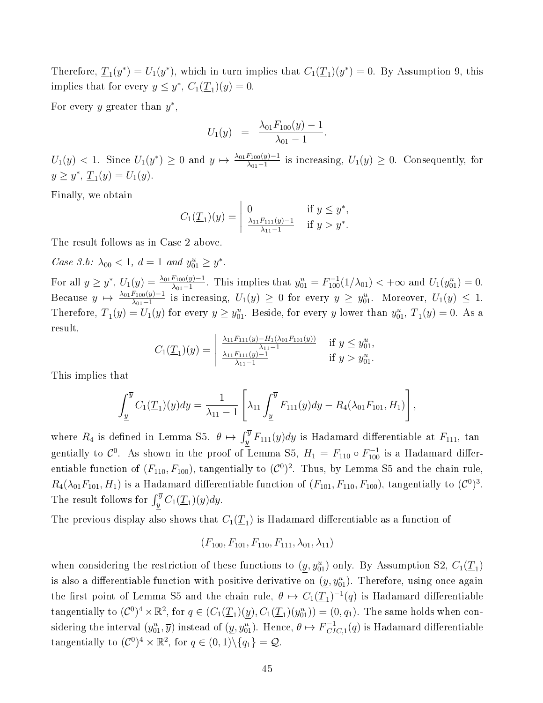Therefore,  $\underline{T}_1(y^*) = U_1(y^*)$ , which in turn implies that  $C_1(\underline{T}_1)(y^*) = 0$ . By Assumption 9, this implies that for every  $y \leq y^*$ ,  $C_1(\underline{T}_1)(y) = 0$ .

For every y greater than  $y^*$ ,

$$
U_1(y) = \frac{\lambda_{01} F_{100}(y) - 1}{\lambda_{01} - 1}.
$$

 $U_1(y) < 1$ . Since  $U_1(y^*) \ge 0$  and  $y \mapsto \frac{\lambda_{01} F_{100}(y) - 1}{\lambda_{01} - 1}$  is increasing,  $U_1(y) \ge 0$ . Consequently, for  $y \geq y^*, \underline{T}_1(y) = U_1(y).$ 

Finally, we obtain

$$
C_1(\underline{T}_1)(y) = \begin{vmatrix} 0 & \text{if } y \leq y^*, \\ \frac{\lambda_{11} F_{111}(y) - 1}{\lambda_{11} - 1} & \text{if } y > y^*. \end{vmatrix}
$$

The result follows as in Case 2 above.

Case 3.b:  $\lambda_{00} < 1, d = 1$  and  $y_{01}^u \ge y^*$ .

For all  $y \geq y^*$ ,  $U_1(y) = \frac{\lambda_{01} F_{100}(y) - 1}{\lambda_{01} - 1}$ . This implies that  $y_{01}^u = F_{100}^{-1}(1/\lambda_{01}) < +\infty$  and  $U_1(y_{01}^u) = 0$ . Because  $y \mapsto \frac{\lambda_{01}F_{100}(y)-1}{\lambda_{01}-1}$  is increasing,  $U_1(y) \ge 0$  for every  $y \ge y_{01}^u$ . Moreover,  $U_1(y) \le 1$ . Therefore,  $\underline{T}_1(y) = U_1(y)$  for every  $y \ge y_{01}^u$ . Beside, for every y lower than  $y_{01}^u$ ,  $\underline{T}_1(y) = 0$ . As a result,

$$
C_1(\underline{T}_1)(y) = \begin{vmatrix} \frac{\lambda_{11}F_{111}(y) - H_1(\lambda_{01}F_{101}(y))}{\lambda_{11} - 1} & \text{if } y \le y_{01}^u, \\ \frac{\lambda_{11}F_{111}(y) - 1}{\lambda_{11} - 1} & \text{if } y > y_{01}^u. \end{vmatrix}
$$

This implies that

$$
\int_{\underline{y}}^{\overline{y}} C_1(\underline{T}_1)(y) dy = \frac{1}{\lambda_{11} - 1} \left[ \lambda_{11} \int_{\underline{y}}^{\overline{y}} F_{111}(y) dy - R_4(\lambda_{01} F_{101}, H_1) \right],
$$

where  $R_4$  is defined in Lemma S5.  $\theta \mapsto \int_y^{\overline{y}} F_{111}(y) dy$  is Hadamard differentiable at  $F_{111}$ , tangentially to  $\mathcal{C}^0$ . As shown in the proof of Lemma S5,  $H_1 = F_{110} \circ F_{100}^{-1}$  is a Hadamard differentiable function of  $(F_{110}, F_{100})$ , tangentially to  $(\mathcal{C}^0)^2$ . Thus, by Lemma S5 and the chain rule,  $R_4(\lambda_{01}F_{101}, H_1)$  is a Hadamard differentiable function of  $(F_{101}, F_{110}, F_{100})$ , tangentially to  $(\mathcal{C}^0)^3$ . The result follows for  $\int_{y}^{\overline{y}} C_1(\underline{T}_1)(y) dy$ .

The previous display also shows that  $C_1(\underline{T}_1)$  is Hadamard differentiable as a function of

$$
(F_{100}, F_{101}, F_{110}, F_{111}, \lambda_{01}, \lambda_{11})
$$

when considering the restriction of these functions to  $(\underline{y}, y_{01}^u)$  only. By Assumption S2,  $C_1(\underline{T}_1)$ is also a differentiable function with positive derivative on  $(\underline{y}, y_{01}^u)$ . Therefore, using once again the first point of Lemma S5 and the chain rule,  $\theta \mapsto C_1(\underline{T}_1)^{-1}(q)$  is Hadamard differentiable tangentially to  $(C^0)^4 \times \mathbb{R}^2$ , for  $q \in (C_1(\underline{T}_1)(\underline{y}), C_1(\underline{T}_1)(y_{01}^u)) = (0, q_1)$ . The same holds when considering the interval  $(y_{01}^u, \overline{y})$  instead of  $(\underline{y}, y_{01}^u)$ . Hence,  $\theta \mapsto \underline{F}_{CI}^{-1}$  $^{-1}_{CIC,1}(q)$  is Hadamard differentiable tangentially to  $(C^0)^4 \times \mathbb{R}^2$ , for  $q \in (0,1) \setminus \{q_1\} = \mathcal{Q}$ .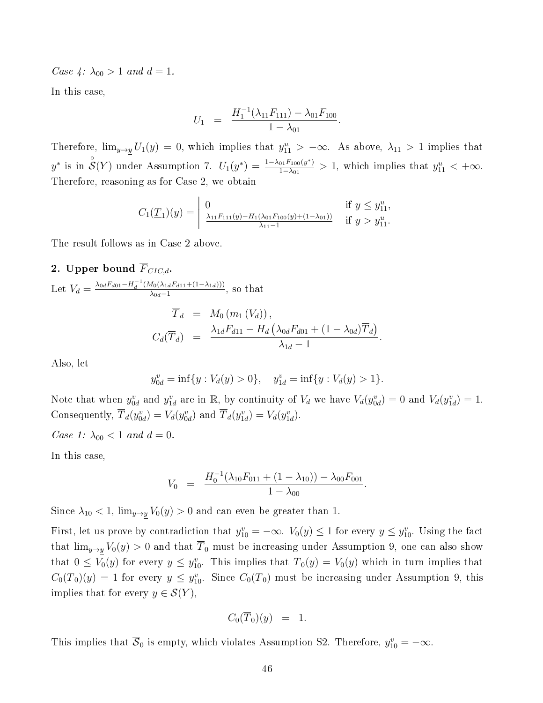Case 4:  $\lambda_{00} > 1$  and  $d = 1$ .

In this case,

$$
U_1 = \frac{H_1^{-1}(\lambda_{11}F_{111}) - \lambda_{01}F_{100}}{1 - \lambda_{01}}.
$$

Therefore,  $\lim_{y\to y} U_1(y) = 0$ , which implies that  $y_{11}^u > -\infty$ . As above,  $\lambda_{11} > 1$  implies that  $y^*$  is in  $\mathcal{S}(Y)$  under Assumption 7.  $U_1(y^*) = \frac{1-\lambda_{01}F_{100}(y^*)}{1-\lambda_{01}}$  $\frac{101F_{100}(y^*)}{1-\lambda_{01}}>1$ , which implies that  $y_{11}^u<+\infty$ . Therefore, reasoning as for Case 2, we obtain

$$
C_1(\underline{T}_1)(y) = \begin{vmatrix} 0 & \text{if } y \le y_{11}^u, \\ \frac{\lambda_{11} F_{111}(y) - H_1(\lambda_{01} F_{100}(y) + (1 - \lambda_{01}))}{\lambda_{11} - 1} & \text{if } y > y_{11}^u. \end{vmatrix}
$$

The result follows as in Case 2 above.

## 2. Upper bound  $\overline{F}_{CIC,d}$ .

Let 
$$
V_d = \frac{\lambda_{0d} F_{d01} - H_d^{-1} (M_0 (\lambda_{1d} F_{d11} + (1 - \lambda_{1d})))}{\lambda_{0d} - 1}
$$
, so that  
\n
$$
\overline{T}_d = M_0 (m_1 (V_d)),
$$
\n
$$
C_d(\overline{T}_d) = \frac{\lambda_{1d} F_{d11} - H_d (\lambda_{0d} F_{d01} + (1 - \lambda_{0d}) \overline{T}_d)}{\lambda_{1d} - 1}.
$$

Also, let

$$
y_{0d}^v = \inf \{y : V_d(y) > 0\}, \quad y_{1d}^v = \inf \{y : V_d(y) > 1\}.
$$

Note that when  $y_{0d}^v$  and  $y_{1d}^v$  are in R, by continuity of  $V_d$  we have  $V_d(y_{0d}^v) = 0$  and  $V_d(y_{1d}^v) = 1$ . Consequently,  $\overline{T}_d(y^v_{0d}) = V_d(y^v_{0d})$  and  $\overline{T}_d(y^v_{1d}) = V_d(y^v_{1d})$ .

Case 1:  $\lambda_{00} < 1$  and  $d = 0$ .

In this case,

$$
V_0 = \frac{H_0^{-1}(\lambda_{10}F_{011} + (1 - \lambda_{10})) - \lambda_{00}F_{001}}{1 - \lambda_{00}}.
$$

Since  $\lambda_{10} < 1$ ,  $\lim_{y \to y} V_0(y) > 0$  and can even be greater than 1.

First, let us prove by contradiction that  $y_{10}^v = -\infty$ .  $V_0(y) \le 1$  for every  $y \le y_{10}^v$ . Using the fact that  $\lim_{y\to y} V_0(y) > 0$  and that  $\overline{T}_0$  must be increasing under Assumption 9, one can also show that  $0 \leq V_0(y)$  for every  $y \leq y_{10}^v$ . This implies that  $\overline{T}_0(y) = V_0(y)$  which in turn implies that  $C_0(\overline{T}_0)(y) = 1$  for every  $y \le y_{10}^v$ . Since  $C_0(\overline{T}_0)$  must be increasing under Assumption 9, this implies that for every  $y \in \mathcal{S}(Y)$ ,

$$
C_0(\overline{T}_0)(y) = 1.
$$

This implies that  $\overline{S}_0$  is empty, which violates Assumption S2. Therefore,  $y_{10}^v = -\infty$ .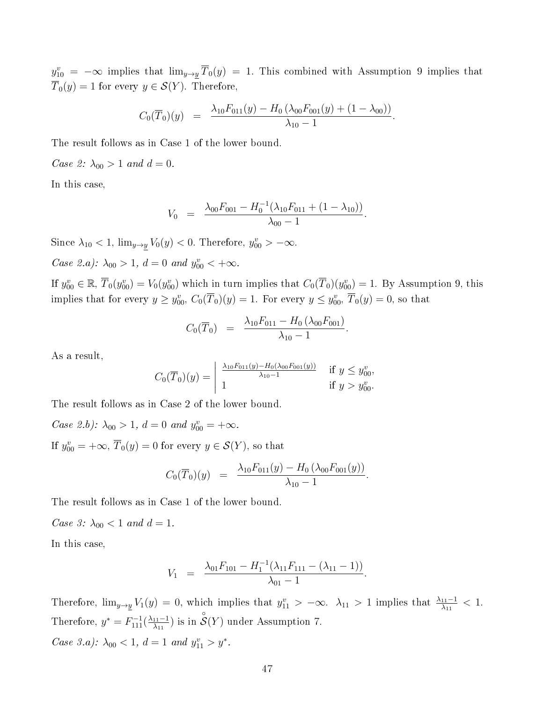$y_{10}^v = -\infty$  implies that  $\lim_{y\to y} \overline{T}_0(y) = 1$ . This combined with Assumption 9 implies that  $\overline{T}_0(y) = 1$  for every  $y \in \mathcal{S}(Y)$ . Therefore,

$$
C_0(\overline{T}_0)(y) = \frac{\lambda_{10}F_{011}(y) - H_0(\lambda_{00}F_{001}(y) + (1 - \lambda_{00}))}{\lambda_{10} - 1}.
$$

The result follows as in Case 1 of the lower bound.

Case 2:  $\lambda_{00} > 1$  and  $d = 0$ .

In this case,

$$
V_0 = \frac{\lambda_{00} F_{001} - H_0^{-1} (\lambda_{10} F_{011} + (1 - \lambda_{10}))}{\lambda_{00} - 1}.
$$

Since  $\lambda_{10} < 1$ ,  $\lim_{y \to y} V_0(y) < 0$ . Therefore,  $y_{00}^v > -\infty$ .

Case 2.a):  $\lambda_{00} > 1$ ,  $d = 0$  and  $y_{00}^v < +\infty$ .

If  $y_{00}^v \in \mathbb{R}, \overline{T}_0(y_{00}^v) = V_0(y_{00}^v)$  which in turn implies that  $C_0(\overline{T}_0)(y_{00}^v) = 1$ . By Assumption 9, this implies that for every  $y \ge y_{00}^v$ ,  $C_0(\overline{T}_0)(y) = 1$ . For every  $y \le y_{00}^v$ ,  $\overline{T}_0(y) = 0$ , so that

$$
C_0(\overline{T}_0) = \frac{\lambda_{10} F_{011} - H_0(\lambda_{00} F_{001})}{\lambda_{10} - 1}.
$$

As a result,

$$
C_0(\overline{T}_0)(y) = \begin{vmatrix} \frac{\lambda_{10} F_{011}(y) - H_0(\lambda_{00} F_{001}(y))}{\lambda_{10} - 1} & \text{if } y \le y_{00}^v, \\ 1 & \text{if } y > y_{00}^v. \end{vmatrix}
$$

The result follows as in Case 2 of the lower bound.

Case 2.b):  $\lambda_{00} > 1$ ,  $d = 0$  and  $y_{00}^v = +\infty$ .

If  $y_{00}^v = +\infty, \,\overline{T}_0(y) = 0$  for every  $y \in \mathcal{S}(Y)$ , so that

$$
C_0(\overline{T}_0)(y) = \frac{\lambda_{10} F_{011}(y) - H_0(\lambda_{00} F_{001}(y))}{\lambda_{10} - 1}.
$$

The result follows as in Case 1 of the lower bound.

*Case 3:*  $\lambda_{00} < 1$  *and d* = 1.

In this case,

$$
V_1 = \frac{\lambda_{01}F_{101} - H_1^{-1}(\lambda_{11}F_{111} - (\lambda_{11} - 1))}{\lambda_{01} - 1}
$$

.

Therefore,  $\lim_{y\to y}V_1(y)=0$ , which implies that  $y_{11}^v > -\infty$ .  $\lambda_{11} > 1$  implies that  $\frac{\lambda_{11}-1}{\lambda_{11}} < 1$ . Therefore,  $y^* = F_{111}^{-1}(\frac{\lambda_{11}-1}{\lambda_{11}})$  $\frac{1}{\lambda_{11}}$ ) is in  $\overset{\circ}{\mathcal{S}}(Y)$  under Assumption 7. Case 3.a):  $\lambda_{00} < 1, d = 1$  and  $y_{11}^v > y^*$ .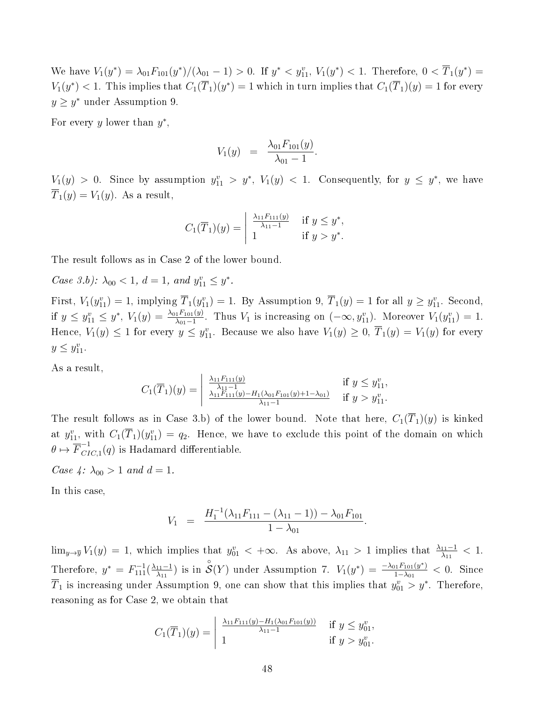We have  $V_1(y^*) = \lambda_{01} F_{101}(y^*)/(\lambda_{01} - 1) > 0$ . If  $y^* < y_{11}^v$ ,  $V_1(y^*) < 1$ . Therefore,  $0 < \overline{T}_1(y^*) =$  $V_1(y^*) < 1$ . This implies that  $C_1(\overline{T}_1)(y^*) = 1$  which in turn implies that  $C_1(\overline{T}_1)(y) = 1$  for every  $y \geq y^*$  under Assumption 9.

For every y lower than  $y^*$ ,

$$
V_1(y) = \frac{\lambda_{01} F_{101}(y)}{\lambda_{01} - 1}.
$$

 $V_1(y) > 0$ . Since by assumption  $y_{11}^v > y^*$ ,  $V_1(y) < 1$ . Consequently, for  $y \leq y^*$ , we have  $\overline{T}_1(y) = V_1(y)$ . As a result,

$$
C_1(\overline{T}_1)(y) = \begin{vmatrix} \frac{\lambda_{11}F_{111}(y)}{\lambda_{11}-1} & \text{if } y \leq y^*,\\ 1 & \text{if } y > y^*. \end{vmatrix}
$$

The result follows as in Case 2 of the lower bound.

Case 3.b):  $\lambda_{00} < 1, d = 1, and y_{11}^v \leq y^*$ .

First,  $V_1(y_{11}^v) = 1$ , implying  $\overline{T}_1(y_{11}^v) = 1$ . By Assumption 9,  $\overline{T}_1(y) = 1$  for all  $y \ge y_{11}^v$ . Second, if  $y \le y_{11}^v \le y^*$ ,  $V_1(y) = \frac{\lambda_{01} F_{101}(y)}{\lambda_{01}-1}$ . Thus  $V_1$  is increasing on  $(-\infty, y_{11}^v)$ . Moreover  $V_1(y_{11}^v) = 1$ . Hence,  $V_1(y) \le 1$  for every  $y \le y_{11}^v$ . Because we also have  $V_1(y) \ge 0$ ,  $\overline{T}_1(y) = V_1(y)$  for every  $y \le y_{11}^v$ .

As a result,

$$
C_1(\overline{T}_1)(y) = \begin{vmatrix} \frac{\lambda_{11}F_{111}(y)}{\lambda_{11}-1} & \text{if } y \leq y_{11}^v, \\ \frac{\lambda_{11}F_{111}(y)-H_1(\lambda_{01}F_{101}(y)+1-\lambda_{01})}{\lambda_{11}-1} & \text{if } y > y_{11}^v. \end{vmatrix}
$$

The result follows as in Case 3.b) of the lower bound. Note that here,  $C_1(\overline{T}_1)(y)$  is kinked at  $y_{11}^v$ , with  $C_1(\overline{T}_1)(y_{11}^v) = q_2$ . Hence, we have to exclude this point of the domain on which  $\theta \mapsto \overline{F}_{CI}^{-1}$  $C_{IC,1}(q)$  is Hadamard differentiable.

Case 4:  $\lambda_{00} > 1$  and  $d = 1$ .

In this case,

$$
V_1 = \frac{H_1^{-1}(\lambda_{11}F_{111} - (\lambda_{11} - 1)) - \lambda_{01}F_{101}}{1 - \lambda_{01}}.
$$

 $\lim_{y\to \overline{y}}V_1(y)=1$ , which implies that  $y_{01}^v<+\infty$ . As above,  $\lambda_{11}>1$  implies that  $\frac{\lambda_{11}-1}{\lambda_{11}}<1$ . Therefore,  $y^* = F_{111}^{-1}(\frac{\lambda_{11}-1}{\lambda_{11}})$  $\frac{1}{\lambda_{11}}$ ) is in  $\overset{\circ}{\mathcal{S}}(Y)$  under Assumption 7.  $V_1(y^*) = \frac{-\lambda_{01}F_{101}(y^*)}{1-\lambda_{01}}$  $\frac{101^F101(y^*)}{1-\lambda_{01}} < 0$ . Since  $\overline{T}_1$  is increasing under Assumption 9, one can show that this implies that  $y_{01}^v > y^*$ . Therefore, reasoning as for Case 2, we obtain that

$$
C_1(\overline{T}_1)(y) = \begin{vmatrix} \frac{\lambda_{11} F_{111}(y) - H_1(\lambda_{01} F_{101}(y))}{\lambda_{11} - 1} & \text{if } y \leq y_{01}^v, \\ 1 & \text{if } y > y_{01}^v. \end{vmatrix}
$$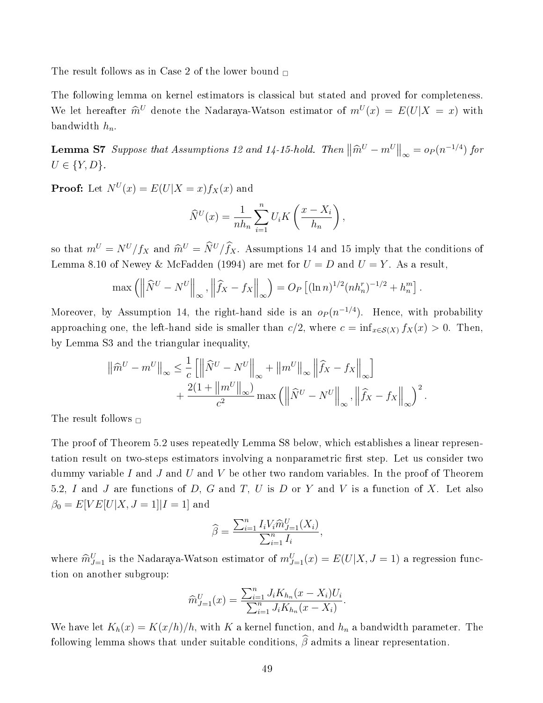The result follows as in Case 2 of the lower bound  $\Box$ 

The following lemma on kernel estimators is classical but stated and proved for completeness. We let hereafter  $\hat{m}^U$  denote the Nadaraya-Watson estimator of  $m^U(x) = E(U|X = x)$  with bandwidth  $h_n$ .

**Lemma S7** Suppose that Assumptions 12 and 14-15-hold. Then  $\left\|\widehat{m}^U - m^U\right\|_{\infty} = o_P(n^{-1/4})$  for  $U \in \{Y, D\}.$ 

**Proof:** Let  $N^U(x) = E(U|X=x) f_X(x)$  and

$$
\widehat{N}^U(x) = \frac{1}{nh_n} \sum_{i=1}^n U_i K\left(\frac{x - X_i}{h_n}\right),
$$

so that  $m^U = N^U/f_X$  and  $\hat{m}^U = \hat{N}^U/\hat{f}_X$ . Assumptions 14 and 15 imply that the conditions of Lemma 8.10 of Newey & McFadden (1994) are met for  $U = D$  and  $U = Y$ . As a result,

$$
\max\left(\left\|\widehat{N}^U - N^U\right\|_{\infty}, \left\|\widehat{f}_X - f_X\right\|_{\infty}\right) = O_P\left[(\ln n)^{1/2}(nh_n^r)^{-1/2} + h_n^m\right].
$$

Moreover, by Assumption 14, the right-hand side is an  $o_P (n^{-1/4})$ . Hence, with probability approaching one, the left-hand side is smaller than  $c/2$ , where  $c = \inf_{x \in S(X)} f_X(x) > 0$ . Then, by Lemma S3 and the triangular inequality,

$$
\|\widehat{m}^U - m^U\|_{\infty} \leq \frac{1}{c} \left[ \left\|\widehat{N}^U - N^U\right\|_{\infty} + \left\|m^U\right\|_{\infty} \left\|\widehat{f}_X - f_X\right\|_{\infty} \right] + \frac{2(1 + \|m^U\|_{\infty})}{c^2} \max \left( \left\|\widehat{N}^U - N^U\right\|_{\infty}, \left\|\widehat{f}_X - f_X\right\|_{\infty} \right)^2.
$$

The result follows  $\Box$ 

The proof of Theorem 5.2 uses repeatedly Lemma S8 below, which establishes a linear representation result on two-steps estimators involving a nonparametric first step. Let us consider two dummy variable I and J and U and V be other two random variables. In the proof of Theorem 5.2, I and J are functions of D, G and T, U is D or Y and V is a function of X. Let also  $\beta_0 = E[VE[U|X, J = 1]|I = 1]$  and

$$
\widehat{\beta} = \frac{\sum_{i=1}^{n} I_i V_i \widehat{m}_{J=1}^U(X_i)}{\sum_{i=1}^{n} I_i},
$$

where  $\widehat{m}_{J=1}^U$  is the Nadaraya-Watson estimator of  $m_{J=1}^U(x) = E(U|X, J=1)$  a regression function on another subgroup:

$$
\widehat{m}_{J=1}^{U}(x) = \frac{\sum_{i=1}^{n} J_i K_{h_n}(x - X_i) U_i}{\sum_{i=1}^{n} J_i K_{h_n}(x - X_i)}.
$$

We have let  $K_h(x) = K(x/h)/h$ , with K a kernel function, and  $h_n$  a bandwidth parameter. The following lemma shows that under suitable conditions,  $\widehat{\beta}$  admits a linear representation.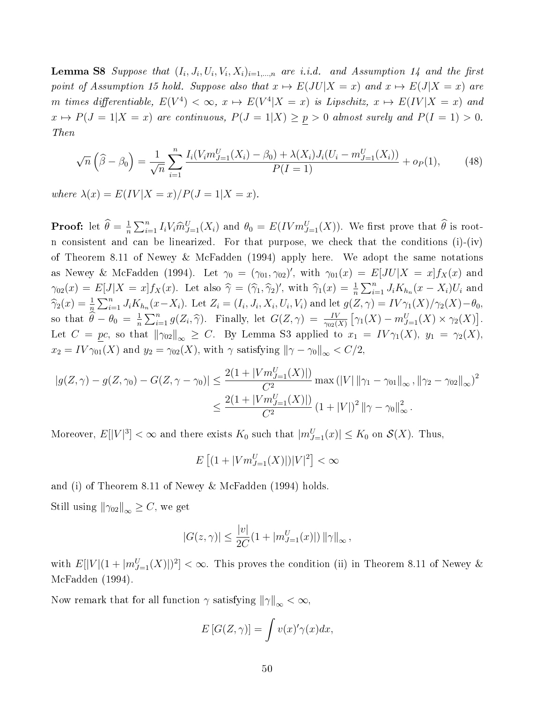**Lemma S8** Suppose that  $(I_i, J_i, U_i, V_i, X_i)_{i=1,\dots,n}$  are i.i.d. and Assumption 14 and the first point of Assumption 15 hold. Suppose also that  $x \mapsto E(JU|X = x)$  and  $x \mapsto E(J|X = x)$  are m times differentiable,  $E(V^4) < \infty$ ,  $x \mapsto E(V^4|X=x)$  is Lipschitz,  $x \mapsto E(IV|X=x)$  and  $x \mapsto P(J = 1|X = x)$  are continuous,  $P(J = 1|X) \ge p > 0$  almost surely and  $P(I = 1) > 0$ . Then

$$
\sqrt{n}\left(\widehat{\beta}-\beta_0\right) = \frac{1}{\sqrt{n}}\sum_{i=1}^n \frac{I_i(V_i m_{J=1}^U(X_i) - \beta_0) + \lambda(X_i)J_i(U_i - m_{J=1}^U(X_i))}{P(I=1)} + o_P(1),\tag{48}
$$

where  $\lambda(x) = E(IV|X=x)/P(J=1|X=x)$ .

**Proof:** let  $\widehat{\theta} = \frac{1}{n}$  $\frac{1}{n}\sum_{i=1}^n I_i V_i \hat{m}_{J=1}^U(X_i)$  and  $\theta_0 = E(IVm_{J=1}^U(X))$ . We first prove that  $\hat{\theta}$  is rootn consistent and can be linearized. For that purpose, we check that the conditions (i)-(iv) of Theorem 8.11 of Newey & McFadden (1994) apply here. We adopt the same notations as Newey & McFadden (1994). Let  $\gamma_0 = (\gamma_{01}, \gamma_{02})'$ , with  $\gamma_{01}(x) = E[JU|X = x]f_X(x)$  and  $\gamma_{02}(x) = E[J|X = x]f_X(x)$ . Let also  $\hat{\gamma} = (\hat{\gamma}_1, \hat{\gamma}_2)'$ , with  $\hat{\gamma}_1(x) = \frac{1}{n} \sum_{i=1}^n J_i K_{h_n}(x - X_i) U_i$  and  $\widehat{\gamma}_2(x) = \frac{1}{n} \sum_{i=1}^n J_i K_{h_n}(x - X_i)$ . Let  $Z_i = (I_i, J_i, X_i, U_i, V_i)$  and let  $g(Z, \gamma) = IV \gamma_1(X)/\gamma_2(X) - \theta_0$ , so that  $\widehat{\theta} - \theta_0 = \frac{1}{n}$  $\frac{1}{n}\sum_{i=1}^n g(Z_i, \hat{\gamma})$ . Finally, let  $G(Z, \gamma) = \frac{IV}{\gamma_{02}(X)} [\gamma_1(X) - m_{J=1}^U(X) \times \gamma_2(X)]$ . Let  $C = pc$ , so that  $\|\gamma_{02}\|_{\infty} \geq C$ . By Lemma S3 applied to  $x_1 = IV\gamma_1(X)$ ,  $y_1 = \gamma_2(X)$ ,  $x_2 = IV \gamma_{01}(X)$  and  $y_2 = \gamma_{02}(X)$ , with  $\gamma$  satisfying  $\|\gamma - \gamma_0\|_{\infty} < C/2$ ,

$$
|g(Z, \gamma) - g(Z, \gamma_0) - G(Z, \gamma - \gamma_0)| \le \frac{2(1 + |Vm_{J=1}^U(X)|)}{C^2} \max (|V| ||\gamma_1 - \gamma_0||_{\infty}, ||\gamma_2 - \gamma_0_2||_{\infty})^2
$$
  

$$
\le \frac{2(1 + |Vm_{J=1}^U(X)|)}{C^2} (1 + |V|)^2 ||\gamma - \gamma_0||_{\infty}^2.
$$

Moreover,  $E[|V|^3] < \infty$  and there exists  $K_0$  such that  $|m_{J=1}^U(x)| \le K_0$  on  $\mathcal{S}(X)$ . Thus,

$$
E\left[ (1+|Vm^U_{J=1}(X)|)|V|^2 \right] < \infty
$$

and (i) of Theorem 8.11 of Newey & McFadden (1994) holds.

Still using  $\|\gamma_{02}\|_{\infty} \geq C$ , we get

$$
|G(z,\gamma)| \le \frac{|v|}{2C} (1 + |m_{J=1}^U(x)|) ||\gamma||_{\infty},
$$

with  $E[|V|(1+|m_{J=1}^U(X)|)^2]<\infty$ . This proves the condition (ii) in Theorem 8.11 of Newey & McFadden (1994).

Now remark that for all function  $\gamma$  satisfying  $\|\gamma\|_{\infty} < \infty$ ,

$$
E\left[G(Z,\gamma)\right] = \int v(x)' \gamma(x) dx,
$$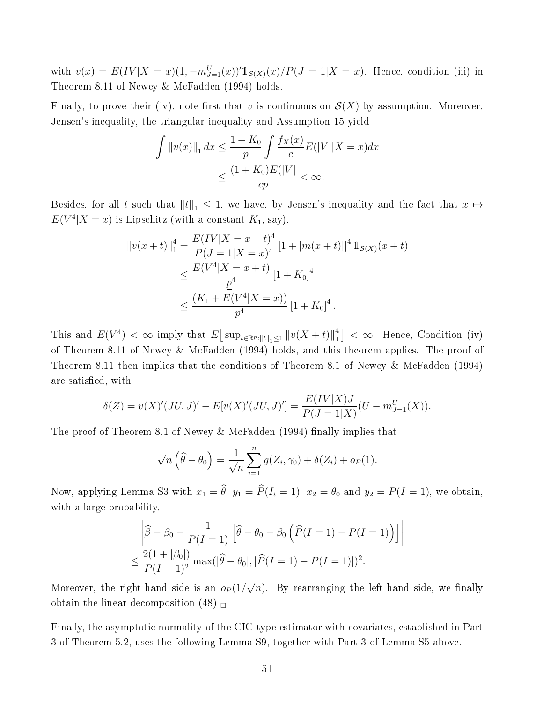with  $v(x) = E(IV|X = x)(1, -m_{J=1}^{U}(x))'\mathbb{1}_{S(X)}(x)/P(J = 1|X = x)$ . Hence, condition (iii) in Theorem 8.11 of Newey & McFadden (1994) holds.

Finally, to prove their (iv), note first that v is continuous on  $\mathcal{S}(X)$  by assumption. Moreover, Jensen's inequality, the triangular inequality and Assumption 15 yield

$$
\int \|v(x)\|_{1} dx \le \frac{1 + K_{0}}{\underline{p}} \int \frac{f_{X}(x)}{c} E(|V||X = x) dx
$$
  

$$
\le \frac{(1 + K_{0})E(|V|)}{c\underline{p}} < \infty.
$$

Besides, for all t such that  $||t||_1 \leq 1$ , we have, by Jensen's inequality and the fact that  $x \mapsto$  $E(V^4|X=x)$  is Lipschitz (with a constant  $K_1$ , say),

$$
||v(x+t)||_1^4 = \frac{E(IV|X=x+t)^4}{P(J=1|X=x)^4} [1+|m(x+t)|]^4 1_{S(X)}(x+t)
$$
  
\n
$$
\leq \frac{E(V^4|X=x+t)}{\underline{p}^4} [1+K_0]^4
$$
  
\n
$$
\leq \frac{(K_1+E(V^4|X=x))}{\underline{p}^4} [1+K_0]^4.
$$

This and  $E(V^4) < \infty$  imply that  $E[ \sup_{t \in \mathbb{R}^p : ||t||_1 \le 1} ||v(X + t)||_1^4$  $\binom{4}{1} < \infty$ . Hence, Condition (iv) of Theorem 8.11 of Newey & McFadden (1994) holds, and this theorem applies. The proof of Theorem 8.11 then implies that the conditions of Theorem 8.1 of Newey & McFadden (1994) are satisfied, with

$$
\delta(Z) = v(X)'(JU, J)' - E[v(X)'(JU, J)'] = \frac{E(IV|X)J}{P(J = 1|X)}(U - m_{J=1}^U(X)).
$$

The proof of Theorem 8.1 of Newey & McFadden  $(1994)$  finally implies that

$$
\sqrt{n}\left(\widehat{\theta}-\theta_0\right)=\frac{1}{\sqrt{n}}\sum_{i=1}^n g(Z_i,\gamma_0)+\delta(Z_i)+o_P(1).
$$

Now, applying Lemma S3 with  $x_1 = \hat{\theta}$ ,  $y_1 = \hat{P}(I_i = 1)$ ,  $x_2 = \theta_0$  and  $y_2 = P(I = 1)$ , we obtain, with a large probability,

$$
\left| \hat{\beta} - \beta_0 - \frac{1}{P(I=1)} \left[ \hat{\theta} - \theta_0 - \beta_0 \left( \hat{P}(I=1) - P(I=1) \right) \right] \right|
$$
  

$$
\leq \frac{2(1 + |\beta_0|)}{P(I=1)^2} \max(|\hat{\theta} - \theta_0|, |\hat{P}(I=1) - P(I=1)|)^2.
$$

Moreover, the right-hand side is an  $o_P(1/$ √  $\overline{n}$ ). By rearranging the left-hand side, we finally obtain the linear decomposition (48)  $\Box$ 

Finally, the asymptotic normality of the CIC-type estimator with covariates, established in Part 3 of Theorem 5.2, uses the following Lemma S9, together with Part 3 of Lemma S5 above.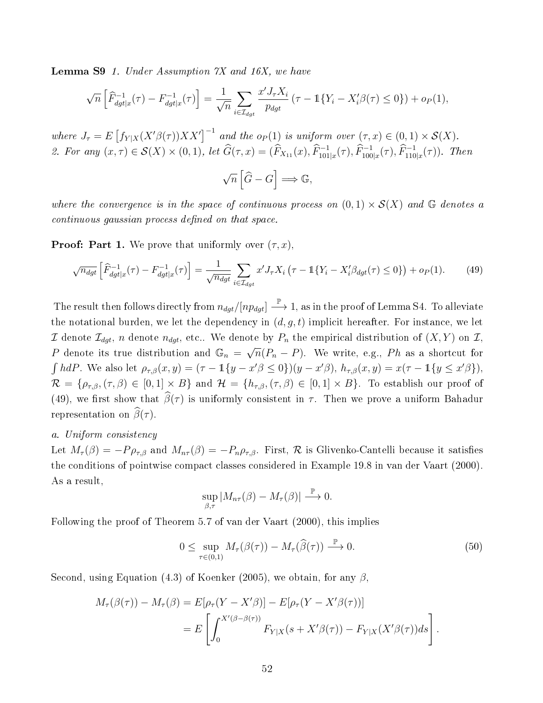**Lemma S9** 1. Under Assumption  $\gamma X$  and 16X, we have

$$
\sqrt{n}\left[\widehat{F}_{dgt|x}^{-1}(\tau) - F_{dgt|x}^{-1}(\tau)\right] = \frac{1}{\sqrt{n}} \sum_{i \in \mathcal{I}_{dgt}} \frac{x' J_{\tau} X_i}{p_{dgt}} \left(\tau - \mathbb{1}\{Y_i - X_i'\beta(\tau) \le 0\}\right) + o_P(1),
$$

where  $J_{\tau} = E \left[ f_{Y|X}(X'\beta(\tau))XX'\right]^{-1}$  and the  $o_P(1)$  is uniform over  $(\tau, x) \in (0, 1) \times S(X)$ . 2. For any  $(x, \tau) \in S(X) \times (0, 1)$ , let  $\widehat{G}(\tau, x) = (\widehat{F}_{X_{11}}(x), \widehat{F}_{101|x}^{-1}(\tau), \widehat{F}_{100|x}^{-1}(\tau), \widehat{F}_{110|x}^{-1}(\tau))$ . Then

$$
\sqrt{n}\left[\widehat{G}-G\right]\Longrightarrow\mathbb{G},
$$

where the convergence is in the space of continuous process on  $(0,1) \times S(X)$  and G denotes a continuous gaussian process defined on that space.

**Proof: Part 1.** We prove that uniformly over  $(\tau, x)$ .

$$
\sqrt{n_{dgt}} \left[ \widehat{F}_{dgt|x}^{-1}(\tau) - F_{dgt|x}^{-1}(\tau) \right] = \frac{1}{\sqrt{n_{dgt}}} \sum_{i \in \mathcal{I}_{dgt}} x' J_{\tau} X_i \left( \tau - \mathbb{1} \{ Y_i - X_i' \beta_{dgt}(\tau) \le 0 \} \right) + o_P(1). \tag{49}
$$

The result then follows directly from  $n_{dgt}/[np_{dgt}] \stackrel{\mathbb{P}}{\longrightarrow} 1,$  as in the proof of Lemma S4. To alleviate the notational burden, we let the dependency in  $(d, g, t)$  implicit hereafter. For instance, we let I denote  $\mathcal{I}_{dgt}$ , *n* denote  $n_{dgt}$ , etc.. We denote by  $P_n$  the empirical distribution of  $(X, Y)$  on I, P denote its true distribution and  $\mathbb{G}_n = \sqrt{n}$  $\overline{n}(P_n - P)$ . We write, e.g.,  $Ph$  as a shortcut for  $\int h dP$ . We also let  $\rho_{\tau,\beta}(x,y) = (\tau - 1\{y - x'\beta \le 0\})(y - x'\beta)$ ,  $h_{\tau,\beta}(x,y) = x(\tau - 1\{y \le x'\beta\})$ ,  $\mathcal{R} = \{\rho_{\tau,\beta},(\tau,\beta) \in [0,1] \times B\}$  and  $\mathcal{H} = \{h_{\tau,\beta},(\tau,\beta) \in [0,1] \times B\}$ . To establish our proof of (49), we first show that  $\widehat{\beta}(\tau)$  is uniformly consistent in  $\tau$ . Then we prove a uniform Bahadur representation on  $\widehat{\beta}(\tau)$ .

### a. Uniform consistency

Let  $M_{\tau}(\beta) = -P\rho_{\tau,\beta}$  and  $M_{n\tau}(\beta) = -P_n\rho_{\tau,\beta}$ . First, R is Glivenko-Cantelli because it satisfies the conditions of pointwise compact classes considered in Example 19.8 in van der Vaart (2000). As a result,

$$
\sup_{\beta,\tau} |M_{n\tau}(\beta) - M_{\tau}(\beta)| \stackrel{\mathbb{P}}{\longrightarrow} 0.
$$

Following the proof of Theorem 5.7 of van der Vaart (2000), this implies

$$
0 \leq \sup_{\tau \in (0,1)} M_{\tau}(\beta(\tau)) - M_{\tau}(\widehat{\beta}(\tau)) \stackrel{\mathbb{P}}{\longrightarrow} 0. \tag{50}
$$

Second, using Equation (4.3) of Koenker (2005), we obtain, for any  $\beta$ ,

$$
M_{\tau}(\beta(\tau)) - M_{\tau}(\beta) = E[\rho_{\tau}(Y - X'\beta)] - E[\rho_{\tau}(Y - X'\beta(\tau))]
$$
  
= 
$$
E\left[\int_0^{X'(\beta - \beta(\tau))} F_{Y|X}(s + X'\beta(\tau)) - F_{Y|X}(X'\beta(\tau))ds\right].
$$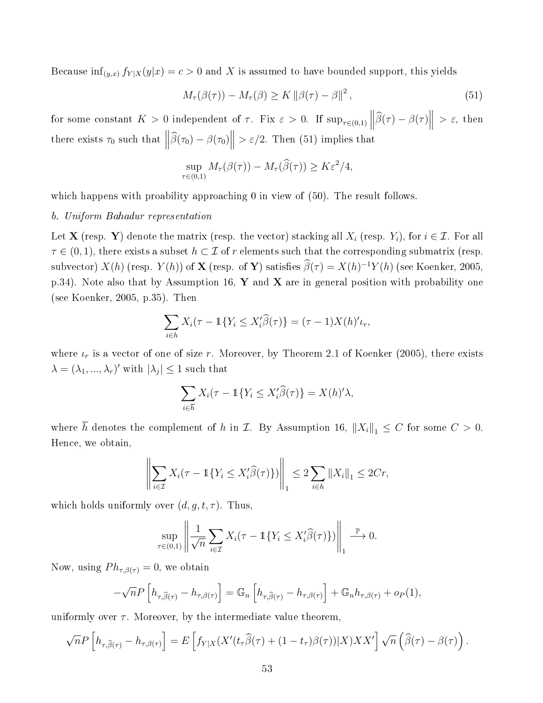Because  $\inf_{(y,x)} f_{Y|X}(y|x) = c > 0$  and X is assumed to have bounded support, this yields

$$
M_{\tau}(\beta(\tau)) - M_{\tau}(\beta) \ge K \left\| \beta(\tau) - \beta \right\|^2, \tag{51}
$$

for some constant  $K > 0$  independent of  $\tau$ . Fix  $\varepsilon > 0$ . If  $\sup_{\tau \in (0,1)} ||\hat{\beta}(\tau) - \beta(\tau)||$  $>\varepsilon$ , then there exists  $\tau_0$  such that  $\left\|\widehat{\beta}(\tau_0) - \beta(\tau_0)\right\| > \varepsilon/2$ . Then (51) implies that

$$
\sup_{\tau \in (0,1)} M_{\tau}(\beta(\tau)) - M_{\tau}(\widehat{\beta}(\tau)) \ge K \varepsilon^2/4,
$$

which happens with proability approaching 0 in view of (50). The result follows.

#### b. Uniform Bahadur representation

Let **X** (resp. **Y**) denote the matrix (resp. the vector) stacking all  $X_i$  (resp.  $Y_i$ ), for  $i \in \mathcal{I}$ . For all  $\tau \in (0,1)$ , there exists a subset  $h \subset \mathcal{I}$  of r elements such that the corresponding submatrix (resp. subvector)  $X(h)$  (resp.  $Y(h)$ ) of  $X$  (resp. of  $Y$ ) satisfies  $\widehat{\beta}(\tau) = X(h)^{-1}Y(h)$  (see Koenker, 2005, p.34). Note also that by Assumption 16, Y and X are in general position with probability one (see Koenker, 2005, p.35). Then

$$
\sum_{i\in h} X_i(\tau - \mathbb{1}\{Y_i \le X_i'\widehat{\beta}(\tau)\} = (\tau - 1)X(h)'\iota_r,
$$

where  $\iota_r$  is a vector of one of size r. Moreover, by Theorem 2.1 of Koenker (2005), there exists  $\lambda = (\lambda_1, ..., \lambda_r)'$  with  $|\lambda_j| \leq 1$  such that

$$
\sum_{i \in \overline{h}} X_i(\tau - \mathbb{1}\{Y_i \le X_i'\widehat{\beta}(\tau)\} = X(h)'\lambda,
$$

where  $\overline{h}$  denotes the complement of h in  $\mathcal{I}$ . By Assumption 16,  $||X_i||_1 \leq C$  for some  $C > 0$ . Hence, we obtain,

$$
\left\| \sum_{i \in \mathcal{I}} X_i(\tau - \mathbb{1}\{Y_i \le X_i'\widehat{\beta}(\tau)\}) \right\|_1 \le 2 \sum_{i \in h} \|X_i\|_1 \le 2Cr,
$$

which holds uniformly over  $(d, g, t, \tau)$ . Thus,

$$
\sup_{\tau \in (0,1)} \left\| \frac{1}{\sqrt{n}} \sum_{i \in \mathcal{I}} X_i(\tau - \mathbb{1}\{Y_i \le X_i'\widehat{\beta}(\tau)\}) \right\|_1 \stackrel{\mathbb{P}}{\longrightarrow} 0.
$$

Now, using  $Ph_{\tau,\beta(\tau)} = 0$ , we obtain

$$
-\sqrt{n}P\left[h_{\tau,\widehat{\beta}(\tau)}-h_{\tau,\beta(\tau)}\right]=\mathbb{G}_n\left[h_{\tau,\widehat{\beta}(\tau)}-h_{\tau,\beta(\tau)}\right]+\mathbb{G}_n h_{\tau,\beta(\tau)}+o_P(1),
$$

uniformly over  $\tau$ . Moreover, by the intermediate value theorem,

$$
\sqrt{n}P\left[h_{\tau,\widehat{\beta}(\tau)}-h_{\tau,\beta(\tau)}\right]=E\left[f_{Y|X}(X'(t_{\tau}\widehat{\beta}(\tau)+(1-t_{\tau})\beta(\tau))|X)XX'\right]\sqrt{n}\left(\widehat{\beta}(\tau)-\beta(\tau)\right).
$$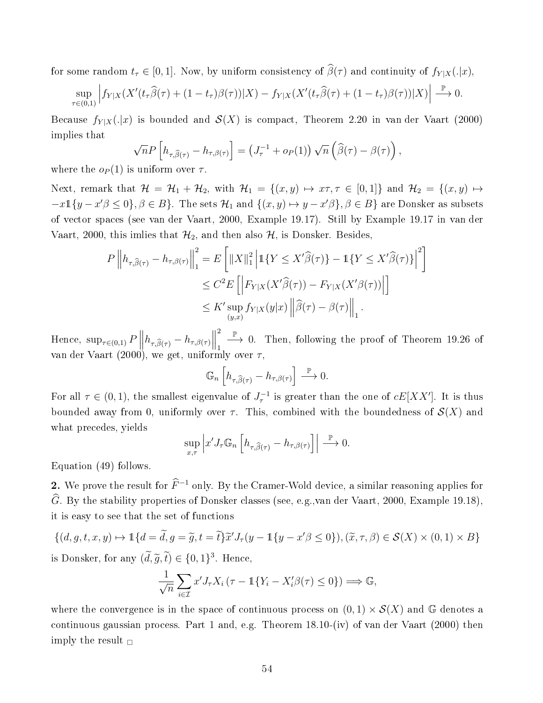for some random  $t_{\tau} \in [0, 1]$ . Now, by uniform consistency of  $\widehat{\beta}(\tau)$  and continuity of  $f_{Y | X}(. | x)$ ,

$$
\sup_{\tau \in (0,1)} \left| f_{Y|X}(X'(t_\tau \widehat{\beta}(\tau) + (1-t_\tau)\beta(\tau))|X) - f_{Y|X}(X'(t_\tau \widehat{\beta}(\tau) + (1-t_\tau)\beta(\tau))|X) \right| \stackrel{\mathbb{P}}{\longrightarrow} 0.
$$

Because  $f_{Y|X}(.|x)$  is bounded and  $\mathcal{S}(X)$  is compact, Theorem 2.20 in van der Vaart (2000) implies that

$$
\sqrt{n}P\left[h_{\tau,\widehat{\beta}(\tau)}-h_{\tau,\beta(\tau)}\right]=\left(J_{\tau}^{-1}+o_P(1)\right)\sqrt{n}\left(\widehat{\beta}(\tau)-\beta(\tau)\right),\,
$$

where the  $o_P(1)$  is uniform over  $\tau$ .

Next, remark that  $\mathcal{H} = \mathcal{H}_1 + \mathcal{H}_2$ , with  $\mathcal{H}_1 = \{(x, y) \mapsto x\tau, \tau \in [0, 1]\}$  and  $\mathcal{H}_2 = \{(x, y) \mapsto x\tau, \tau \in [0, 1]\}$  $-x\mathbb{1}\{y-x'\beta\leq 0\}, \beta\in B\}$ . The sets  $\mathcal{H}_1$  and  $\{(x,y)\mapsto y-x'\beta\}, \beta\in B\}$  are Donsker as subsets of vector spaces (see van der Vaart, 2000, Example 19.17). Still by Example 19.17 in van der Vaart, 2000, this imlies that  $\mathcal{H}_2$ , and then also  $\mathcal{H}$ , is Donsker. Besides,

$$
P\left\|h_{\tau,\widehat{\beta}(\tau)} - h_{\tau,\beta(\tau)}\right\|_{1}^{2} = E\left[\|X\|_{1}^{2}\left|\mathbb{1}\{Y \leq X'\widehat{\beta}(\tau)\} - \mathbb{1}\{Y \leq X'\widehat{\beta}(\tau)\}\right|^{2}\right]
$$
  

$$
\leq C^{2}E\left[\left|F_{Y|X}(X'\widehat{\beta}(\tau)) - F_{Y|X}(X'\beta(\tau))\right|\right]
$$
  

$$
\leq K'\sup_{(y,x)} f_{Y|X}(y|x)\left\|\widehat{\beta}(\tau) - \beta(\tau)\right\|_{1}.
$$

Hence,  $\sup_{\tau \in (0,1)} P \parallel$  $h_{\tau,\widehat{\beta}(\tau)} - h_{\tau,\beta(\tau)} \Big\|$ 2 1  $\stackrel{\mathbb{P}}{\longrightarrow}$  0. Then, following the proof of Theorem 19.26 of van der Vaart (2000), we get, uniformly over  $\tau$ ,

$$
\mathbb{G}_n\left[h_{\tau,\widehat{\beta}(\tau)} - h_{\tau,\beta(\tau)}\right] \xrightarrow{\mathbb{P}} 0.
$$

For all  $\tau \in (0,1)$ , the smallest eigenvalue of  $J_{\tau}^{-1}$  is greater than the one of  $cE[XX']$ . It is thus bounded away from 0, uniformly over  $\tau$ . This, combined with the boundedness of  $\mathcal{S}(X)$  and what precedes, yields

$$
\sup_{x,\tau} \left| x' J_{\tau} \mathbb{G}_n \left[ h_{\tau,\widehat{\beta}(\tau)} - h_{\tau,\beta(\tau)} \right] \right| \stackrel{\mathbb{P}}{\longrightarrow} 0.
$$

Equation (49) follows.

2. We prove the result for  $\widehat{F}^{-1}$  only. By the Cramer-Wold device, a similar reasoning applies for  $\widehat{G}$ . By the stability properties of Donsker classes (see, e.g.,van der Vaart, 2000, Example 19.18), it is easy to see that the set of functions

$$
\{(d, g, t, x, y) \mapsto \mathbb{1}\{d = \widetilde{d}, g = \widetilde{g}, t = \widetilde{t}\}\widetilde{x}'J_{\tau}(y - \mathbb{1}\{y - x'\beta \le 0\}), (\widetilde{x}, \tau, \beta) \in \mathcal{S}(X) \times (0, 1) \times B\}
$$
  
is Donsker for any  $(\widetilde{d}, \widetilde{g}, \widetilde{t}) \in \{0, 1\}^3$ . Hence

is Donsker, for any  $(\tilde{d}, \tilde{g}, \tilde{t}) \in \{0, 1\}^3$ . Hence,

$$
\frac{1}{\sqrt{n}} \sum_{i \in \mathcal{I}} x' J_{\tau} X_i (\tau - \mathbb{1} \{ Y_i - X'_i \beta(\tau) \le 0 \}) \Longrightarrow \mathbb{G},
$$

where the convergence is in the space of continuous process on  $(0,1) \times S(X)$  and G denotes a continuous gaussian process. Part 1 and, e.g. Theorem 18.10-(iv) of van der Vaart (2000) then imply the result  $\Box$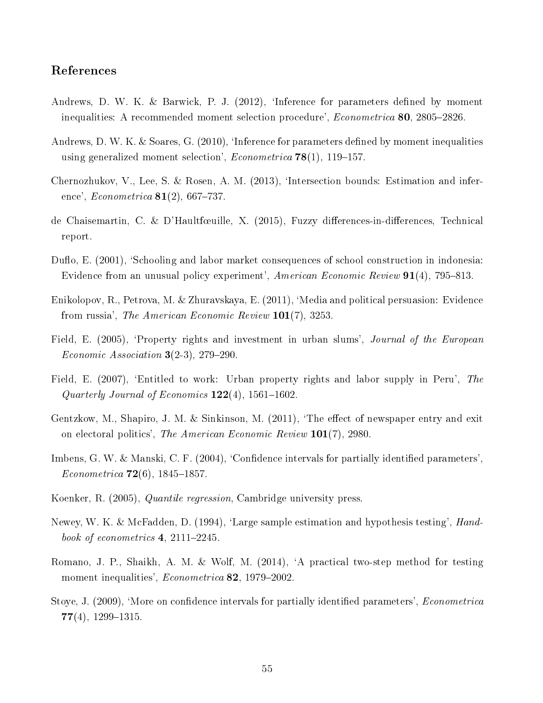### References

- Andrews, D. W. K. & Barwick, P. J. (2012), 'Inference for parameters defined by moment inequalities: A recommended moment selection procedure',  $Econometrica$  80, 2805-2826.
- Andrews, D. W. K. & Soares, G.  $(2010)$ , 'Inference for parameters defined by moment inequalities using generalized moment selection', *Econometrica* **78**(1), 119–157.
- Chernozhukov, V., Lee, S. & Rosen, A. M. (2013), `Intersection bounds: Estimation and inference',  $Econometrica$  81(2), 667–737.
- de Chaisemartin, C. & D'Haultfœuille, X. (2015), Fuzzy differences-in-differences, Technical report.
- Duflo, E. (2001), 'Schooling and labor market consequences of school construction in indonesia: Evidence from an unusual policy experiment', American Economic Review  $91(4)$ , 795–813.
- Enikolopov, R., Petrova, M. & Zhuravskaya, E. (2011), `Media and political persuasion: Evidence from russia', The American Economic Review 101(7), 3253.
- Field, E. (2005), 'Property rights and investment in urban slums', *Journal of the European* Economic Association  $3(2-3)$ , 279-290.
- Field, E. (2007), 'Entitled to work: Urban property rights and labor supply in Peru', The Quarterly Journal of Economics  $122(4)$ , 1561-1602.
- Gentzkow, M., Shapiro, J. M. & Sinkinson, M.  $(2011)$ , The effect of newspaper entry and exit on electoral politics', The American Economic Review 101(7), 2980.
- Imbens, G. W. & Manski, C. F. (2004), 'Confidence intervals for partially identified parameters', Econometrica  $72(6)$ , 1845-1857.
- Koenker, R. (2005), Quantile regression, Cambridge university press.
- Newey, W. K. & McFadden, D. (1994), 'Large sample estimation and hypothesis testing', Handbook of econometrics  $4, 2111-2245$ .
- Romano, J. P., Shaikh, A. M. & Wolf, M. (2014), `A practical two-step method for testing moment inequalities',  $Econometrica$  82, 1979-2002.
- Stoye, J. (2009), 'More on confidence intervals for partially identified parameters', *Econometrica*  $77(4)$ , 1299-1315.